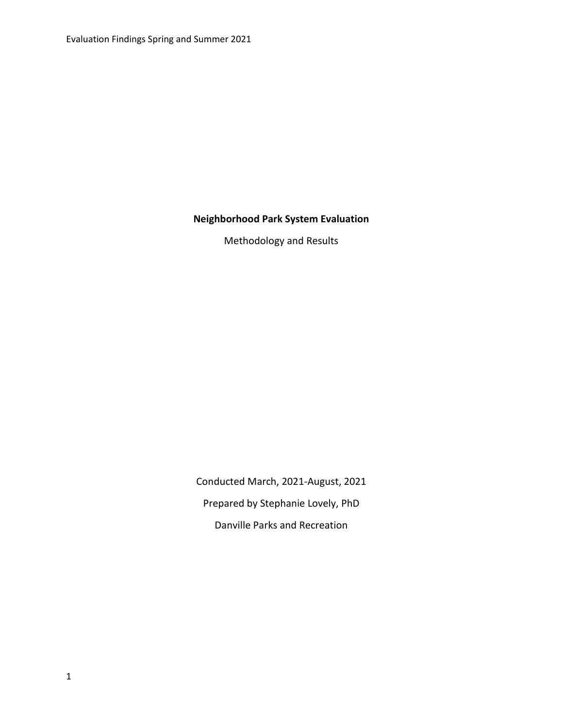# **Neighborhood Park System Evaluation**

Methodology and Results

Conducted March, 2021-August, 2021 Prepared by Stephanie Lovely, PhD Danville Parks and Recreation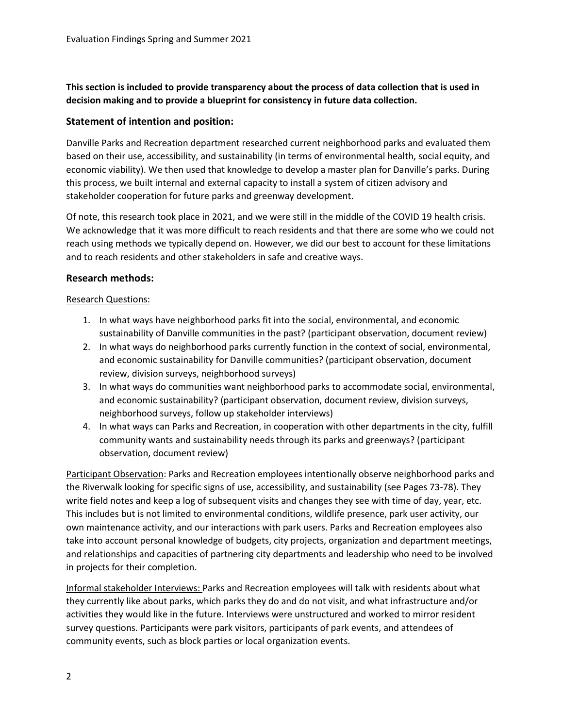**This section is included to provide transparency about the process of data collection that is used in decision making and to provide a blueprint for consistency in future data collection.** 

# **Statement of intention and position:**

Danville Parks and Recreation department researched current neighborhood parks and evaluated them based on their use, accessibility, and sustainability (in terms of environmental health, social equity, and economic viability). We then used that knowledge to develop a master plan for Danville's parks. During this process, we built internal and external capacity to install a system of citizen advisory and stakeholder cooperation for future parks and greenway development.

Of note, this research took place in 2021, and we were still in the middle of the COVID 19 health crisis. We acknowledge that it was more difficult to reach residents and that there are some who we could not reach using methods we typically depend on. However, we did our best to account for these limitations and to reach residents and other stakeholders in safe and creative ways.

# **Research methods:**

# Research Questions:

- 1. In what ways have neighborhood parks fit into the social, environmental, and economic sustainability of Danville communities in the past? (participant observation, document review)
- 2. In what ways do neighborhood parks currently function in the context of social, environmental, and economic sustainability for Danville communities? (participant observation, document review, division surveys, neighborhood surveys)
- 3. In what ways do communities want neighborhood parks to accommodate social, environmental, and economic sustainability? (participant observation, document review, division surveys, neighborhood surveys, follow up stakeholder interviews)
- 4. In what ways can Parks and Recreation, in cooperation with other departments in the city, fulfill community wants and sustainability needs through its parks and greenways? (participant observation, document review)

Participant Observation: Parks and Recreation employees intentionally observe neighborhood parks and the Riverwalk looking for specific signs of use, accessibility, and sustainability (see Pages 73-78). They write field notes and keep a log of subsequent visits and changes they see with time of day, year, etc. This includes but is not limited to environmental conditions, wildlife presence, park user activity, our own maintenance activity, and our interactions with park users. Parks and Recreation employees also take into account personal knowledge of budgets, city projects, organization and department meetings, and relationships and capacities of partnering city departments and leadership who need to be involved in projects for their completion.

Informal stakeholder Interviews: Parks and Recreation employees will talk with residents about what they currently like about parks, which parks they do and do not visit, and what infrastructure and/or activities they would like in the future. Interviews were unstructured and worked to mirror resident survey questions. Participants were park visitors, participants of park events, and attendees of community events, such as block parties or local organization events.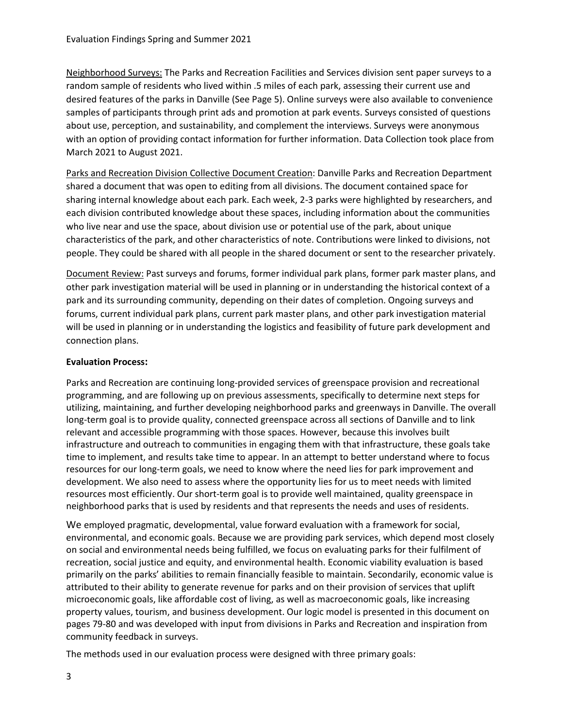Neighborhood Surveys: The Parks and Recreation Facilities and Services division sent paper surveys to a random sample of residents who lived within .5 miles of each park, assessing their current use and desired features of the parks in Danville (See Page 5). Online surveys were also available to convenience samples of participants through print ads and promotion at park events. Surveys consisted of questions about use, perception, and sustainability, and complement the interviews. Surveys were anonymous with an option of providing contact information for further information. Data Collection took place from March 2021 to August 2021.

Parks and Recreation Division Collective Document Creation: Danville Parks and Recreation Department shared a document that was open to editing from all divisions. The document contained space for sharing internal knowledge about each park. Each week, 2-3 parks were highlighted by researchers, and each division contributed knowledge about these spaces, including information about the communities who live near and use the space, about division use or potential use of the park, about unique characteristics of the park, and other characteristics of note. Contributions were linked to divisions, not people. They could be shared with all people in the shared document or sent to the researcher privately.

Document Review: Past surveys and forums, former individual park plans, former park master plans, and other park investigation material will be used in planning or in understanding the historical context of a park and its surrounding community, depending on their dates of completion. Ongoing surveys and forums, current individual park plans, current park master plans, and other park investigation material will be used in planning or in understanding the logistics and feasibility of future park development and connection plans.

# **Evaluation Process:**

Parks and Recreation are continuing long-provided services of greenspace provision and recreational programming, and are following up on previous assessments, specifically to determine next steps for utilizing, maintaining, and further developing neighborhood parks and greenways in Danville. The overall long-term goal is to provide quality, connected greenspace across all sections of Danville and to link relevant and accessible programming with those spaces. However, because this involves built infrastructure and outreach to communities in engaging them with that infrastructure, these goals take time to implement, and results take time to appear. In an attempt to better understand where to focus resources for our long-term goals, we need to know where the need lies for park improvement and development. We also need to assess where the opportunity lies for us to meet needs with limited resources most efficiently. Our short-term goal is to provide well maintained, quality greenspace in neighborhood parks that is used by residents and that represents the needs and uses of residents.

We employed pragmatic, developmental, value forward evaluation with a framework for social, environmental, and economic goals. Because we are providing park services, which depend most closely on social and environmental needs being fulfilled, we focus on evaluating parks for their fulfilment of recreation, social justice and equity, and environmental health. Economic viability evaluation is based primarily on the parks' abilities to remain financially feasible to maintain. Secondarily, economic value is attributed to their ability to generate revenue for parks and on their provision of services that uplift microeconomic goals, like affordable cost of living, as well as macroeconomic goals, like increasing property values, tourism, and business development. Our logic model is presented in this document on pages 79-80 and was developed with input from divisions in Parks and Recreation and inspiration from community feedback in surveys.

The methods used in our evaluation process were designed with three primary goals: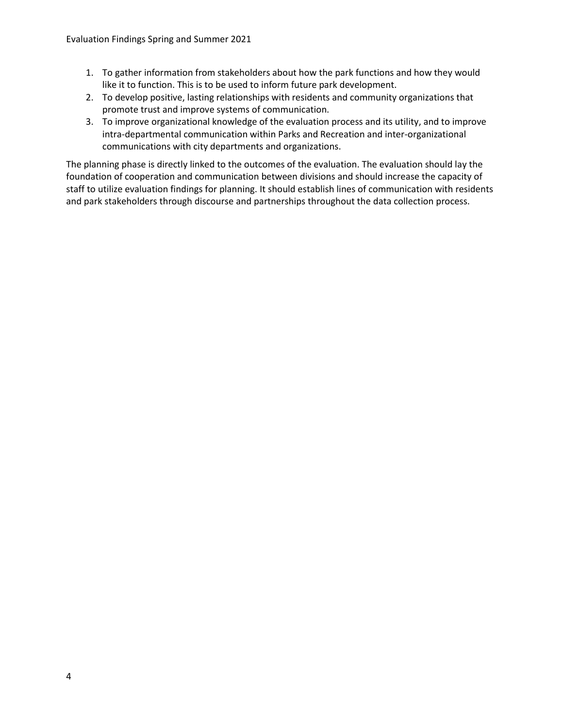- 1. To gather information from stakeholders about how the park functions and how they would like it to function. This is to be used to inform future park development.
- 2. To develop positive, lasting relationships with residents and community organizations that promote trust and improve systems of communication.
- 3. To improve organizational knowledge of the evaluation process and its utility, and to improve intra-departmental communication within Parks and Recreation and inter-organizational communications with city departments and organizations.

The planning phase is directly linked to the outcomes of the evaluation. The evaluation should lay the foundation of cooperation and communication between divisions and should increase the capacity of staff to utilize evaluation findings for planning. It should establish lines of communication with residents and park stakeholders through discourse and partnerships throughout the data collection process.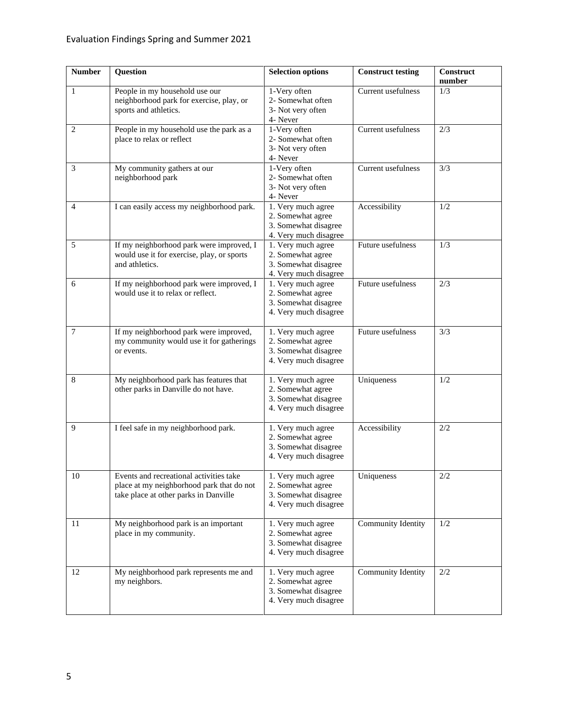| <b>Number</b>  | Question                                                                                                                      | <b>Selection options</b>                                                                 | <b>Construct testing</b> | Construct<br>number |
|----------------|-------------------------------------------------------------------------------------------------------------------------------|------------------------------------------------------------------------------------------|--------------------------|---------------------|
| $\mathbf{1}$   | People in my household use our<br>neighborhood park for exercise, play, or<br>sports and athletics.                           | 1-Very often<br>2- Somewhat often<br>3- Not very often<br>4- Never                       | Current usefulness       | 1/3                 |
| $\overline{c}$ | People in my household use the park as a<br>place to relax or reflect                                                         | 1-Very often<br>2- Somewhat often<br>3- Not very often<br>4- Never                       | Current usefulness       | 2/3                 |
| 3              | My community gathers at our<br>neighborhood park                                                                              | 1-Very often<br>2- Somewhat often<br>3- Not very often<br>4- Never                       | Current usefulness       | 3/3                 |
| 4              | I can easily access my neighborhood park.                                                                                     | 1. Very much agree<br>2. Somewhat agree<br>3. Somewhat disagree<br>4. Very much disagree | Accessibility            | 1/2                 |
| 5              | If my neighborhood park were improved, I<br>would use it for exercise, play, or sports<br>and athletics.                      | 1. Very much agree<br>2. Somewhat agree<br>3. Somewhat disagree<br>4. Very much disagree | Future usefulness        | 1/3                 |
| 6              | If my neighborhood park were improved, I<br>would use it to relax or reflect.                                                 | 1. Very much agree<br>2. Somewhat agree<br>3. Somewhat disagree<br>4. Very much disagree | Future usefulness        | 2/3                 |
| 7              | If my neighborhood park were improved,<br>my community would use it for gatherings<br>or events.                              | 1. Very much agree<br>2. Somewhat agree<br>3. Somewhat disagree<br>4. Very much disagree | Future usefulness        | 3/3                 |
| 8              | My neighborhood park has features that<br>other parks in Danville do not have.                                                | 1. Very much agree<br>2. Somewhat agree<br>3. Somewhat disagree<br>4. Very much disagree | Uniqueness               | 1/2                 |
| 9              | I feel safe in my neighborhood park.                                                                                          | 1. Very much agree<br>2. Somewhat agree<br>3. Somewhat disagree<br>4. Very much disagree | Accessibility            | 2/2                 |
| 10             | Events and recreational activities take<br>place at my neighborhood park that do not<br>take place at other parks in Danville | 1. Very much agree<br>2. Somewhat agree<br>3. Somewhat disagree<br>4. Very much disagree | Uniqueness               | $2/2$               |
| 11             | My neighborhood park is an important<br>place in my community.                                                                | 1. Very much agree<br>2. Somewhat agree<br>3. Somewhat disagree<br>4. Very much disagree | Community Identity       | 1/2                 |
| 12             | My neighborhood park represents me and<br>my neighbors.                                                                       | 1. Very much agree<br>2. Somewhat agree<br>3. Somewhat disagree<br>4. Very much disagree | Community Identity       | 2/2                 |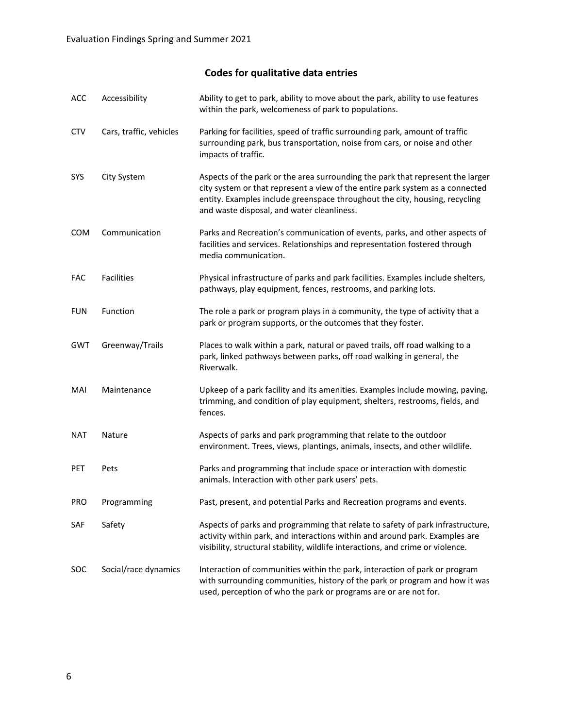# **Codes for qualitative data entries**

| ACC        | Accessibility           | Ability to get to park, ability to move about the park, ability to use features<br>within the park, welcomeness of park to populations.                                                                                                                                                      |
|------------|-------------------------|----------------------------------------------------------------------------------------------------------------------------------------------------------------------------------------------------------------------------------------------------------------------------------------------|
| <b>CTV</b> | Cars, traffic, vehicles | Parking for facilities, speed of traffic surrounding park, amount of traffic<br>surrounding park, bus transportation, noise from cars, or noise and other<br>impacts of traffic.                                                                                                             |
| SYS        | City System             | Aspects of the park or the area surrounding the park that represent the larger<br>city system or that represent a view of the entire park system as a connected<br>entity. Examples include greenspace throughout the city, housing, recycling<br>and waste disposal, and water cleanliness. |
| <b>COM</b> | Communication           | Parks and Recreation's communication of events, parks, and other aspects of<br>facilities and services. Relationships and representation fostered through<br>media communication.                                                                                                            |
| FAC        | Facilities              | Physical infrastructure of parks and park facilities. Examples include shelters,<br>pathways, play equipment, fences, restrooms, and parking lots.                                                                                                                                           |
| <b>FUN</b> | Function                | The role a park or program plays in a community, the type of activity that a<br>park or program supports, or the outcomes that they foster.                                                                                                                                                  |
| <b>GWT</b> | Greenway/Trails         | Places to walk within a park, natural or paved trails, off road walking to a<br>park, linked pathways between parks, off road walking in general, the<br>Riverwalk.                                                                                                                          |
| MAI        | Maintenance             | Upkeep of a park facility and its amenities. Examples include mowing, paving,<br>trimming, and condition of play equipment, shelters, restrooms, fields, and<br>fences.                                                                                                                      |
| <b>NAT</b> | Nature                  | Aspects of parks and park programming that relate to the outdoor<br>environment. Trees, views, plantings, animals, insects, and other wildlife.                                                                                                                                              |
| PET        | Pets                    | Parks and programming that include space or interaction with domestic<br>animals. Interaction with other park users' pets.                                                                                                                                                                   |
| <b>PRO</b> | Programming             | Past, present, and potential Parks and Recreation programs and events.                                                                                                                                                                                                                       |
| SAF        | Safety                  | Aspects of parks and programming that relate to safety of park infrastructure,<br>activity within park, and interactions within and around park. Examples are<br>visibility, structural stability, wildlife interactions, and crime or violence.                                             |
| <b>SOC</b> | Social/race dynamics    | Interaction of communities within the park, interaction of park or program<br>with surrounding communities, history of the park or program and how it was<br>used, perception of who the park or programs are or are not for.                                                                |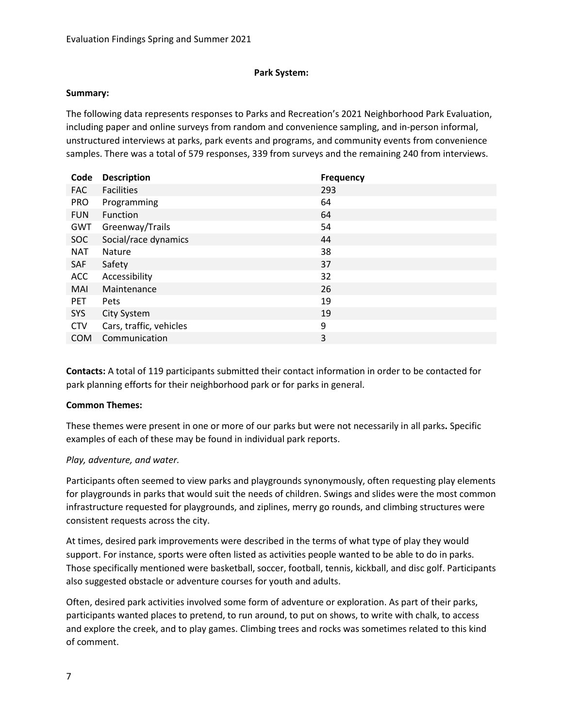# **Park System:**

### **Summary:**

The following data represents responses to Parks and Recreation's 2021 Neighborhood Park Evaluation, including paper and online surveys from random and convenience sampling, and in-person informal, unstructured interviews at parks, park events and programs, and community events from convenience samples. There was a total of 579 responses, 339 from surveys and the remaining 240 from interviews.

| Code       | <b>Description</b>      | <b>Frequency</b> |
|------------|-------------------------|------------------|
| <b>FAC</b> | <b>Facilities</b>       | 293              |
| <b>PRO</b> | Programming             | 64               |
| <b>FUN</b> | Function                | 64               |
| GWT        | Greenway/Trails         | 54               |
| <b>SOC</b> | Social/race dynamics    | 44               |
| <b>NAT</b> | Nature                  | 38               |
| SAF        | Safety                  | 37               |
| <b>ACC</b> | Accessibility           | 32               |
| <b>MAI</b> | Maintenance             | 26               |
| <b>PET</b> | <b>Pets</b>             | 19               |
| <b>SYS</b> | City System             | 19               |
| <b>CTV</b> | Cars, traffic, vehicles | 9                |
| <b>COM</b> | Communication           | 3                |

**Contacts:** A total of 119 participants submitted their contact information in order to be contacted for park planning efforts for their neighborhood park or for parks in general.

# **Common Themes:**

These themes were present in one or more of our parks but were not necessarily in all parks**.** Specific examples of each of these may be found in individual park reports.

# *Play, adventure, and water.*

Participants often seemed to view parks and playgrounds synonymously, often requesting play elements for playgrounds in parks that would suit the needs of children. Swings and slides were the most common infrastructure requested for playgrounds, and ziplines, merry go rounds, and climbing structures were consistent requests across the city.

At times, desired park improvements were described in the terms of what type of play they would support. For instance, sports were often listed as activities people wanted to be able to do in parks. Those specifically mentioned were basketball, soccer, football, tennis, kickball, and disc golf. Participants also suggested obstacle or adventure courses for youth and adults.

Often, desired park activities involved some form of adventure or exploration. As part of their parks, participants wanted places to pretend, to run around, to put on shows, to write with chalk, to access and explore the creek, and to play games. Climbing trees and rocks was sometimes related to this kind of comment.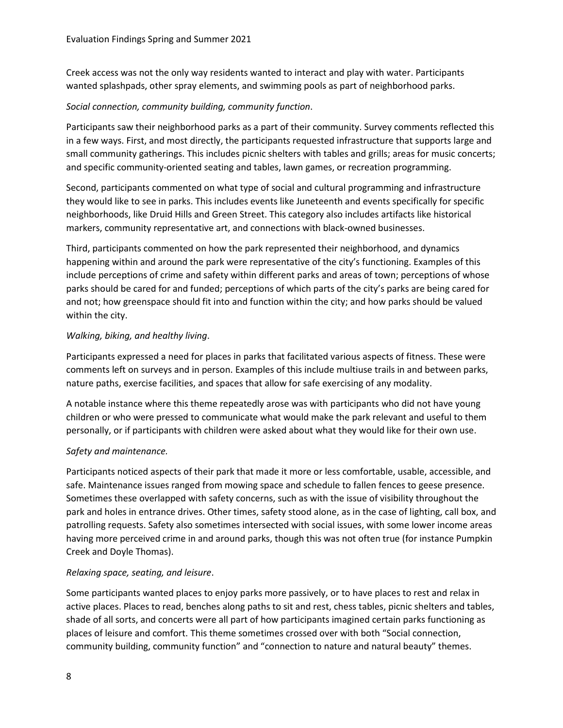Creek access was not the only way residents wanted to interact and play with water. Participants wanted splashpads, other spray elements, and swimming pools as part of neighborhood parks.

# *Social connection, community building, community function*.

Participants saw their neighborhood parks as a part of their community. Survey comments reflected this in a few ways. First, and most directly, the participants requested infrastructure that supports large and small community gatherings. This includes picnic shelters with tables and grills; areas for music concerts; and specific community-oriented seating and tables, lawn games, or recreation programming.

Second, participants commented on what type of social and cultural programming and infrastructure they would like to see in parks. This includes events like Juneteenth and events specifically for specific neighborhoods, like Druid Hills and Green Street. This category also includes artifacts like historical markers, community representative art, and connections with black-owned businesses.

Third, participants commented on how the park represented their neighborhood, and dynamics happening within and around the park were representative of the city's functioning. Examples of this include perceptions of crime and safety within different parks and areas of town; perceptions of whose parks should be cared for and funded; perceptions of which parts of the city's parks are being cared for and not; how greenspace should fit into and function within the city; and how parks should be valued within the city.

# *Walking, biking, and healthy living*.

Participants expressed a need for places in parks that facilitated various aspects of fitness. These were comments left on surveys and in person. Examples of this include multiuse trails in and between parks, nature paths, exercise facilities, and spaces that allow for safe exercising of any modality.

A notable instance where this theme repeatedly arose was with participants who did not have young children or who were pressed to communicate what would make the park relevant and useful to them personally, or if participants with children were asked about what they would like for their own use.

# *Safety and maintenance.*

Participants noticed aspects of their park that made it more or less comfortable, usable, accessible, and safe. Maintenance issues ranged from mowing space and schedule to fallen fences to geese presence. Sometimes these overlapped with safety concerns, such as with the issue of visibility throughout the park and holes in entrance drives. Other times, safety stood alone, as in the case of lighting, call box, and patrolling requests. Safety also sometimes intersected with social issues, with some lower income areas having more perceived crime in and around parks, though this was not often true (for instance Pumpkin Creek and Doyle Thomas).

# *Relaxing space, seating, and leisure*.

Some participants wanted places to enjoy parks more passively, or to have places to rest and relax in active places. Places to read, benches along paths to sit and rest, chess tables, picnic shelters and tables, shade of all sorts, and concerts were all part of how participants imagined certain parks functioning as places of leisure and comfort. This theme sometimes crossed over with both "Social connection, community building, community function" and "connection to nature and natural beauty" themes.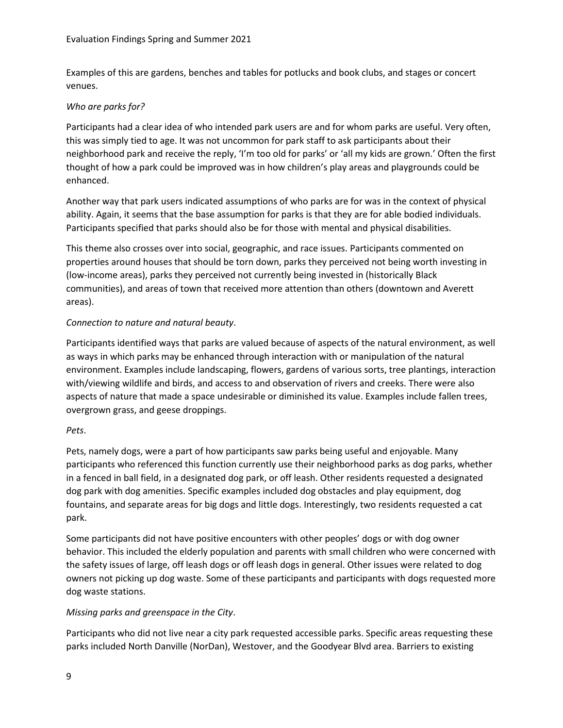Examples of this are gardens, benches and tables for potlucks and book clubs, and stages or concert venues.

# *Who are parks for?*

Participants had a clear idea of who intended park users are and for whom parks are useful. Very often, this was simply tied to age. It was not uncommon for park staff to ask participants about their neighborhood park and receive the reply, 'I'm too old for parks' or 'all my kids are grown.' Often the first thought of how a park could be improved was in how children's play areas and playgrounds could be enhanced.

Another way that park users indicated assumptions of who parks are for was in the context of physical ability. Again, it seems that the base assumption for parks is that they are for able bodied individuals. Participants specified that parks should also be for those with mental and physical disabilities.

This theme also crosses over into social, geographic, and race issues. Participants commented on properties around houses that should be torn down, parks they perceived not being worth investing in (low-income areas), parks they perceived not currently being invested in (historically Black communities), and areas of town that received more attention than others (downtown and Averett areas).

# *Connection to nature and natural beauty*.

Participants identified ways that parks are valued because of aspects of the natural environment, as well as ways in which parks may be enhanced through interaction with or manipulation of the natural environment. Examples include landscaping, flowers, gardens of various sorts, tree plantings, interaction with/viewing wildlife and birds, and access to and observation of rivers and creeks. There were also aspects of nature that made a space undesirable or diminished its value. Examples include fallen trees, overgrown grass, and geese droppings.

# *Pets*.

Pets, namely dogs, were a part of how participants saw parks being useful and enjoyable. Many participants who referenced this function currently use their neighborhood parks as dog parks, whether in a fenced in ball field, in a designated dog park, or off leash. Other residents requested a designated dog park with dog amenities. Specific examples included dog obstacles and play equipment, dog fountains, and separate areas for big dogs and little dogs. Interestingly, two residents requested a cat park.

Some participants did not have positive encounters with other peoples' dogs or with dog owner behavior. This included the elderly population and parents with small children who were concerned with the safety issues of large, off leash dogs or off leash dogs in general. Other issues were related to dog owners not picking up dog waste. Some of these participants and participants with dogs requested more dog waste stations.

# *Missing parks and greenspace in the City*.

Participants who did not live near a city park requested accessible parks. Specific areas requesting these parks included North Danville (NorDan), Westover, and the Goodyear Blvd area. Barriers to existing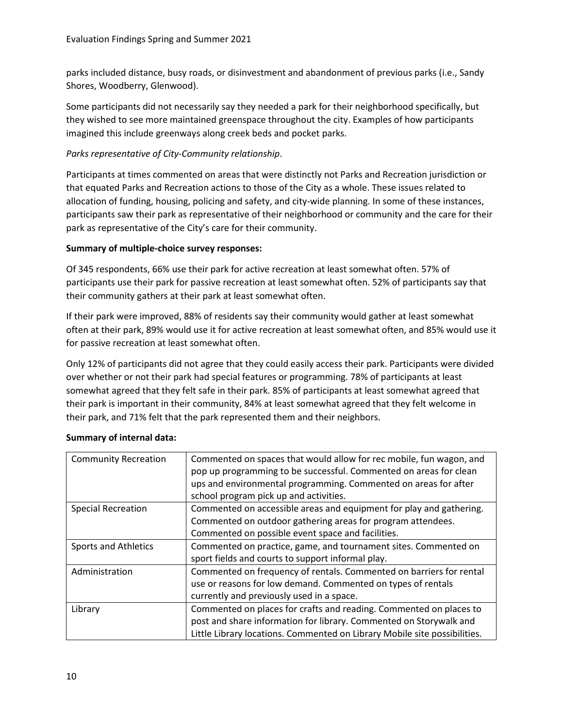parks included distance, busy roads, or disinvestment and abandonment of previous parks (i.e., Sandy Shores, Woodberry, Glenwood).

Some participants did not necessarily say they needed a park for their neighborhood specifically, but they wished to see more maintained greenspace throughout the city. Examples of how participants imagined this include greenways along creek beds and pocket parks.

# *Parks representative of City-Community relationship*.

Participants at times commented on areas that were distinctly not Parks and Recreation jurisdiction or that equated Parks and Recreation actions to those of the City as a whole. These issues related to allocation of funding, housing, policing and safety, and city-wide planning. In some of these instances, participants saw their park as representative of their neighborhood or community and the care for their park as representative of the City's care for their community.

# **Summary of multiple-choice survey responses:**

Of 345 respondents, 66% use their park for active recreation at least somewhat often. 57% of participants use their park for passive recreation at least somewhat often. 52% of participants say that their community gathers at their park at least somewhat often.

If their park were improved, 88% of residents say their community would gather at least somewhat often at their park, 89% would use it for active recreation at least somewhat often, and 85% would use it for passive recreation at least somewhat often.

Only 12% of participants did not agree that they could easily access their park. Participants were divided over whether or not their park had special features or programming. 78% of participants at least somewhat agreed that they felt safe in their park. 85% of participants at least somewhat agreed that their park is important in their community, 84% at least somewhat agreed that they felt welcome in their park, and 71% felt that the park represented them and their neighbors.

| <b>Community Recreation</b> | Commented on spaces that would allow for rec mobile, fun wagon, and<br>pop up programming to be successful. Commented on areas for clean<br>ups and environmental programming. Commented on areas for after<br>school program pick up and activities. |  |
|-----------------------------|-------------------------------------------------------------------------------------------------------------------------------------------------------------------------------------------------------------------------------------------------------|--|
| <b>Special Recreation</b>   | Commented on accessible areas and equipment for play and gathering.<br>Commented on outdoor gathering areas for program attendees.                                                                                                                    |  |
|                             | Commented on possible event space and facilities.                                                                                                                                                                                                     |  |
| <b>Sports and Athletics</b> | Commented on practice, game, and tournament sites. Commented on<br>sport fields and courts to support informal play.                                                                                                                                  |  |
| Administration              | Commented on frequency of rentals. Commented on barriers for rental<br>use or reasons for low demand. Commented on types of rentals<br>currently and previously used in a space.                                                                      |  |
| Library                     | Commented on places for crafts and reading. Commented on places to<br>post and share information for library. Commented on Storywalk and<br>Little Library locations. Commented on Library Mobile site possibilities.                                 |  |

# **Summary of internal data:**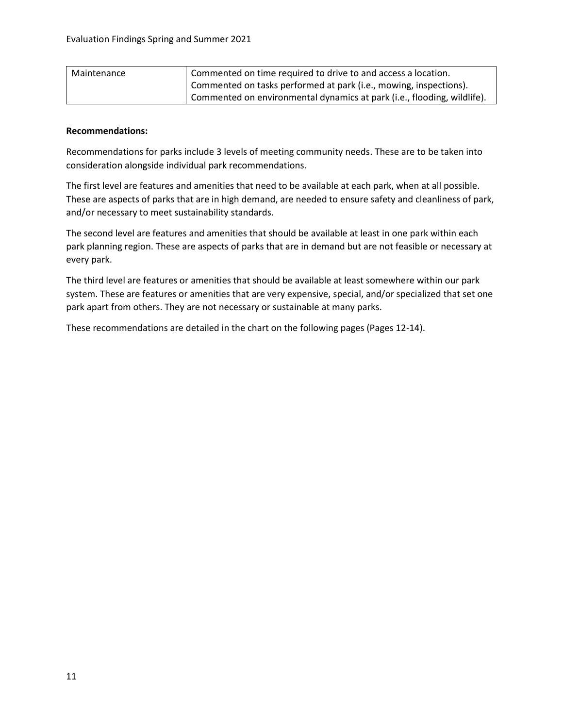| Maintenance | Commented on time required to drive to and access a location.           |  |
|-------------|-------------------------------------------------------------------------|--|
|             | Commented on tasks performed at park (i.e., mowing, inspections).       |  |
|             | Commented on environmental dynamics at park (i.e., flooding, wildlife). |  |

### **Recommendations:**

Recommendations for parks include 3 levels of meeting community needs. These are to be taken into consideration alongside individual park recommendations.

The first level are features and amenities that need to be available at each park, when at all possible. These are aspects of parks that are in high demand, are needed to ensure safety and cleanliness of park, and/or necessary to meet sustainability standards.

The second level are features and amenities that should be available at least in one park within each park planning region. These are aspects of parks that are in demand but are not feasible or necessary at every park.

The third level are features or amenities that should be available at least somewhere within our park system. These are features or amenities that are very expensive, special, and/or specialized that set one park apart from others. They are not necessary or sustainable at many parks.

These recommendations are detailed in the chart on the following pages (Pages 12-14).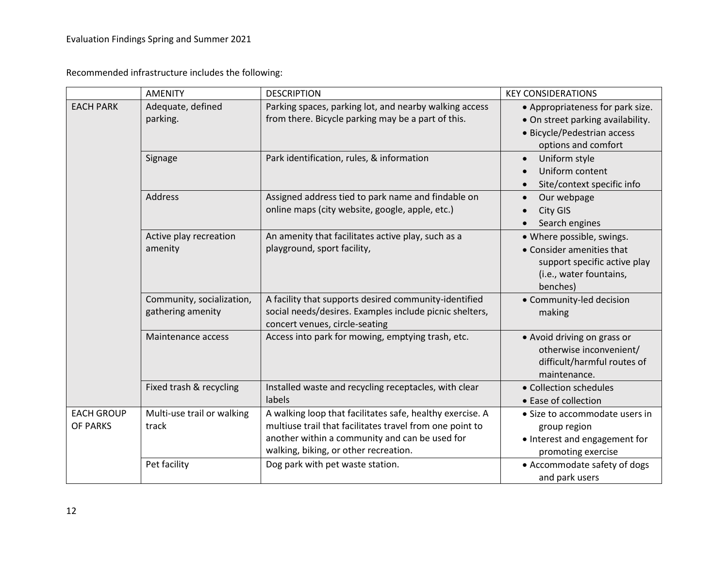Recommended infrastructure includes the following:

|                               | <b>AMENITY</b>                                 | <b>DESCRIPTION</b>                                                                                                                                                                                               | <b>KEY CONSIDERATIONS</b>                                                                                                     |
|-------------------------------|------------------------------------------------|------------------------------------------------------------------------------------------------------------------------------------------------------------------------------------------------------------------|-------------------------------------------------------------------------------------------------------------------------------|
| <b>EACH PARK</b>              | Adequate, defined<br>parking.                  | Parking spaces, parking lot, and nearby walking access<br>from there. Bicycle parking may be a part of this.                                                                                                     | • Appropriateness for park size.<br>• On street parking availability.                                                         |
|                               |                                                |                                                                                                                                                                                                                  | · Bicycle/Pedestrian access<br>options and comfort                                                                            |
|                               | Signage                                        | Park identification, rules, & information                                                                                                                                                                        | Uniform style<br>$\bullet$<br>Uniform content<br>$\bullet$<br>Site/context specific info<br>$\bullet$                         |
|                               | Address                                        | Assigned address tied to park name and findable on<br>online maps (city website, google, apple, etc.)                                                                                                            | Our webpage<br>$\bullet$<br>City GIS<br>Search engines                                                                        |
|                               | Active play recreation<br>amenity              | An amenity that facilitates active play, such as a<br>playground, sport facility,                                                                                                                                | • Where possible, swings.<br>• Consider amenities that<br>support specific active play<br>(i.e., water fountains,<br>benches) |
|                               | Community, socialization,<br>gathering amenity | A facility that supports desired community-identified<br>social needs/desires. Examples include picnic shelters,<br>concert venues, circle-seating                                                               | • Community-led decision<br>making                                                                                            |
|                               | Maintenance access                             | Access into park for mowing, emptying trash, etc.                                                                                                                                                                | • Avoid driving on grass or<br>otherwise inconvenient/<br>difficult/harmful routes of<br>maintenance.                         |
|                               | Fixed trash & recycling                        | Installed waste and recycling receptacles, with clear<br>labels                                                                                                                                                  | • Collection schedules<br>• Ease of collection                                                                                |
| <b>EACH GROUP</b><br>OF PARKS | Multi-use trail or walking<br>track            | A walking loop that facilitates safe, healthy exercise. A<br>multiuse trail that facilitates travel from one point to<br>another within a community and can be used for<br>walking, biking, or other recreation. | • Size to accommodate users in<br>group region<br>• Interest and engagement for<br>promoting exercise                         |
|                               | Pet facility                                   | Dog park with pet waste station.                                                                                                                                                                                 | • Accommodate safety of dogs<br>and park users                                                                                |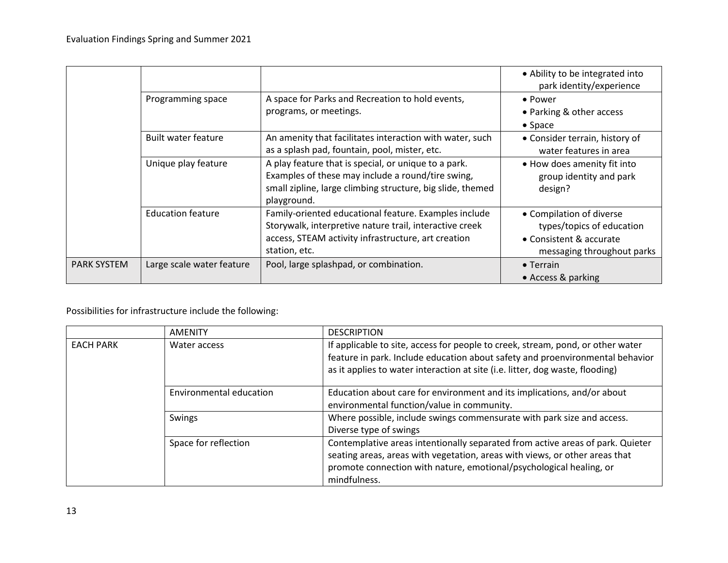|                    |                            |                                                            | • Ability to be integrated into<br>park identity/experience |
|--------------------|----------------------------|------------------------------------------------------------|-------------------------------------------------------------|
|                    | Programming space          | A space for Parks and Recreation to hold events,           | • Power                                                     |
|                    |                            | programs, or meetings.                                     | • Parking & other access                                    |
|                    |                            |                                                            | $\bullet$ Space                                             |
|                    | <b>Built water feature</b> | An amenity that facilitates interaction with water, such   | • Consider terrain, history of                              |
|                    |                            | as a splash pad, fountain, pool, mister, etc.              | water features in area                                      |
|                    | Unique play feature        | A play feature that is special, or unique to a park.       | • How does amenity fit into                                 |
|                    |                            | Examples of these may include a round/tire swing,          | group identity and park                                     |
|                    |                            | small zipline, large climbing structure, big slide, themed | design?                                                     |
|                    |                            | playground.                                                |                                                             |
|                    | <b>Education feature</b>   | Family-oriented educational feature. Examples include      | • Compilation of diverse                                    |
|                    |                            | Storywalk, interpretive nature trail, interactive creek    | types/topics of education                                   |
|                    |                            | access, STEAM activity infrastructure, art creation        | • Consistent & accurate                                     |
|                    |                            | station, etc.                                              | messaging throughout parks                                  |
| <b>PARK SYSTEM</b> | Large scale water feature  | Pool, large splashpad, or combination.                     | $\bullet$ Terrain                                           |
|                    |                            |                                                            | • Access & parking                                          |

Possibilities for infrastructure include the following:

|                  | <b>AMENITY</b>          | <b>DESCRIPTION</b>                                                                                                                                                                                                                                   |  |
|------------------|-------------------------|------------------------------------------------------------------------------------------------------------------------------------------------------------------------------------------------------------------------------------------------------|--|
| <b>EACH PARK</b> | Water access            | If applicable to site, access for people to creek, stream, pond, or other water<br>feature in park. Include education about safety and proenvironmental behavior<br>as it applies to water interaction at site (i.e. litter, dog waste, flooding)    |  |
|                  | Environmental education | Education about care for environment and its implications, and/or about<br>environmental function/value in community.                                                                                                                                |  |
|                  | Swings                  | Where possible, include swings commensurate with park size and access.<br>Diverse type of swings                                                                                                                                                     |  |
|                  | Space for reflection    | Contemplative areas intentionally separated from active areas of park. Quieter<br>seating areas, areas with vegetation, areas with views, or other areas that<br>promote connection with nature, emotional/psychological healing, or<br>mindfulness. |  |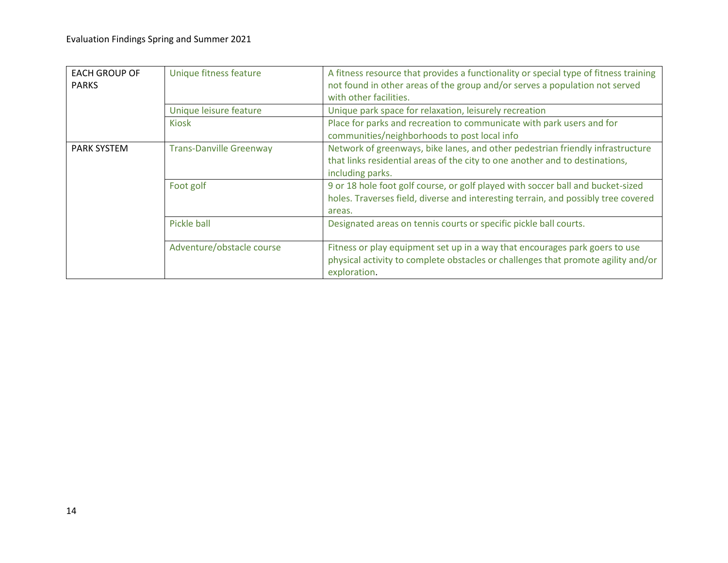| <b>EACH GROUP OF</b><br><b>PARKS</b> | Unique fitness feature         | A fitness resource that provides a functionality or special type of fitness training<br>not found in other areas of the group and/or serves a population not served<br>with other facilities. |  |
|--------------------------------------|--------------------------------|-----------------------------------------------------------------------------------------------------------------------------------------------------------------------------------------------|--|
|                                      | Unique leisure feature         | Unique park space for relaxation, leisurely recreation                                                                                                                                        |  |
|                                      | <b>Kiosk</b>                   | Place for parks and recreation to communicate with park users and for<br>communities/neighborhoods to post local info                                                                         |  |
| <b>PARK SYSTEM</b>                   | <b>Trans-Danville Greenway</b> | Network of greenways, bike lanes, and other pedestrian friendly infrastructure<br>that links residential areas of the city to one another and to destinations,<br>including parks.            |  |
|                                      | Foot golf                      | 9 or 18 hole foot golf course, or golf played with soccer ball and bucket-sized<br>holes. Traverses field, diverse and interesting terrain, and possibly tree covered<br>areas.               |  |
|                                      | Pickle ball                    | Designated areas on tennis courts or specific pickle ball courts.                                                                                                                             |  |
|                                      | Adventure/obstacle course      | Fitness or play equipment set up in a way that encourages park goers to use<br>physical activity to complete obstacles or challenges that promote agility and/or<br>exploration.              |  |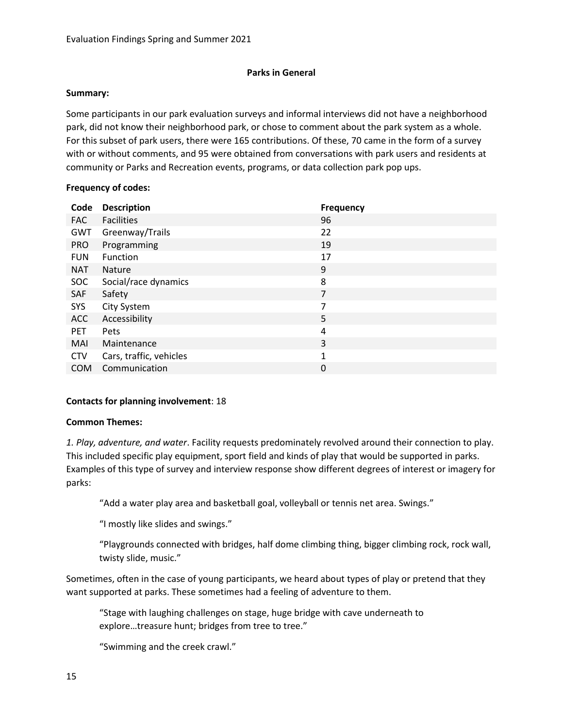# **Parks in General**

### **Summary:**

Some participants in our park evaluation surveys and informal interviews did not have a neighborhood park, did not know their neighborhood park, or chose to comment about the park system as a whole. For this subset of park users, there were 165 contributions. Of these, 70 came in the form of a survey with or without comments, and 95 were obtained from conversations with park users and residents at community or Parks and Recreation events, programs, or data collection park pop ups.

# **Frequency of codes:**

| Code       | <b>Description</b>      | <b>Frequency</b> |
|------------|-------------------------|------------------|
| <b>FAC</b> | <b>Facilities</b>       | 96               |
| <b>GWT</b> | Greenway/Trails         | 22               |
| <b>PRO</b> | Programming             | 19               |
| <b>FUN</b> | Function                | 17               |
| <b>NAT</b> | <b>Nature</b>           | 9                |
| <b>SOC</b> | Social/race dynamics    | 8                |
| SAF        | Safety                  | 7                |
| <b>SYS</b> | City System             | 7                |
| <b>ACC</b> | Accessibility           | 5                |
| <b>PET</b> | Pets                    | 4                |
| MAI        | Maintenance             | 3                |
| <b>CTV</b> | Cars, traffic, vehicles | $\mathbf{1}$     |
| <b>COM</b> | Communication           | $\pmb{0}$        |

# **Contacts for planning involvement**: 18

# **Common Themes:**

*1. Play, adventure, and water*. Facility requests predominately revolved around their connection to play. This included specific play equipment, sport field and kinds of play that would be supported in parks. Examples of this type of survey and interview response show different degrees of interest or imagery for parks:

"Add a water play area and basketball goal, volleyball or tennis net area. Swings."

"I mostly like slides and swings."

"Playgrounds connected with bridges, half dome climbing thing, bigger climbing rock, rock wall, twisty slide, music."

Sometimes, often in the case of young participants, we heard about types of play or pretend that they want supported at parks. These sometimes had a feeling of adventure to them.

"Stage with laughing challenges on stage, huge bridge with cave underneath to explore…treasure hunt; bridges from tree to tree."

"Swimming and the creek crawl."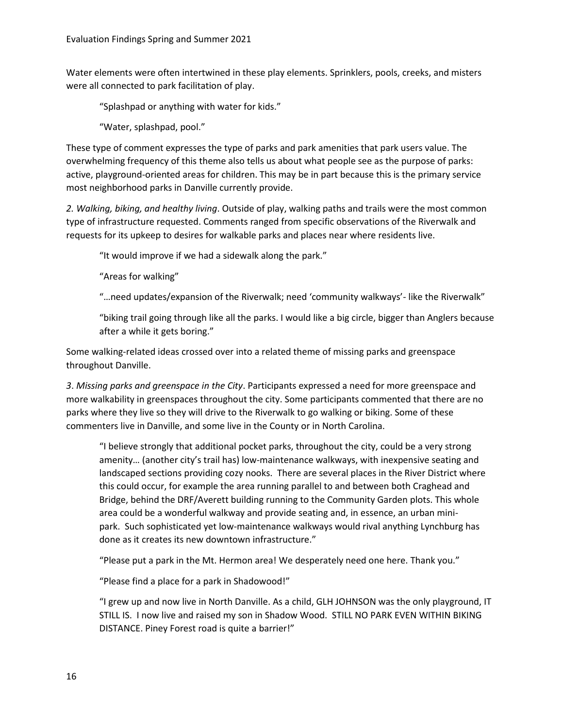Water elements were often intertwined in these play elements. Sprinklers, pools, creeks, and misters were all connected to park facilitation of play.

"Splashpad or anything with water for kids."

"Water, splashpad, pool."

These type of comment expresses the type of parks and park amenities that park users value. The overwhelming frequency of this theme also tells us about what people see as the purpose of parks: active, playground-oriented areas for children. This may be in part because this is the primary service most neighborhood parks in Danville currently provide.

*2. Walking, biking, and healthy living*. Outside of play, walking paths and trails were the most common type of infrastructure requested. Comments ranged from specific observations of the Riverwalk and requests for its upkeep to desires for walkable parks and places near where residents live.

"It would improve if we had a sidewalk along the park."

"Areas for walking"

"…need updates/expansion of the Riverwalk; need 'community walkways'- like the Riverwalk"

"biking trail going through like all the parks. I would like a big circle, bigger than Anglers because after a while it gets boring."

Some walking-related ideas crossed over into a related theme of missing parks and greenspace throughout Danville.

*3*. *Missing parks and greenspace in the City*. Participants expressed a need for more greenspace and more walkability in greenspaces throughout the city. Some participants commented that there are no parks where they live so they will drive to the Riverwalk to go walking or biking. Some of these commenters live in Danville, and some live in the County or in North Carolina.

"I believe strongly that additional pocket parks, throughout the city, could be a very strong amenity… (another city's trail has) low-maintenance walkways, with inexpensive seating and landscaped sections providing cozy nooks. There are several places in the River District where this could occur, for example the area running parallel to and between both Craghead and Bridge, behind the DRF/Averett building running to the Community Garden plots. This whole area could be a wonderful walkway and provide seating and, in essence, an urban minipark. Such sophisticated yet low-maintenance walkways would rival anything Lynchburg has done as it creates its new downtown infrastructure."

"Please put a park in the Mt. Hermon area! We desperately need one here. Thank you."

"Please find a place for a park in Shadowood!"

"I grew up and now live in North Danville. As a child, GLH JOHNSON was the only playground, IT STILL IS. I now live and raised my son in Shadow Wood. STILL NO PARK EVEN WITHIN BIKING DISTANCE. Piney Forest road is quite a barrier!"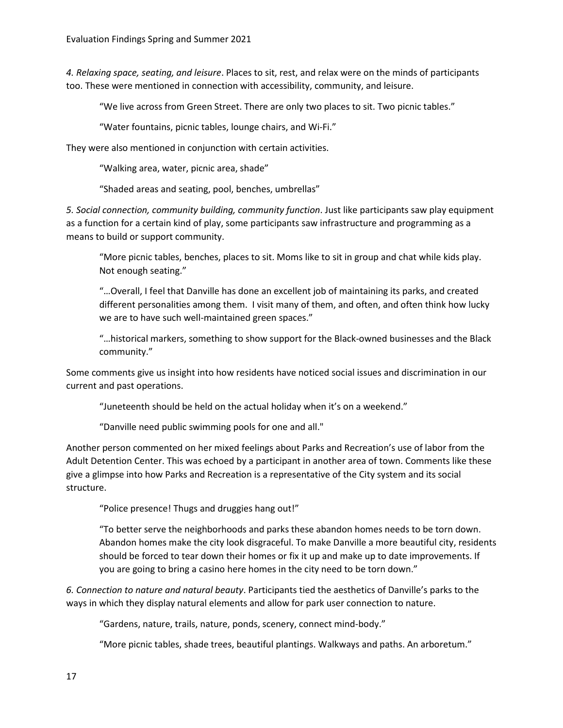*4. Relaxing space, seating, and leisure*. Places to sit, rest, and relax were on the minds of participants too. These were mentioned in connection with accessibility, community, and leisure.

"We live across from Green Street. There are only two places to sit. Two picnic tables."

"Water fountains, picnic tables, lounge chairs, and Wi-Fi."

They were also mentioned in conjunction with certain activities.

"Walking area, water, picnic area, shade"

"Shaded areas and seating, pool, benches, umbrellas"

*5. Social connection, community building, community function*. Just like participants saw play equipment as a function for a certain kind of play, some participants saw infrastructure and programming as a means to build or support community.

"More picnic tables, benches, places to sit. Moms like to sit in group and chat while kids play. Not enough seating."

"…Overall, I feel that Danville has done an excellent job of maintaining its parks, and created different personalities among them. I visit many of them, and often, and often think how lucky we are to have such well-maintained green spaces."

"…historical markers, something to show support for the Black-owned businesses and the Black community."

Some comments give us insight into how residents have noticed social issues and discrimination in our current and past operations.

"Juneteenth should be held on the actual holiday when it's on a weekend."

"Danville need public swimming pools for one and all."

Another person commented on her mixed feelings about Parks and Recreation's use of labor from the Adult Detention Center. This was echoed by a participant in another area of town. Comments like these give a glimpse into how Parks and Recreation is a representative of the City system and its social structure.

"Police presence! Thugs and druggies hang out!"

"To better serve the neighborhoods and parks these abandon homes needs to be torn down. Abandon homes make the city look disgraceful. To make Danville a more beautiful city, residents should be forced to tear down their homes or fix it up and make up to date improvements. If you are going to bring a casino here homes in the city need to be torn down."

*6. Connection to nature and natural beauty*. Participants tied the aesthetics of Danville's parks to the ways in which they display natural elements and allow for park user connection to nature.

"Gardens, nature, trails, nature, ponds, scenery, connect mind-body."

"More picnic tables, shade trees, beautiful plantings. Walkways and paths. An arboretum."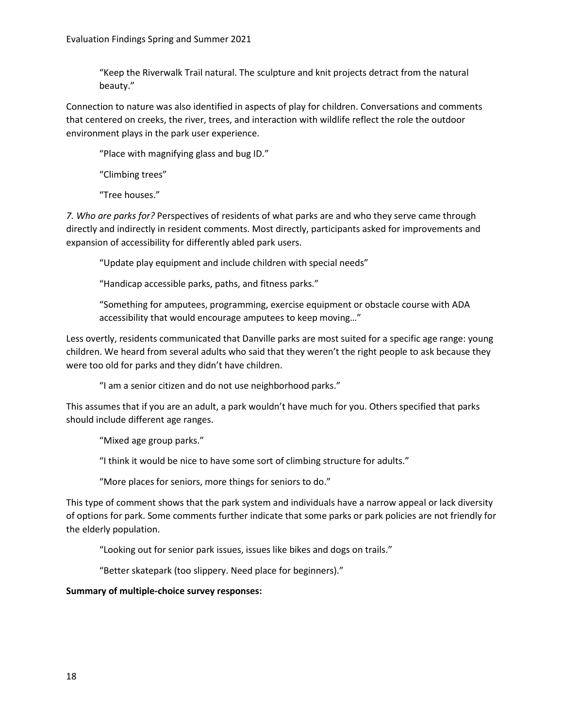"Keep the Riverwalk Trail natural. The sculpture and knit projects detract from the natural beauty."

Connection to nature was also identified in aspects of play for children. Conversations and comments that centered on creeks, the river, trees, and interaction with wildlife reflect the role the outdoor environment plays in the park user experience.

"Place with magnifying glass and bug ID."

"Climbing trees"

"Tree houses."

*7. Who are parks for?* Perspectives of residents of what parks are and who they serve came through directly and indirectly in resident comments. Most directly, participants asked for improvements and expansion of accessibility for differently abled park users.

"Update play equipment and include children with special needs"

"Handicap accessible parks, paths, and fitness parks."

"Something for amputees, programming, exercise equipment or obstacle course with ADA accessibility that would encourage amputees to keep moving…"

Less overtly, residents communicated that Danville parks are most suited for a specific age range: young children. We heard from several adults who said that they weren't the right people to ask because they were too old for parks and they didn't have children.

"I am a senior citizen and do not use neighborhood parks."

This assumes that if you are an adult, a park wouldn't have much for you. Others specified that parks should include different age ranges.

"Mixed age group parks."

"I think it would be nice to have some sort of climbing structure for adults."

"More places for seniors, more things for seniors to do."

This type of comment shows that the park system and individuals have a narrow appeal or lack diversity of options for park. Some comments further indicate that some parks or park policies are not friendly for the elderly population.

"Looking out for senior park issues, issues like bikes and dogs on trails."

"Better skatepark (too slippery. Need place for beginners)."

# **Summary of multiple-choice survey responses:**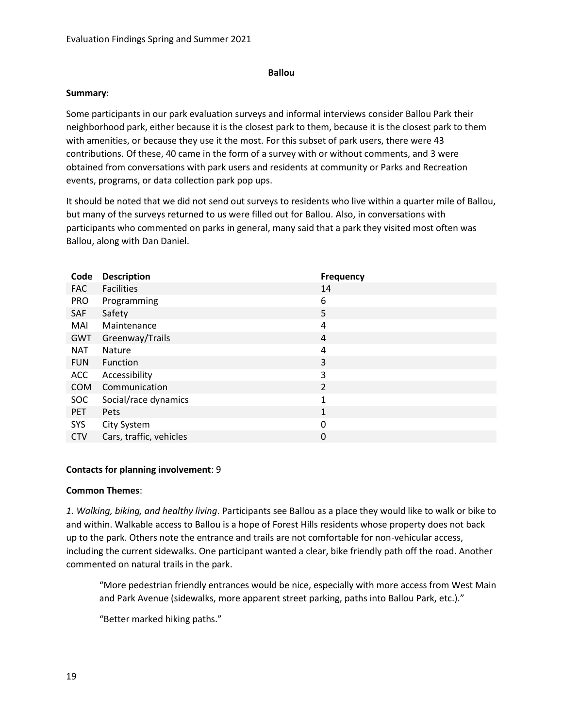### **Ballou**

### **Summary**:

Some participants in our park evaluation surveys and informal interviews consider Ballou Park their neighborhood park, either because it is the closest park to them, because it is the closest park to them with amenities, or because they use it the most. For this subset of park users, there were 43 contributions. Of these, 40 came in the form of a survey with or without comments, and 3 were obtained from conversations with park users and residents at community or Parks and Recreation events, programs, or data collection park pop ups.

It should be noted that we did not send out surveys to residents who live within a quarter mile of Ballou, but many of the surveys returned to us were filled out for Ballou. Also, in conversations with participants who commented on parks in general, many said that a park they visited most often was Ballou, along with Dan Daniel.

| Code       | <b>Description</b>      | <b>Frequency</b> |
|------------|-------------------------|------------------|
| <b>FAC</b> | <b>Facilities</b>       | 14               |
| <b>PRO</b> | Programming             | 6                |
| <b>SAF</b> | Safety                  | 5                |
| MAI        | Maintenance             | 4                |
| GWT        | Greenway/Trails         | 4                |
| <b>NAT</b> | <b>Nature</b>           | 4                |
| <b>FUN</b> | Function                | 3                |
| <b>ACC</b> | Accessibility           | 3                |
| <b>COM</b> | Communication           | 2                |
| <b>SOC</b> | Social/race dynamics    | $\mathbf{1}$     |
| <b>PET</b> | <b>Pets</b>             | $\mathbf{1}$     |
| SYS        | City System             | 0                |
| <b>CTV</b> | Cars, traffic, vehicles | 0                |

# **Contacts for planning involvement**: 9

# **Common Themes**:

*1. Walking, biking, and healthy living*. Participants see Ballou as a place they would like to walk or bike to and within. Walkable access to Ballou is a hope of Forest Hills residents whose property does not back up to the park. Others note the entrance and trails are not comfortable for non-vehicular access, including the current sidewalks. One participant wanted a clear, bike friendly path off the road. Another commented on natural trails in the park.

"More pedestrian friendly entrances would be nice, especially with more access from West Main and Park Avenue (sidewalks, more apparent street parking, paths into Ballou Park, etc.)."

"Better marked hiking paths."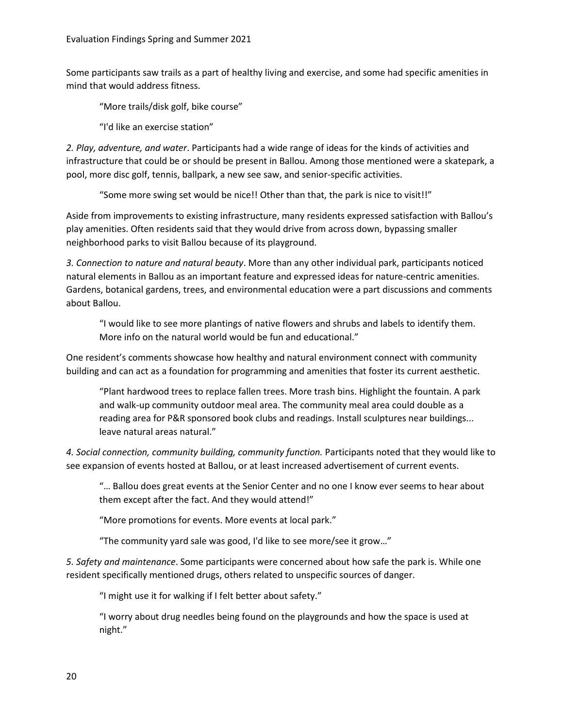Some participants saw trails as a part of healthy living and exercise, and some had specific amenities in mind that would address fitness.

"More trails/disk golf, bike course"

"I'd like an exercise station"

*2. Play, adventure, and water*. Participants had a wide range of ideas for the kinds of activities and infrastructure that could be or should be present in Ballou. Among those mentioned were a skatepark, a pool, more disc golf, tennis, ballpark, a new see saw, and senior-specific activities.

"Some more swing set would be nice!! Other than that, the park is nice to visit!!"

Aside from improvements to existing infrastructure, many residents expressed satisfaction with Ballou's play amenities. Often residents said that they would drive from across down, bypassing smaller neighborhood parks to visit Ballou because of its playground.

*3. Connection to nature and natural beauty*. More than any other individual park, participants noticed natural elements in Ballou as an important feature and expressed ideas for nature-centric amenities. Gardens, botanical gardens, trees, and environmental education were a part discussions and comments about Ballou.

"I would like to see more plantings of native flowers and shrubs and labels to identify them. More info on the natural world would be fun and educational."

One resident's comments showcase how healthy and natural environment connect with community building and can act as a foundation for programming and amenities that foster its current aesthetic.

"Plant hardwood trees to replace fallen trees. More trash bins. Highlight the fountain. A park and walk-up community outdoor meal area. The community meal area could double as a reading area for P&R sponsored book clubs and readings. Install sculptures near buildings... leave natural areas natural."

*4. Social connection, community building, community function.* Participants noted that they would like to see expansion of events hosted at Ballou, or at least increased advertisement of current events.

"… Ballou does great events at the Senior Center and no one I know ever seems to hear about them except after the fact. And they would attend!"

"More promotions for events. More events at local park."

"The community yard sale was good, I'd like to see more/see it grow…"

*5. Safety and maintenance*. Some participants were concerned about how safe the park is. While one resident specifically mentioned drugs, others related to unspecific sources of danger.

"I might use it for walking if I felt better about safety."

"I worry about drug needles being found on the playgrounds and how the space is used at night."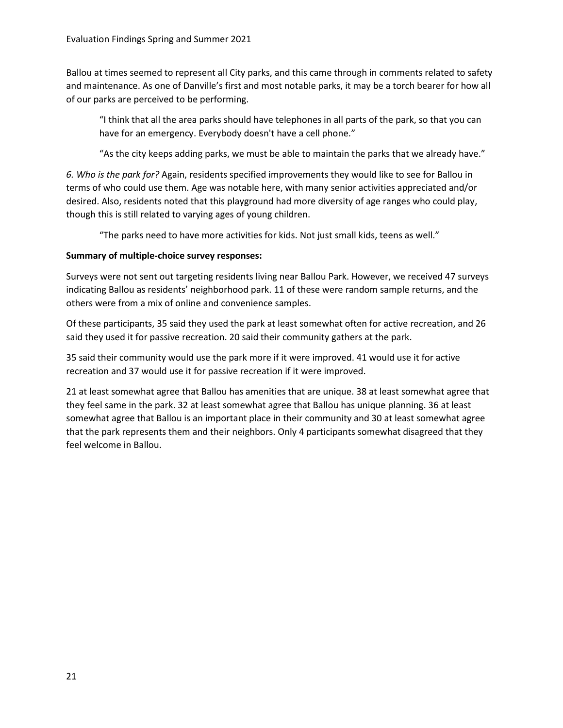Ballou at times seemed to represent all City parks, and this came through in comments related to safety and maintenance. As one of Danville's first and most notable parks, it may be a torch bearer for how all of our parks are perceived to be performing.

"I think that all the area parks should have telephones in all parts of the park, so that you can have for an emergency. Everybody doesn't have a cell phone."

"As the city keeps adding parks, we must be able to maintain the parks that we already have."

*6. Who is the park for?* Again, residents specified improvements they would like to see for Ballou in terms of who could use them. Age was notable here, with many senior activities appreciated and/or desired. Also, residents noted that this playground had more diversity of age ranges who could play, though this is still related to varying ages of young children.

"The parks need to have more activities for kids. Not just small kids, teens as well."

# **Summary of multiple-choice survey responses:**

Surveys were not sent out targeting residents living near Ballou Park. However, we received 47 surveys indicating Ballou as residents' neighborhood park. 11 of these were random sample returns, and the others were from a mix of online and convenience samples.

Of these participants, 35 said they used the park at least somewhat often for active recreation, and 26 said they used it for passive recreation. 20 said their community gathers at the park.

35 said their community would use the park more if it were improved. 41 would use it for active recreation and 37 would use it for passive recreation if it were improved.

21 at least somewhat agree that Ballou has amenities that are unique. 38 at least somewhat agree that they feel same in the park. 32 at least somewhat agree that Ballou has unique planning. 36 at least somewhat agree that Ballou is an important place in their community and 30 at least somewhat agree that the park represents them and their neighbors. Only 4 participants somewhat disagreed that they feel welcome in Ballou.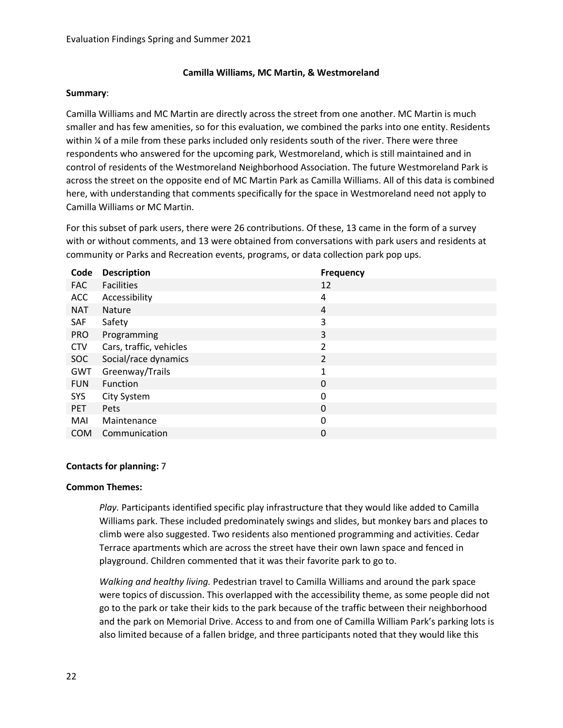# **Camilla Williams, MC Martin, & Westmoreland**

#### **Summary**:

Camilla Williams and MC Martin are directly across the street from one another. MC Martin is much smaller and has few amenities, so for this evaluation, we combined the parks into one entity. Residents within % of a mile from these parks included only residents south of the river. There were three respondents who answered for the upcoming park, Westmoreland, which is still maintained and in control of residents of the Westmoreland Neighborhood Association. The future Westmoreland Park is across the street on the opposite end of MC Martin Park as Camilla Williams. All of this data is combined here, with understanding that comments specifically for the space in Westmoreland need not apply to Camilla Williams or MC Martin.

For this subset of park users, there were 26 contributions. Of these, 13 came in the form of a survey with or without comments, and 13 were obtained from conversations with park users and residents at community or Parks and Recreation events, programs, or data collection park pop ups.

| Code       | <b>Description</b>      | <b>Frequency</b> |
|------------|-------------------------|------------------|
| <b>FAC</b> | <b>Facilities</b>       | 12               |
| <b>ACC</b> | Accessibility           | 4                |
| <b>NAT</b> | <b>Nature</b>           | $\overline{4}$   |
| SAF        | Safety                  | 3                |
| <b>PRO</b> | Programming             | 3                |
| <b>CTV</b> | Cars, traffic, vehicles | 2                |
| SOC        | Social/race dynamics    | $\overline{2}$   |
| <b>GWT</b> | Greenway/Trails         | 1                |
| <b>FUN</b> | Function                | 0                |
| SYS        | City System             | 0                |
| <b>PET</b> | Pets                    | 0                |
| MAI        | Maintenance             | 0                |
| <b>COM</b> | Communication           | 0                |

#### **Contacts for planning:** 7

#### **Common Themes:**

*Play.* Participants identified specific play infrastructure that they would like added to Camilla Williams park. These included predominately swings and slides, but monkey bars and places to climb were also suggested. Two residents also mentioned programming and activities. Cedar Terrace apartments which are across the street have their own lawn space and fenced in playground. Children commented that it was their favorite park to go to.

*Walking and healthy living.* Pedestrian travel to Camilla Williams and around the park space were topics of discussion. This overlapped with the accessibility theme, as some people did not go to the park or take their kids to the park because of the traffic between their neighborhood and the park on Memorial Drive. Access to and from one of Camilla William Park's parking lots is also limited because of a fallen bridge, and three participants noted that they would like this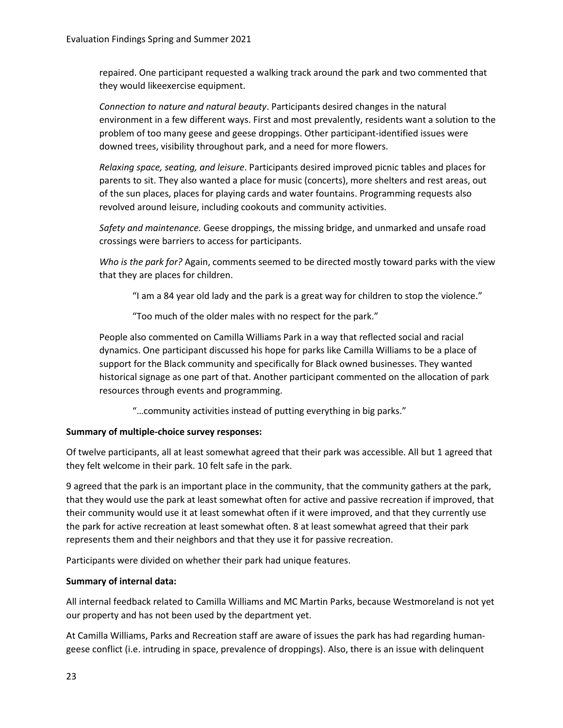repaired. One participant requested a walking track around the park and two commented that they would likeexercise equipment.

*Connection to nature and natural beauty*. Participants desired changes in the natural environment in a few different ways. First and most prevalently, residents want a solution to the problem of too many geese and geese droppings. Other participant-identified issues were downed trees, visibility throughout park, and a need for more flowers.

*Relaxing space, seating, and leisure*. Participants desired improved picnic tables and places for parents to sit. They also wanted a place for music (concerts), more shelters and rest areas, out of the sun places, places for playing cards and water fountains. Programming requests also revolved around leisure, including cookouts and community activities.

*Safety and maintenance.* Geese droppings, the missing bridge, and unmarked and unsafe road crossings were barriers to access for participants.

*Who is the park for?* Again, comments seemed to be directed mostly toward parks with the view that they are places for children.

"I am a 84 year old lady and the park is a great way for children to stop the violence."

"Too much of the older males with no respect for the park."

People also commented on Camilla Williams Park in a way that reflected social and racial dynamics. One participant discussed his hope for parks like Camilla Williams to be a place of support for the Black community and specifically for Black owned businesses. They wanted historical signage as one part of that. Another participant commented on the allocation of park resources through events and programming.

"…community activities instead of putting everything in big parks."

#### **Summary of multiple-choice survey responses:**

Of twelve participants, all at least somewhat agreed that their park was accessible. All but 1 agreed that they felt welcome in their park. 10 felt safe in the park.

9 agreed that the park is an important place in the community, that the community gathers at the park, that they would use the park at least somewhat often for active and passive recreation if improved, that their community would use it at least somewhat often if it were improved, and that they currently use the park for active recreation at least somewhat often. 8 at least somewhat agreed that their park represents them and their neighbors and that they use it for passive recreation.

Participants were divided on whether their park had unique features.

#### **Summary of internal data:**

All internal feedback related to Camilla Williams and MC Martin Parks, because Westmoreland is not yet our property and has not been used by the department yet.

At Camilla Williams, Parks and Recreation staff are aware of issues the park has had regarding humangeese conflict (i.e. intruding in space, prevalence of droppings). Also, there is an issue with delinquent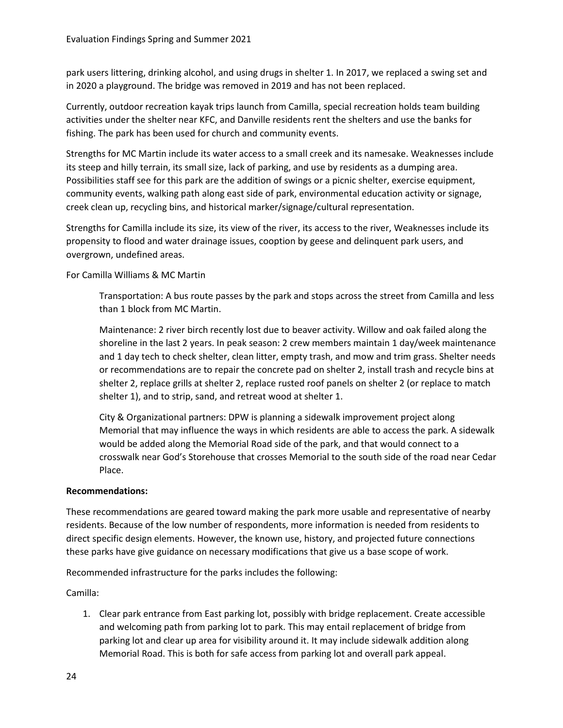park users littering, drinking alcohol, and using drugs in shelter 1. In 2017, we replaced a swing set and in 2020 a playground. The bridge was removed in 2019 and has not been replaced.

Currently, outdoor recreation kayak trips launch from Camilla, special recreation holds team building activities under the shelter near KFC, and Danville residents rent the shelters and use the banks for fishing. The park has been used for church and community events.

Strengths for MC Martin include its water access to a small creek and its namesake. Weaknesses include its steep and hilly terrain, its small size, lack of parking, and use by residents as a dumping area. Possibilities staff see for this park are the addition of swings or a picnic shelter, exercise equipment, community events, walking path along east side of park, environmental education activity or signage, creek clean up, recycling bins, and historical marker/signage/cultural representation.

Strengths for Camilla include its size, its view of the river, its access to the river, Weaknesses include its propensity to flood and water drainage issues, cooption by geese and delinquent park users, and overgrown, undefined areas.

For Camilla Williams & MC Martin

Transportation: A bus route passes by the park and stops across the street from Camilla and less than 1 block from MC Martin.

Maintenance: 2 river birch recently lost due to beaver activity. Willow and oak failed along the shoreline in the last 2 years. In peak season: 2 crew members maintain 1 day/week maintenance and 1 day tech to check shelter, clean litter, empty trash, and mow and trim grass. Shelter needs or recommendations are to repair the concrete pad on shelter 2, install trash and recycle bins at shelter 2, replace grills at shelter 2, replace rusted roof panels on shelter 2 (or replace to match shelter 1), and to strip, sand, and retreat wood at shelter 1.

City & Organizational partners: DPW is planning a sidewalk improvement project along Memorial that may influence the ways in which residents are able to access the park. A sidewalk would be added along the Memorial Road side of the park, and that would connect to a crosswalk near God's Storehouse that crosses Memorial to the south side of the road near Cedar Place.

# **Recommendations:**

These recommendations are geared toward making the park more usable and representative of nearby residents. Because of the low number of respondents, more information is needed from residents to direct specific design elements. However, the known use, history, and projected future connections these parks have give guidance on necessary modifications that give us a base scope of work.

Recommended infrastructure for the parks includes the following:

Camilla:

1. Clear park entrance from East parking lot, possibly with bridge replacement. Create accessible and welcoming path from parking lot to park. This may entail replacement of bridge from parking lot and clear up area for visibility around it. It may include sidewalk addition along Memorial Road. This is both for safe access from parking lot and overall park appeal.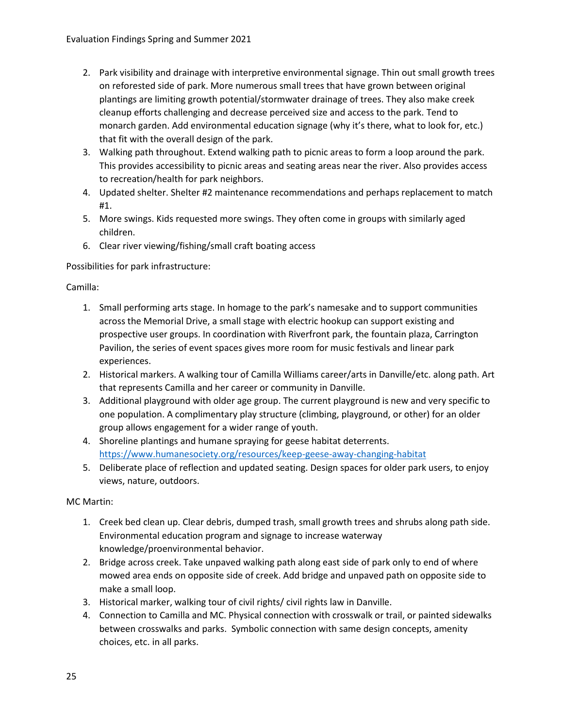- 2. Park visibility and drainage with interpretive environmental signage. Thin out small growth trees on reforested side of park. More numerous small trees that have grown between original plantings are limiting growth potential/stormwater drainage of trees. They also make creek cleanup efforts challenging and decrease perceived size and access to the park. Tend to monarch garden. Add environmental education signage (why it's there, what to look for, etc.) that fit with the overall design of the park.
- 3. Walking path throughout. Extend walking path to picnic areas to form a loop around the park. This provides accessibility to picnic areas and seating areas near the river. Also provides access to recreation/health for park neighbors.
- 4. Updated shelter. Shelter #2 maintenance recommendations and perhaps replacement to match #1.
- 5. More swings. Kids requested more swings. They often come in groups with similarly aged children.
- 6. Clear river viewing/fishing/small craft boating access

Possibilities for park infrastructure:

Camilla:

- 1. Small performing arts stage. In homage to the park's namesake and to support communities across the Memorial Drive, a small stage with electric hookup can support existing and prospective user groups. In coordination with Riverfront park, the fountain plaza, Carrington Pavilion, the series of event spaces gives more room for music festivals and linear park experiences.
- 2. Historical markers. A walking tour of Camilla Williams career/arts in Danville/etc. along path. Art that represents Camilla and her career or community in Danville.
- 3. Additional playground with older age group. The current playground is new and very specific to one population. A complimentary play structure (climbing, playground, or other) for an older group allows engagement for a wider range of youth.
- 4. Shoreline plantings and humane spraying for geese habitat deterrents. <https://www.humanesociety.org/resources/keep-geese-away-changing-habitat>
- 5. Deliberate place of reflection and updated seating. Design spaces for older park users, to enjoy views, nature, outdoors.

MC Martin:

- 1. Creek bed clean up. Clear debris, dumped trash, small growth trees and shrubs along path side. Environmental education program and signage to increase waterway knowledge/proenvironmental behavior.
- 2. Bridge across creek. Take unpaved walking path along east side of park only to end of where mowed area ends on opposite side of creek. Add bridge and unpaved path on opposite side to make a small loop.
- 3. Historical marker, walking tour of civil rights/ civil rights law in Danville.
- 4. Connection to Camilla and MC. Physical connection with crosswalk or trail, or painted sidewalks between crosswalks and parks. Symbolic connection with same design concepts, amenity choices, etc. in all parks.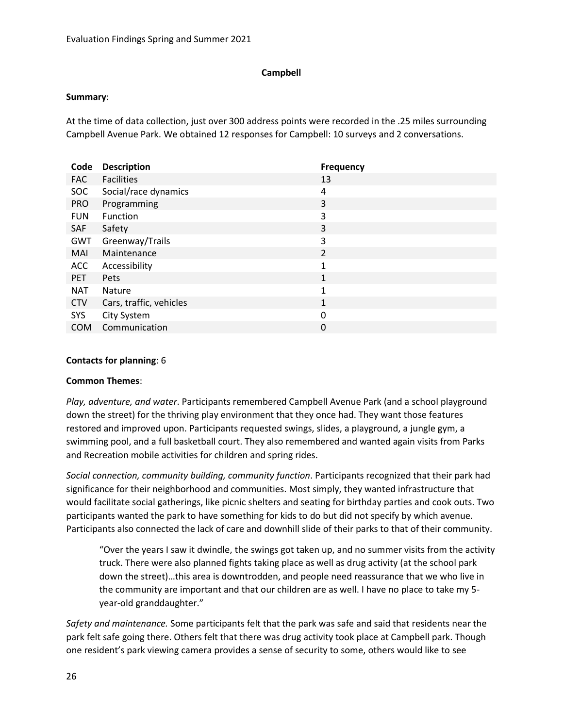# **Campbell**

# **Summary**:

At the time of data collection, just over 300 address points were recorded in the .25 miles surrounding Campbell Avenue Park. We obtained 12 responses for Campbell: 10 surveys and 2 conversations.

| Code       | <b>Description</b>      | <b>Frequency</b> |
|------------|-------------------------|------------------|
| <b>FAC</b> | <b>Facilities</b>       | 13               |
| <b>SOC</b> | Social/race dynamics    | 4                |
| <b>PRO</b> | Programming             | 3                |
| <b>FUN</b> | Function                | 3                |
| SAF        | Safety                  | 3                |
| <b>GWT</b> | Greenway/Trails         | 3                |
| MAI        | Maintenance             | $\overline{2}$   |
| <b>ACC</b> | Accessibility           | $\mathbf{1}$     |
| <b>PET</b> | Pets                    | $\mathbf{1}$     |
| <b>NAT</b> | <b>Nature</b>           | $\mathbf{1}$     |
| <b>CTV</b> | Cars, traffic, vehicles | $\mathbf{1}$     |
| SYS        | City System             | 0                |
| <b>COM</b> | Communication           | 0                |

# **Contacts for planning**: 6

# **Common Themes**:

*Play, adventure, and water*. Participants remembered Campbell Avenue Park (and a school playground down the street) for the thriving play environment that they once had. They want those features restored and improved upon. Participants requested swings, slides, a playground, a jungle gym, a swimming pool, and a full basketball court. They also remembered and wanted again visits from Parks and Recreation mobile activities for children and spring rides.

*Social connection, community building, community function*. Participants recognized that their park had significance for their neighborhood and communities. Most simply, they wanted infrastructure that would facilitate social gatherings, like picnic shelters and seating for birthday parties and cook outs. Two participants wanted the park to have something for kids to do but did not specify by which avenue. Participants also connected the lack of care and downhill slide of their parks to that of their community.

"Over the years I saw it dwindle, the swings got taken up, and no summer visits from the activity truck. There were also planned fights taking place as well as drug activity (at the school park down the street)…this area is downtrodden, and people need reassurance that we who live in the community are important and that our children are as well. I have no place to take my 5 year-old granddaughter."

*Safety and maintenance.* Some participants felt that the park was safe and said that residents near the park felt safe going there. Others felt that there was drug activity took place at Campbell park. Though one resident's park viewing camera provides a sense of security to some, others would like to see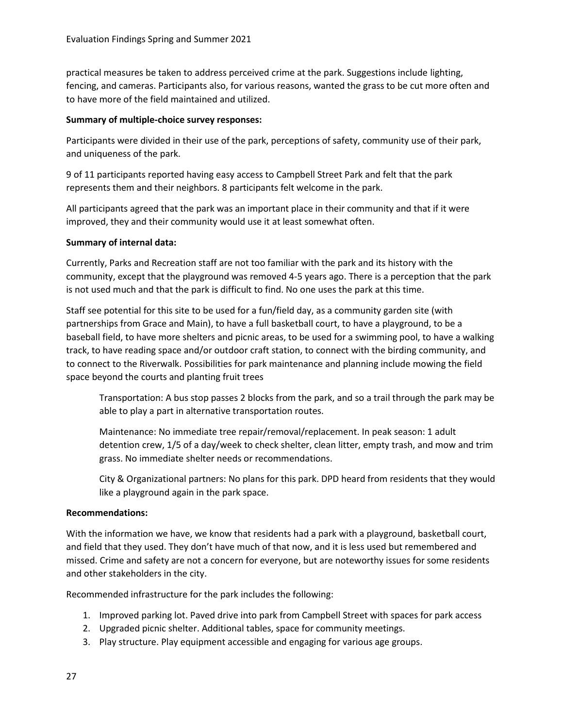practical measures be taken to address perceived crime at the park. Suggestions include lighting, fencing, and cameras. Participants also, for various reasons, wanted the grass to be cut more often and to have more of the field maintained and utilized.

# **Summary of multiple-choice survey responses:**

Participants were divided in their use of the park, perceptions of safety, community use of their park, and uniqueness of the park.

9 of 11 participants reported having easy access to Campbell Street Park and felt that the park represents them and their neighbors. 8 participants felt welcome in the park.

All participants agreed that the park was an important place in their community and that if it were improved, they and their community would use it at least somewhat often.

# **Summary of internal data:**

Currently, Parks and Recreation staff are not too familiar with the park and its history with the community, except that the playground was removed 4-5 years ago. There is a perception that the park is not used much and that the park is difficult to find. No one uses the park at this time.

Staff see potential for this site to be used for a fun/field day, as a community garden site (with partnerships from Grace and Main), to have a full basketball court, to have a playground, to be a baseball field, to have more shelters and picnic areas, to be used for a swimming pool, to have a walking track, to have reading space and/or outdoor craft station, to connect with the birding community, and to connect to the Riverwalk. Possibilities for park maintenance and planning include mowing the field space beyond the courts and planting fruit trees

Transportation: A bus stop passes 2 blocks from the park, and so a trail through the park may be able to play a part in alternative transportation routes.

Maintenance: No immediate tree repair/removal/replacement. In peak season: 1 adult detention crew, 1/5 of a day/week to check shelter, clean litter, empty trash, and mow and trim grass. No immediate shelter needs or recommendations.

City & Organizational partners: No plans for this park. DPD heard from residents that they would like a playground again in the park space.

# **Recommendations:**

With the information we have, we know that residents had a park with a playground, basketball court, and field that they used. They don't have much of that now, and it is less used but remembered and missed. Crime and safety are not a concern for everyone, but are noteworthy issues for some residents and other stakeholders in the city.

Recommended infrastructure for the park includes the following:

- 1. Improved parking lot. Paved drive into park from Campbell Street with spaces for park access
- 2. Upgraded picnic shelter. Additional tables, space for community meetings.
- 3. Play structure. Play equipment accessible and engaging for various age groups.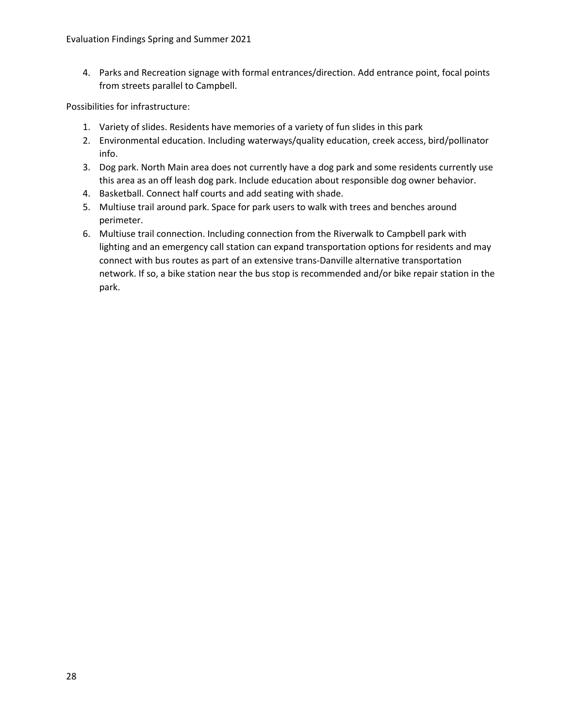4. Parks and Recreation signage with formal entrances/direction. Add entrance point, focal points from streets parallel to Campbell.

Possibilities for infrastructure:

- 1. Variety of slides. Residents have memories of a variety of fun slides in this park
- 2. Environmental education. Including waterways/quality education, creek access, bird/pollinator info.
- 3. Dog park. North Main area does not currently have a dog park and some residents currently use this area as an off leash dog park. Include education about responsible dog owner behavior.
- 4. Basketball. Connect half courts and add seating with shade.
- 5. Multiuse trail around park. Space for park users to walk with trees and benches around perimeter.
- 6. Multiuse trail connection. Including connection from the Riverwalk to Campbell park with lighting and an emergency call station can expand transportation options for residents and may connect with bus routes as part of an extensive trans-Danville alternative transportation network. If so, a bike station near the bus stop is recommended and/or bike repair station in the park.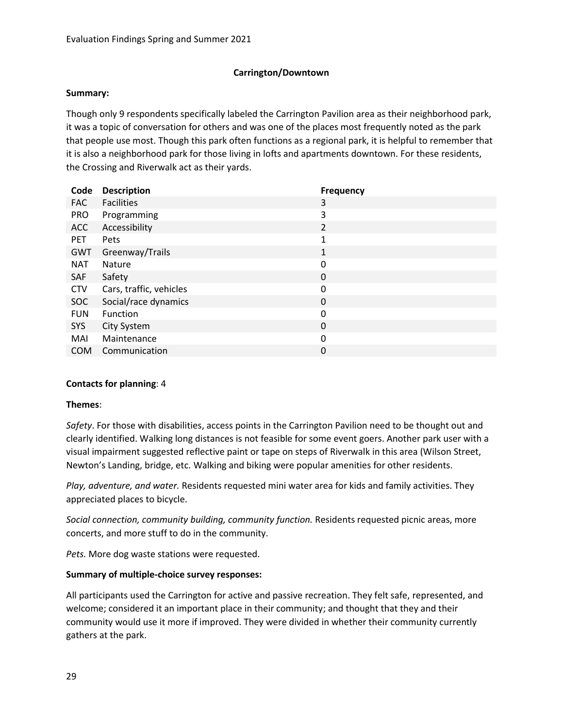# **Carrington/Downtown**

### **Summary:**

Though only 9 respondents specifically labeled the Carrington Pavilion area as their neighborhood park, it was a topic of conversation for others and was one of the places most frequently noted as the park that people use most. Though this park often functions as a regional park, it is helpful to remember that it is also a neighborhood park for those living in lofts and apartments downtown. For these residents, the Crossing and Riverwalk act as their yards.

| <b>Description</b>      | <b>Frequency</b> |
|-------------------------|------------------|
| <b>Facilities</b>       | 3                |
| Programming             | 3                |
| Accessibility           | $\overline{2}$   |
| Pets                    | $\mathbf{1}$     |
| Greenway/Trails         | 1                |
| <b>Nature</b>           | 0                |
| Safety                  | 0                |
| Cars, traffic, vehicles | 0                |
| Social/race dynamics    | $\Omega$         |
| Function                | 0                |
| City System             | 0                |
| Maintenance             | 0                |
| Communication           | 0                |
|                         |                  |

# **Contacts for planning**: 4

#### **Themes**:

*Safety*. For those with disabilities, access points in the Carrington Pavilion need to be thought out and clearly identified. Walking long distances is not feasible for some event goers. Another park user with a visual impairment suggested reflective paint or tape on steps of Riverwalk in this area (Wilson Street, Newton's Landing, bridge, etc. Walking and biking were popular amenities for other residents.

*Play, adventure, and water.* Residents requested mini water area for kids and family activities. They appreciated places to bicycle.

*Social connection, community building, community function.* Residents requested picnic areas, more concerts, and more stuff to do in the community.

*Pets.* More dog waste stations were requested.

# **Summary of multiple-choice survey responses:**

All participants used the Carrington for active and passive recreation. They felt safe, represented, and welcome; considered it an important place in their community; and thought that they and their community would use it more if improved. They were divided in whether their community currently gathers at the park.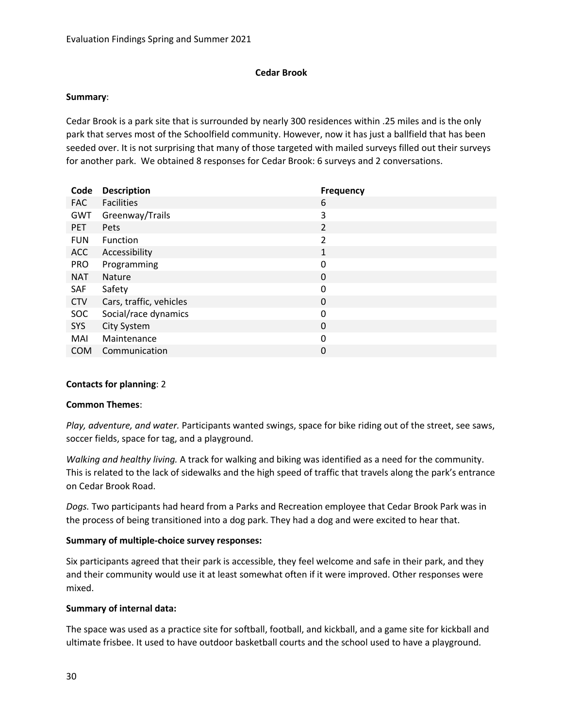### **Cedar Brook**

### **Summary**:

Cedar Brook is a park site that is surrounded by nearly 300 residences within .25 miles and is the only park that serves most of the Schoolfield community. However, now it has just a ballfield that has been seeded over. It is not surprising that many of those targeted with mailed surveys filled out their surveys for another park. We obtained 8 responses for Cedar Brook: 6 surveys and 2 conversations.

| <b>Description</b>      | <b>Frequency</b> |
|-------------------------|------------------|
| <b>Facilities</b>       | 6                |
| Greenway/Trails         | 3                |
| <b>Pets</b>             | $\overline{2}$   |
| Function                | $\overline{2}$   |
| Accessibility           | 1                |
| Programming             | 0                |
| <b>Nature</b>           | 0                |
| Safety                  | 0                |
| Cars, traffic, vehicles | 0                |
| Social/race dynamics    | 0                |
| City System             | 0                |
| Maintenance             | 0                |
| Communication           | 0                |
|                         |                  |

# **Contacts for planning**: 2

#### **Common Themes**:

*Play, adventure, and water.* Participants wanted swings, space for bike riding out of the street, see saws, soccer fields, space for tag, and a playground.

*Walking and healthy living.* A track for walking and biking was identified as a need for the community. This is related to the lack of sidewalks and the high speed of traffic that travels along the park's entrance on Cedar Brook Road.

*Dogs.* Two participants had heard from a Parks and Recreation employee that Cedar Brook Park was in the process of being transitioned into a dog park. They had a dog and were excited to hear that.

# **Summary of multiple-choice survey responses:**

Six participants agreed that their park is accessible, they feel welcome and safe in their park, and they and their community would use it at least somewhat often if it were improved. Other responses were mixed.

# **Summary of internal data:**

The space was used as a practice site for softball, football, and kickball, and a game site for kickball and ultimate frisbee. It used to have outdoor basketball courts and the school used to have a playground.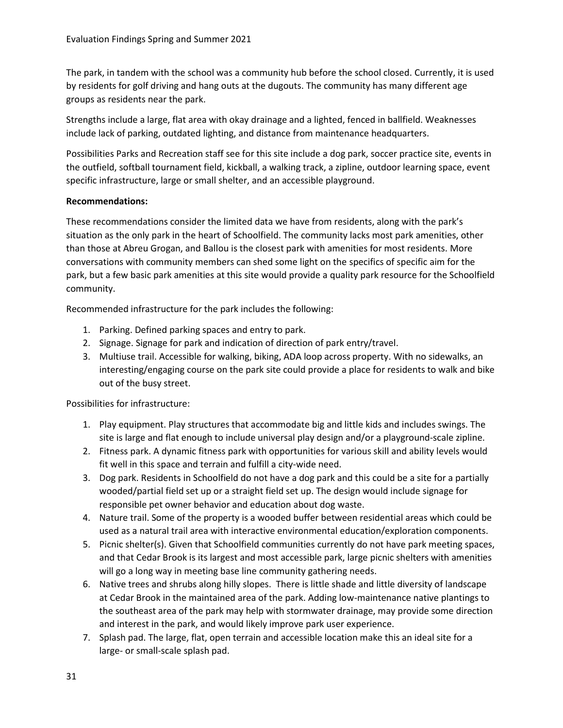The park, in tandem with the school was a community hub before the school closed. Currently, it is used by residents for golf driving and hang outs at the dugouts. The community has many different age groups as residents near the park.

Strengths include a large, flat area with okay drainage and a lighted, fenced in ballfield. Weaknesses include lack of parking, outdated lighting, and distance from maintenance headquarters.

Possibilities Parks and Recreation staff see for this site include a dog park, soccer practice site, events in the outfield, softball tournament field, kickball, a walking track, a zipline, outdoor learning space, event specific infrastructure, large or small shelter, and an accessible playground.

# **Recommendations:**

These recommendations consider the limited data we have from residents, along with the park's situation as the only park in the heart of Schoolfield. The community lacks most park amenities, other than those at Abreu Grogan, and Ballou is the closest park with amenities for most residents. More conversations with community members can shed some light on the specifics of specific aim for the park, but a few basic park amenities at this site would provide a quality park resource for the Schoolfield community.

Recommended infrastructure for the park includes the following:

- 1. Parking. Defined parking spaces and entry to park.
- 2. Signage. Signage for park and indication of direction of park entry/travel.
- 3. Multiuse trail. Accessible for walking, biking, ADA loop across property. With no sidewalks, an interesting/engaging course on the park site could provide a place for residents to walk and bike out of the busy street.

Possibilities for infrastructure:

- 1. Play equipment. Play structures that accommodate big and little kids and includes swings. The site is large and flat enough to include universal play design and/or a playground-scale zipline.
- 2. Fitness park. A dynamic fitness park with opportunities for various skill and ability levels would fit well in this space and terrain and fulfill a city-wide need.
- 3. Dog park. Residents in Schoolfield do not have a dog park and this could be a site for a partially wooded/partial field set up or a straight field set up. The design would include signage for responsible pet owner behavior and education about dog waste.
- 4. Nature trail. Some of the property is a wooded buffer between residential areas which could be used as a natural trail area with interactive environmental education/exploration components.
- 5. Picnic shelter(s). Given that Schoolfield communities currently do not have park meeting spaces, and that Cedar Brook is its largest and most accessible park, large picnic shelters with amenities will go a long way in meeting base line community gathering needs.
- 6. Native trees and shrubs along hilly slopes. There is little shade and little diversity of landscape at Cedar Brook in the maintained area of the park. Adding low-maintenance native plantings to the southeast area of the park may help with stormwater drainage, may provide some direction and interest in the park, and would likely improve park user experience.
- 7. Splash pad. The large, flat, open terrain and accessible location make this an ideal site for a large- or small-scale splash pad.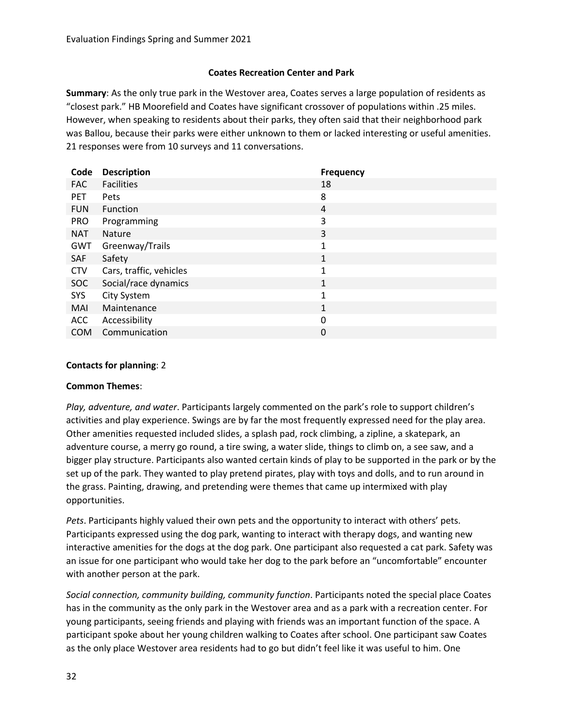# **Coates Recreation Center and Park**

**Summary**: As the only true park in the Westover area, Coates serves a large population of residents as "closest park." HB Moorefield and Coates have significant crossover of populations within .25 miles. However, when speaking to residents about their parks, they often said that their neighborhood park was Ballou, because their parks were either unknown to them or lacked interesting or useful amenities. 21 responses were from 10 surveys and 11 conversations.

| Code       | <b>Description</b>      | <b>Frequency</b> |
|------------|-------------------------|------------------|
| <b>FAC</b> | <b>Facilities</b>       | 18               |
| <b>PET</b> | Pets                    | 8                |
| <b>FUN</b> | Function                | 4                |
| <b>PRO</b> | Programming             | 3                |
| <b>NAT</b> | Nature                  | 3                |
| GWT        | Greenway/Trails         | $\mathbf{1}$     |
| SAF        | Safety                  | $\mathbf{1}$     |
| <b>CTV</b> | Cars, traffic, vehicles | 1                |
| <b>SOC</b> | Social/race dynamics    | $\mathbf{1}$     |
| <b>SYS</b> | City System             | 1                |
| MAI        | Maintenance             | 1                |
| <b>ACC</b> | Accessibility           | 0                |
| <b>COM</b> | Communication           | 0                |

# **Contacts for planning**: 2

# **Common Themes**:

*Play, adventure, and water*. Participants largely commented on the park's role to support children's activities and play experience. Swings are by far the most frequently expressed need for the play area. Other amenities requested included slides, a splash pad, rock climbing, a zipline, a skatepark, an adventure course, a merry go round, a tire swing, a water slide, things to climb on, a see saw, and a bigger play structure. Participants also wanted certain kinds of play to be supported in the park or by the set up of the park. They wanted to play pretend pirates, play with toys and dolls, and to run around in the grass. Painting, drawing, and pretending were themes that came up intermixed with play opportunities.

*Pets*. Participants highly valued their own pets and the opportunity to interact with others' pets. Participants expressed using the dog park, wanting to interact with therapy dogs, and wanting new interactive amenities for the dogs at the dog park. One participant also requested a cat park. Safety was an issue for one participant who would take her dog to the park before an "uncomfortable" encounter with another person at the park.

*Social connection, community building, community function*. Participants noted the special place Coates has in the community as the only park in the Westover area and as a park with a recreation center. For young participants, seeing friends and playing with friends was an important function of the space. A participant spoke about her young children walking to Coates after school. One participant saw Coates as the only place Westover area residents had to go but didn't feel like it was useful to him. One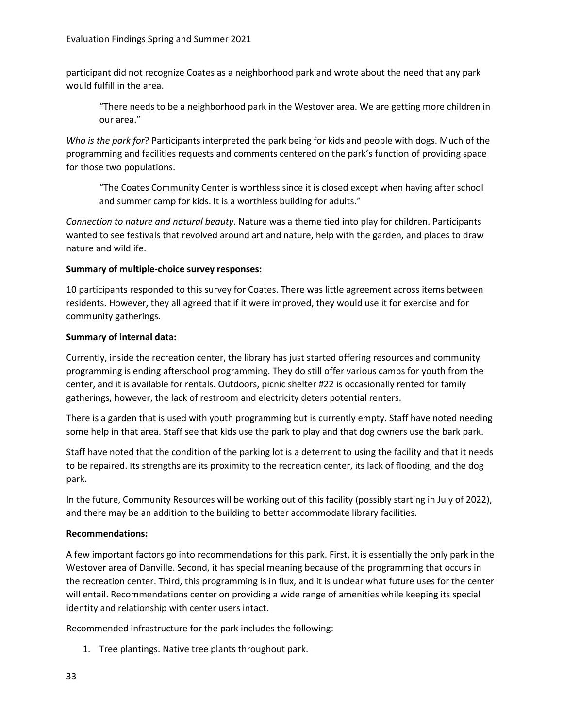participant did not recognize Coates as a neighborhood park and wrote about the need that any park would fulfill in the area.

"There needs to be a neighborhood park in the Westover area. We are getting more children in our area."

*Who is the park for*? Participants interpreted the park being for kids and people with dogs. Much of the programming and facilities requests and comments centered on the park's function of providing space for those two populations.

"The Coates Community Center is worthless since it is closed except when having after school and summer camp for kids. It is a worthless building for adults."

*Connection to nature and natural beauty*. Nature was a theme tied into play for children. Participants wanted to see festivals that revolved around art and nature, help with the garden, and places to draw nature and wildlife.

# **Summary of multiple-choice survey responses:**

10 participants responded to this survey for Coates. There was little agreement across items between residents. However, they all agreed that if it were improved, they would use it for exercise and for community gatherings.

# **Summary of internal data:**

Currently, inside the recreation center, the library has just started offering resources and community programming is ending afterschool programming. They do still offer various camps for youth from the center, and it is available for rentals. Outdoors, picnic shelter #22 is occasionally rented for family gatherings, however, the lack of restroom and electricity deters potential renters.

There is a garden that is used with youth programming but is currently empty. Staff have noted needing some help in that area. Staff see that kids use the park to play and that dog owners use the bark park.

Staff have noted that the condition of the parking lot is a deterrent to using the facility and that it needs to be repaired. Its strengths are its proximity to the recreation center, its lack of flooding, and the dog park.

In the future, Community Resources will be working out of this facility (possibly starting in July of 2022), and there may be an addition to the building to better accommodate library facilities.

# **Recommendations:**

A few important factors go into recommendations for this park. First, it is essentially the only park in the Westover area of Danville. Second, it has special meaning because of the programming that occurs in the recreation center. Third, this programming is in flux, and it is unclear what future uses for the center will entail. Recommendations center on providing a wide range of amenities while keeping its special identity and relationship with center users intact.

Recommended infrastructure for the park includes the following:

1. Tree plantings. Native tree plants throughout park.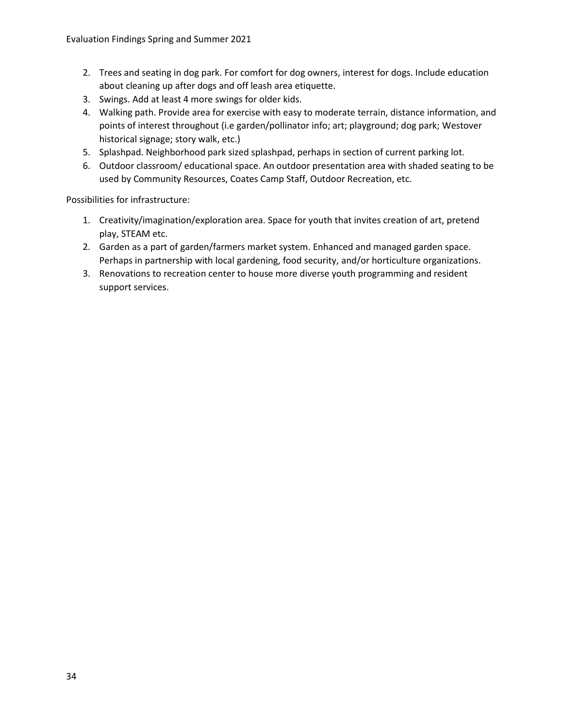- 2. Trees and seating in dog park. For comfort for dog owners, interest for dogs. Include education about cleaning up after dogs and off leash area etiquette.
- 3. Swings. Add at least 4 more swings for older kids.
- 4. Walking path. Provide area for exercise with easy to moderate terrain, distance information, and points of interest throughout (i.e garden/pollinator info; art; playground; dog park; Westover historical signage; story walk, etc.)
- 5. Splashpad. Neighborhood park sized splashpad, perhaps in section of current parking lot.
- 6. Outdoor classroom/ educational space. An outdoor presentation area with shaded seating to be used by Community Resources, Coates Camp Staff, Outdoor Recreation, etc.

Possibilities for infrastructure:

- 1. Creativity/imagination/exploration area. Space for youth that invites creation of art, pretend play, STEAM etc.
- 2. Garden as a part of garden/farmers market system. Enhanced and managed garden space. Perhaps in partnership with local gardening, food security, and/or horticulture organizations.
- 3. Renovations to recreation center to house more diverse youth programming and resident support services.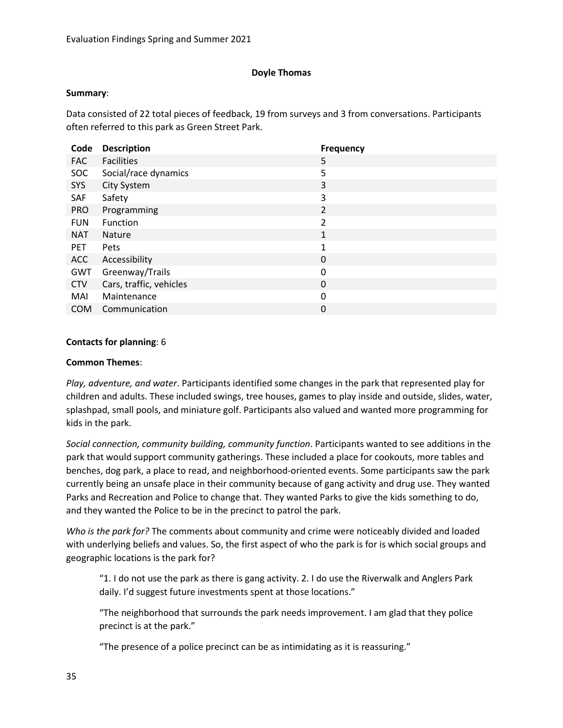# **Doyle Thomas**

### **Summary**:

Data consisted of 22 total pieces of feedback, 19 from surveys and 3 from conversations. Participants often referred to this park as Green Street Park.

| Code       | <b>Description</b>      | <b>Frequency</b> |
|------------|-------------------------|------------------|
| <b>FAC</b> | <b>Facilities</b>       | 5                |
| <b>SOC</b> | Social/race dynamics    | 5                |
| SYS        | City System             | 3                |
| SAF        | Safety                  | 3                |
| <b>PRO</b> | Programming             | $\overline{2}$   |
| <b>FUN</b> | Function                | $\overline{2}$   |
| <b>NAT</b> | <b>Nature</b>           | 1                |
| <b>PET</b> | <b>Pets</b>             | 1                |
| <b>ACC</b> | Accessibility           | 0                |
| GWT        | Greenway/Trails         | 0                |
| <b>CTV</b> | Cars, traffic, vehicles | 0                |
| MAI        | Maintenance             | 0                |
| <b>COM</b> | Communication           | 0                |

# **Contacts for planning**: 6

### **Common Themes**:

*Play, adventure, and water*. Participants identified some changes in the park that represented play for children and adults. These included swings, tree houses, games to play inside and outside, slides, water, splashpad, small pools, and miniature golf. Participants also valued and wanted more programming for kids in the park.

*Social connection, community building, community function*. Participants wanted to see additions in the park that would support community gatherings. These included a place for cookouts, more tables and benches, dog park, a place to read, and neighborhood-oriented events. Some participants saw the park currently being an unsafe place in their community because of gang activity and drug use. They wanted Parks and Recreation and Police to change that. They wanted Parks to give the kids something to do, and they wanted the Police to be in the precinct to patrol the park.

*Who is the park for?* The comments about community and crime were noticeably divided and loaded with underlying beliefs and values. So, the first aspect of who the park is for is which social groups and geographic locations is the park for?

"1. I do not use the park as there is gang activity. 2. I do use the Riverwalk and Anglers Park daily. I'd suggest future investments spent at those locations."

"The neighborhood that surrounds the park needs improvement. I am glad that they police precinct is at the park."

"The presence of a police precinct can be as intimidating as it is reassuring."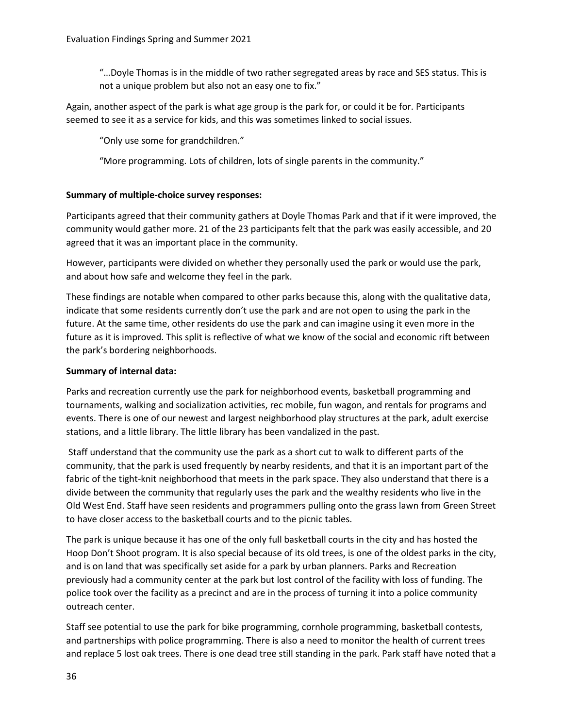"…Doyle Thomas is in the middle of two rather segregated areas by race and SES status. This is not a unique problem but also not an easy one to fix."

Again, another aspect of the park is what age group is the park for, or could it be for. Participants seemed to see it as a service for kids, and this was sometimes linked to social issues.

"Only use some for grandchildren."

"More programming. Lots of children, lots of single parents in the community."

# **Summary of multiple-choice survey responses:**

Participants agreed that their community gathers at Doyle Thomas Park and that if it were improved, the community would gather more. 21 of the 23 participants felt that the park was easily accessible, and 20 agreed that it was an important place in the community.

However, participants were divided on whether they personally used the park or would use the park, and about how safe and welcome they feel in the park.

These findings are notable when compared to other parks because this, along with the qualitative data, indicate that some residents currently don't use the park and are not open to using the park in the future. At the same time, other residents do use the park and can imagine using it even more in the future as it is improved. This split is reflective of what we know of the social and economic rift between the park's bordering neighborhoods.

# **Summary of internal data:**

Parks and recreation currently use the park for neighborhood events, basketball programming and tournaments, walking and socialization activities, rec mobile, fun wagon, and rentals for programs and events. There is one of our newest and largest neighborhood play structures at the park, adult exercise stations, and a little library. The little library has been vandalized in the past.

Staff understand that the community use the park as a short cut to walk to different parts of the community, that the park is used frequently by nearby residents, and that it is an important part of the fabric of the tight-knit neighborhood that meets in the park space. They also understand that there is a divide between the community that regularly uses the park and the wealthy residents who live in the Old West End. Staff have seen residents and programmers pulling onto the grass lawn from Green Street to have closer access to the basketball courts and to the picnic tables.

The park is unique because it has one of the only full basketball courts in the city and has hosted the Hoop Don't Shoot program. It is also special because of its old trees, is one of the oldest parks in the city, and is on land that was specifically set aside for a park by urban planners. Parks and Recreation previously had a community center at the park but lost control of the facility with loss of funding. The police took over the facility as a precinct and are in the process of turning it into a police community outreach center.

Staff see potential to use the park for bike programming, cornhole programming, basketball contests, and partnerships with police programming. There is also a need to monitor the health of current trees and replace 5 lost oak trees. There is one dead tree still standing in the park. Park staff have noted that a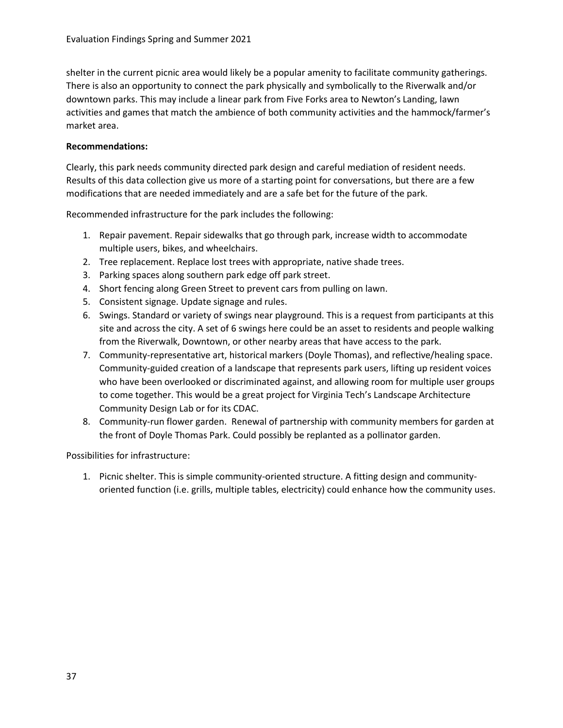shelter in the current picnic area would likely be a popular amenity to facilitate community gatherings. There is also an opportunity to connect the park physically and symbolically to the Riverwalk and/or downtown parks. This may include a linear park from Five Forks area to Newton's Landing, lawn activities and games that match the ambience of both community activities and the hammock/farmer's market area.

## **Recommendations:**

Clearly, this park needs community directed park design and careful mediation of resident needs. Results of this data collection give us more of a starting point for conversations, but there are a few modifications that are needed immediately and are a safe bet for the future of the park.

Recommended infrastructure for the park includes the following:

- 1. Repair pavement. Repair sidewalks that go through park, increase width to accommodate multiple users, bikes, and wheelchairs.
- 2. Tree replacement. Replace lost trees with appropriate, native shade trees.
- 3. Parking spaces along southern park edge off park street.
- 4. Short fencing along Green Street to prevent cars from pulling on lawn.
- 5. Consistent signage. Update signage and rules.
- 6. Swings. Standard or variety of swings near playground. This is a request from participants at this site and across the city. A set of 6 swings here could be an asset to residents and people walking from the Riverwalk, Downtown, or other nearby areas that have access to the park.
- 7. Community-representative art, historical markers (Doyle Thomas), and reflective/healing space. Community-guided creation of a landscape that represents park users, lifting up resident voices who have been overlooked or discriminated against, and allowing room for multiple user groups to come together. This would be a great project for Virginia Tech's Landscape Architecture Community Design Lab or for its CDAC.
- 8. Community-run flower garden. Renewal of partnership with community members for garden at the front of Doyle Thomas Park. Could possibly be replanted as a pollinator garden.

Possibilities for infrastructure:

1. Picnic shelter. This is simple community-oriented structure. A fitting design and communityoriented function (i.e. grills, multiple tables, electricity) could enhance how the community uses.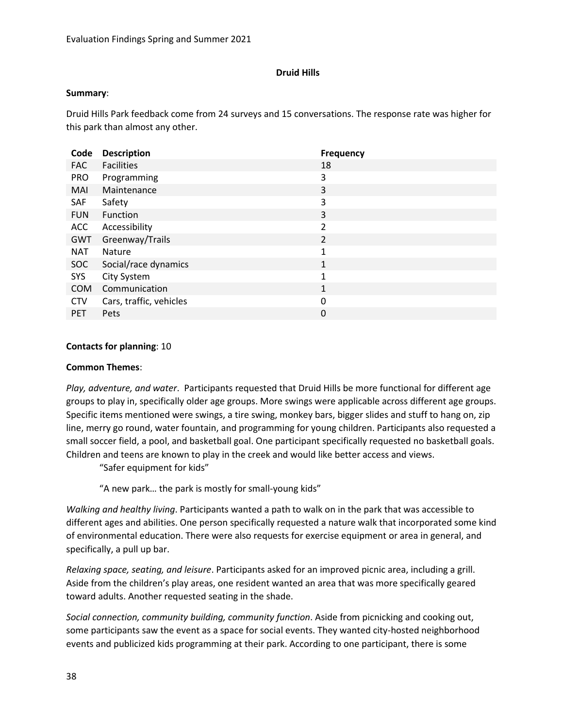## **Druid Hills**

#### **Summary**:

Druid Hills Park feedback come from 24 surveys and 15 conversations. The response rate was higher for this park than almost any other.

| Code       | <b>Description</b>      | <b>Frequency</b> |
|------------|-------------------------|------------------|
| <b>FAC</b> | <b>Facilities</b>       | 18               |
| <b>PRO</b> | Programming             | 3                |
| MAI        | Maintenance             | 3                |
| SAF        | Safety                  | 3                |
| <b>FUN</b> | <b>Function</b>         | 3                |
| <b>ACC</b> | Accessibility           | 2                |
| <b>GWT</b> | Greenway/Trails         | 2                |
| <b>NAT</b> | <b>Nature</b>           | 1                |
| <b>SOC</b> | Social/race dynamics    | 1                |
| SYS        | City System             | 1                |
| <b>COM</b> | Communication           | 1                |
| <b>CTV</b> | Cars, traffic, vehicles | 0                |
| <b>PET</b> | Pets                    | 0                |

### **Contacts for planning**: 10

#### **Common Themes**:

*Play, adventure, and water*. Participants requested that Druid Hills be more functional for different age groups to play in, specifically older age groups. More swings were applicable across different age groups. Specific items mentioned were swings, a tire swing, monkey bars, bigger slides and stuff to hang on, zip line, merry go round, water fountain, and programming for young children. Participants also requested a small soccer field, a pool, and basketball goal. One participant specifically requested no basketball goals. Children and teens are known to play in the creek and would like better access and views.

"Safer equipment for kids"

"A new park… the park is mostly for small-young kids"

*Walking and healthy living*. Participants wanted a path to walk on in the park that was accessible to different ages and abilities. One person specifically requested a nature walk that incorporated some kind of environmental education. There were also requests for exercise equipment or area in general, and specifically, a pull up bar.

*Relaxing space, seating, and leisure*. Participants asked for an improved picnic area, including a grill. Aside from the children's play areas, one resident wanted an area that was more specifically geared toward adults. Another requested seating in the shade.

*Social connection, community building, community function*. Aside from picnicking and cooking out, some participants saw the event as a space for social events. They wanted city-hosted neighborhood events and publicized kids programming at their park. According to one participant, there is some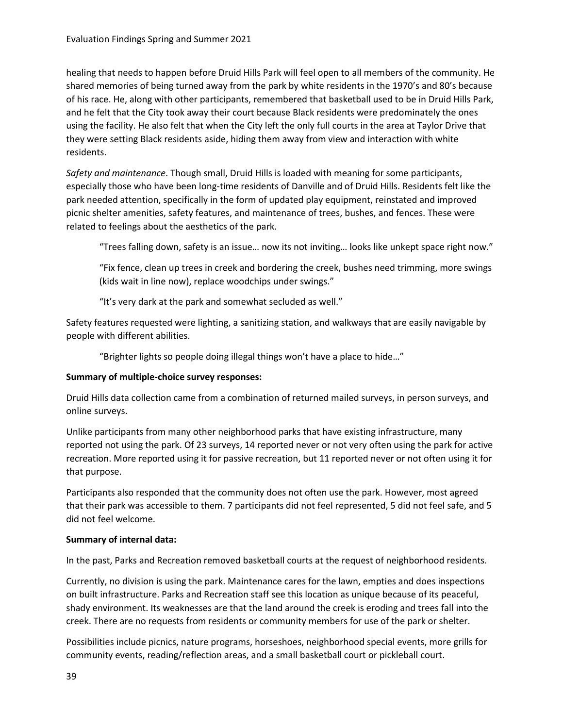healing that needs to happen before Druid Hills Park will feel open to all members of the community. He shared memories of being turned away from the park by white residents in the 1970's and 80's because of his race. He, along with other participants, remembered that basketball used to be in Druid Hills Park, and he felt that the City took away their court because Black residents were predominately the ones using the facility. He also felt that when the City left the only full courts in the area at Taylor Drive that they were setting Black residents aside, hiding them away from view and interaction with white residents.

*Safety and maintenance*. Though small, Druid Hills is loaded with meaning for some participants, especially those who have been long-time residents of Danville and of Druid Hills. Residents felt like the park needed attention, specifically in the form of updated play equipment, reinstated and improved picnic shelter amenities, safety features, and maintenance of trees, bushes, and fences. These were related to feelings about the aesthetics of the park.

"Trees falling down, safety is an issue… now its not inviting… looks like unkept space right now."

"Fix fence, clean up trees in creek and bordering the creek, bushes need trimming, more swings (kids wait in line now), replace woodchips under swings."

"It's very dark at the park and somewhat secluded as well."

Safety features requested were lighting, a sanitizing station, and walkways that are easily navigable by people with different abilities.

"Brighter lights so people doing illegal things won't have a place to hide…"

### **Summary of multiple-choice survey responses:**

Druid Hills data collection came from a combination of returned mailed surveys, in person surveys, and online surveys.

Unlike participants from many other neighborhood parks that have existing infrastructure, many reported not using the park. Of 23 surveys, 14 reported never or not very often using the park for active recreation. More reported using it for passive recreation, but 11 reported never or not often using it for that purpose.

Participants also responded that the community does not often use the park. However, most agreed that their park was accessible to them. 7 participants did not feel represented, 5 did not feel safe, and 5 did not feel welcome.

### **Summary of internal data:**

In the past, Parks and Recreation removed basketball courts at the request of neighborhood residents.

Currently, no division is using the park. Maintenance cares for the lawn, empties and does inspections on built infrastructure. Parks and Recreation staff see this location as unique because of its peaceful, shady environment. Its weaknesses are that the land around the creek is eroding and trees fall into the creek. There are no requests from residents or community members for use of the park or shelter.

Possibilities include picnics, nature programs, horseshoes, neighborhood special events, more grills for community events, reading/reflection areas, and a small basketball court or pickleball court.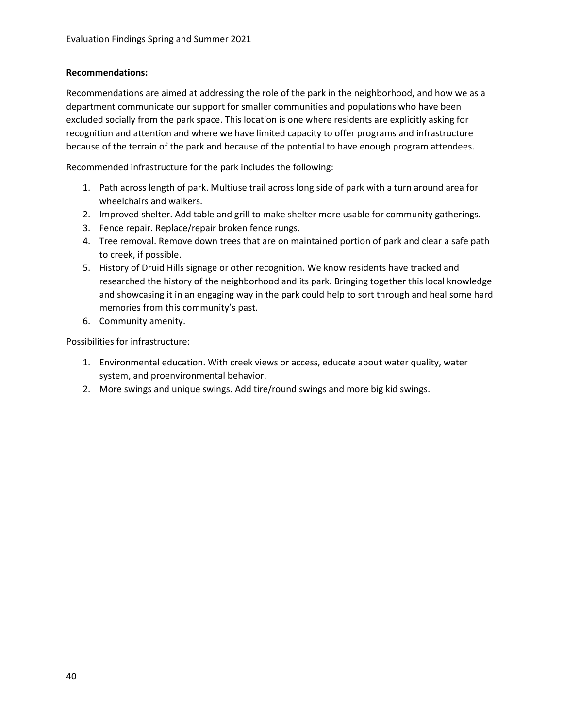### **Recommendations:**

Recommendations are aimed at addressing the role of the park in the neighborhood, and how we as a department communicate our support for smaller communities and populations who have been excluded socially from the park space. This location is one where residents are explicitly asking for recognition and attention and where we have limited capacity to offer programs and infrastructure because of the terrain of the park and because of the potential to have enough program attendees.

Recommended infrastructure for the park includes the following:

- 1. Path across length of park. Multiuse trail across long side of park with a turn around area for wheelchairs and walkers.
- 2. Improved shelter. Add table and grill to make shelter more usable for community gatherings.
- 3. Fence repair. Replace/repair broken fence rungs.
- 4. Tree removal. Remove down trees that are on maintained portion of park and clear a safe path to creek, if possible.
- 5. History of Druid Hills signage or other recognition. We know residents have tracked and researched the history of the neighborhood and its park. Bringing together this local knowledge and showcasing it in an engaging way in the park could help to sort through and heal some hard memories from this community's past.
- 6. Community amenity.

- 1. Environmental education. With creek views or access, educate about water quality, water system, and proenvironmental behavior.
- 2. More swings and unique swings. Add tire/round swings and more big kid swings.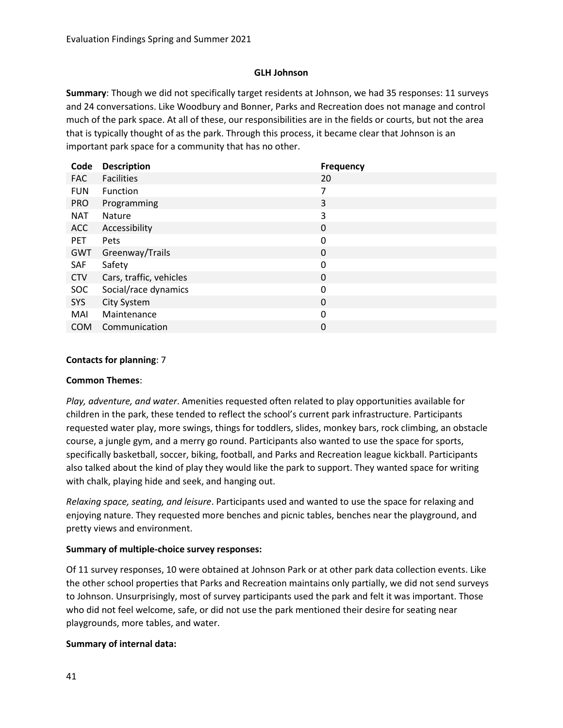## **GLH Johnson**

**Summary**: Though we did not specifically target residents at Johnson, we had 35 responses: 11 surveys and 24 conversations. Like Woodbury and Bonner, Parks and Recreation does not manage and control much of the park space. At all of these, our responsibilities are in the fields or courts, but not the area that is typically thought of as the park. Through this process, it became clear that Johnson is an important park space for a community that has no other.

| Code       | <b>Description</b>      | <b>Frequency</b> |
|------------|-------------------------|------------------|
| <b>FAC</b> | <b>Facilities</b>       | 20               |
| <b>FUN</b> | Function                | 7                |
| <b>PRO</b> | Programming             | 3                |
| <b>NAT</b> | <b>Nature</b>           | 3                |
| <b>ACC</b> | Accessibility           | 0                |
| <b>PET</b> | Pets                    | 0                |
| GWT        | Greenway/Trails         | 0                |
| SAF        | Safety                  | 0                |
| <b>CTV</b> | Cars, traffic, vehicles | 0                |
| <b>SOC</b> | Social/race dynamics    | 0                |
| SYS        | City System             | 0                |
| MAI        | Maintenance             | 0                |
| <b>COM</b> | Communication           | 0                |

## **Contacts for planning**: 7

### **Common Themes**:

*Play, adventure, and water*. Amenities requested often related to play opportunities available for children in the park, these tended to reflect the school's current park infrastructure. Participants requested water play, more swings, things for toddlers, slides, monkey bars, rock climbing, an obstacle course, a jungle gym, and a merry go round. Participants also wanted to use the space for sports, specifically basketball, soccer, biking, football, and Parks and Recreation league kickball. Participants also talked about the kind of play they would like the park to support. They wanted space for writing with chalk, playing hide and seek, and hanging out.

*Relaxing space, seating, and leisure*. Participants used and wanted to use the space for relaxing and enjoying nature. They requested more benches and picnic tables, benches near the playground, and pretty views and environment.

# **Summary of multiple-choice survey responses:**

Of 11 survey responses, 10 were obtained at Johnson Park or at other park data collection events. Like the other school properties that Parks and Recreation maintains only partially, we did not send surveys to Johnson. Unsurprisingly, most of survey participants used the park and felt it was important. Those who did not feel welcome, safe, or did not use the park mentioned their desire for seating near playgrounds, more tables, and water.

# **Summary of internal data:**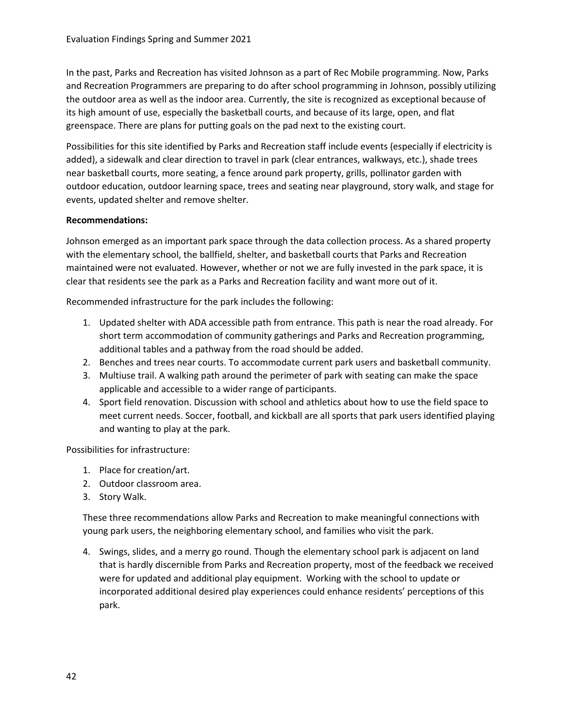In the past, Parks and Recreation has visited Johnson as a part of Rec Mobile programming. Now, Parks and Recreation Programmers are preparing to do after school programming in Johnson, possibly utilizing the outdoor area as well as the indoor area. Currently, the site is recognized as exceptional because of its high amount of use, especially the basketball courts, and because of its large, open, and flat greenspace. There are plans for putting goals on the pad next to the existing court.

Possibilities for this site identified by Parks and Recreation staff include events (especially if electricity is added), a sidewalk and clear direction to travel in park (clear entrances, walkways, etc.), shade trees near basketball courts, more seating, a fence around park property, grills, pollinator garden with outdoor education, outdoor learning space, trees and seating near playground, story walk, and stage for events, updated shelter and remove shelter.

### **Recommendations:**

Johnson emerged as an important park space through the data collection process. As a shared property with the elementary school, the ballfield, shelter, and basketball courts that Parks and Recreation maintained were not evaluated. However, whether or not we are fully invested in the park space, it is clear that residents see the park as a Parks and Recreation facility and want more out of it.

Recommended infrastructure for the park includes the following:

- 1. Updated shelter with ADA accessible path from entrance. This path is near the road already. For short term accommodation of community gatherings and Parks and Recreation programming, additional tables and a pathway from the road should be added.
- 2. Benches and trees near courts. To accommodate current park users and basketball community.
- 3. Multiuse trail. A walking path around the perimeter of park with seating can make the space applicable and accessible to a wider range of participants.
- 4. Sport field renovation. Discussion with school and athletics about how to use the field space to meet current needs. Soccer, football, and kickball are all sports that park users identified playing and wanting to play at the park.

Possibilities for infrastructure:

- 1. Place for creation/art.
- 2. Outdoor classroom area.
- 3. Story Walk.

These three recommendations allow Parks and Recreation to make meaningful connections with young park users, the neighboring elementary school, and families who visit the park.

4. Swings, slides, and a merry go round. Though the elementary school park is adjacent on land that is hardly discernible from Parks and Recreation property, most of the feedback we received were for updated and additional play equipment. Working with the school to update or incorporated additional desired play experiences could enhance residents' perceptions of this park.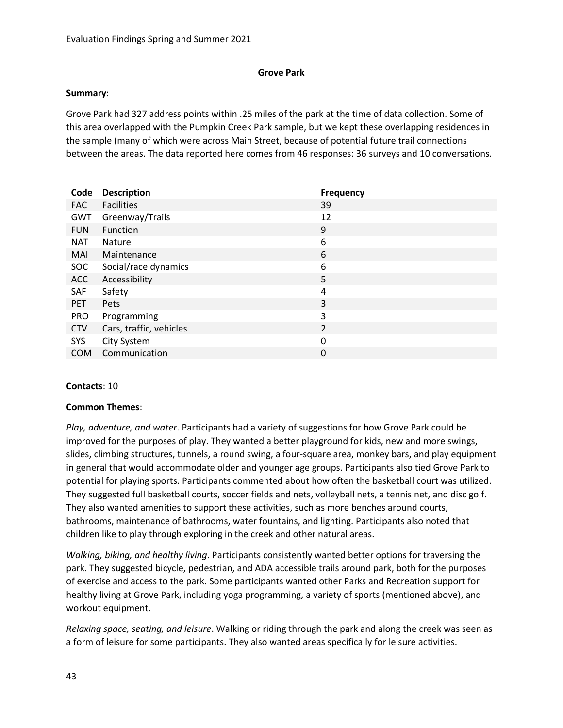### **Grove Park**

#### **Summary**:

Grove Park had 327 address points within .25 miles of the park at the time of data collection. Some of this area overlapped with the Pumpkin Creek Park sample, but we kept these overlapping residences in the sample (many of which were across Main Street, because of potential future trail connections between the areas. The data reported here comes from 46 responses: 36 surveys and 10 conversations.

| Code       | <b>Description</b>      | <b>Frequency</b> |
|------------|-------------------------|------------------|
| <b>FAC</b> | <b>Facilities</b>       | 39               |
| GWT        | Greenway/Trails         | 12               |
| <b>FUN</b> | Function                | 9                |
| <b>NAT</b> | <b>Nature</b>           | 6                |
| MAI        | Maintenance             | 6                |
| <b>SOC</b> | Social/race dynamics    | 6                |
| <b>ACC</b> | Accessibility           | 5                |
| SAF        | Safety                  | 4                |
| <b>PET</b> | Pets                    | 3                |
| <b>PRO</b> | Programming             | 3                |
| <b>CTV</b> | Cars, traffic, vehicles | $\overline{2}$   |
| <b>SYS</b> | City System             | 0                |
| <b>COM</b> | Communication           | 0                |
|            |                         |                  |

### **Contacts**: 10

### **Common Themes**:

*Play, adventure, and water*. Participants had a variety of suggestions for how Grove Park could be improved for the purposes of play. They wanted a better playground for kids, new and more swings, slides, climbing structures, tunnels, a round swing, a four-square area, monkey bars, and play equipment in general that would accommodate older and younger age groups. Participants also tied Grove Park to potential for playing sports. Participants commented about how often the basketball court was utilized. They suggested full basketball courts, soccer fields and nets, volleyball nets, a tennis net, and disc golf. They also wanted amenities to support these activities, such as more benches around courts, bathrooms, maintenance of bathrooms, water fountains, and lighting. Participants also noted that children like to play through exploring in the creek and other natural areas.

*Walking, biking, and healthy living*. Participants consistently wanted better options for traversing the park. They suggested bicycle, pedestrian, and ADA accessible trails around park, both for the purposes of exercise and access to the park. Some participants wanted other Parks and Recreation support for healthy living at Grove Park, including yoga programming, a variety of sports (mentioned above), and workout equipment.

*Relaxing space, seating, and leisure*. Walking or riding through the park and along the creek was seen as a form of leisure for some participants. They also wanted areas specifically for leisure activities.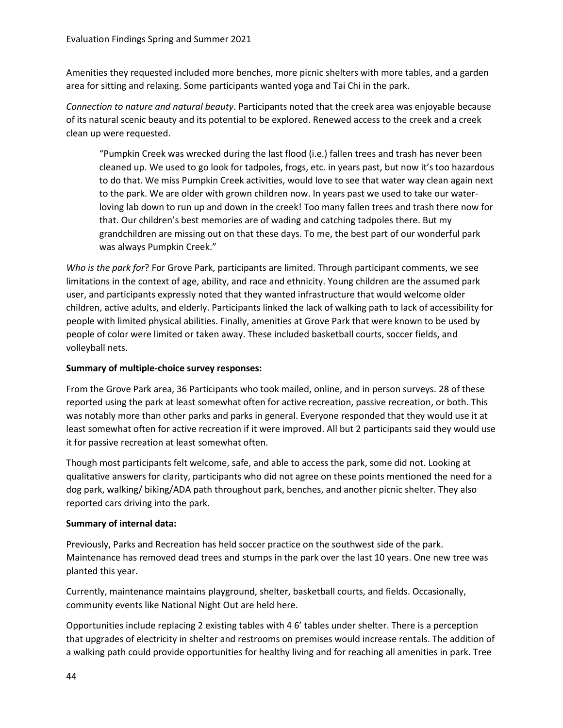Amenities they requested included more benches, more picnic shelters with more tables, and a garden area for sitting and relaxing. Some participants wanted yoga and Tai Chi in the park.

*Connection to nature and natural beauty*. Participants noted that the creek area was enjoyable because of its natural scenic beauty and its potential to be explored. Renewed access to the creek and a creek clean up were requested.

"Pumpkin Creek was wrecked during the last flood (i.e.) fallen trees and trash has never been cleaned up. We used to go look for tadpoles, frogs, etc. in years past, but now it's too hazardous to do that. We miss Pumpkin Creek activities, would love to see that water way clean again next to the park. We are older with grown children now. In years past we used to take our waterloving lab down to run up and down in the creek! Too many fallen trees and trash there now for that. Our children's best memories are of wading and catching tadpoles there. But my grandchildren are missing out on that these days. To me, the best part of our wonderful park was always Pumpkin Creek."

*Who is the park for*? For Grove Park, participants are limited. Through participant comments, we see limitations in the context of age, ability, and race and ethnicity. Young children are the assumed park user, and participants expressly noted that they wanted infrastructure that would welcome older children, active adults, and elderly. Participants linked the lack of walking path to lack of accessibility for people with limited physical abilities. Finally, amenities at Grove Park that were known to be used by people of color were limited or taken away. These included basketball courts, soccer fields, and volleyball nets.

## **Summary of multiple-choice survey responses:**

From the Grove Park area, 36 Participants who took mailed, online, and in person surveys. 28 of these reported using the park at least somewhat often for active recreation, passive recreation, or both. This was notably more than other parks and parks in general. Everyone responded that they would use it at least somewhat often for active recreation if it were improved. All but 2 participants said they would use it for passive recreation at least somewhat often.

Though most participants felt welcome, safe, and able to access the park, some did not. Looking at qualitative answers for clarity, participants who did not agree on these points mentioned the need for a dog park, walking/ biking/ADA path throughout park, benches, and another picnic shelter. They also reported cars driving into the park.

# **Summary of internal data:**

Previously, Parks and Recreation has held soccer practice on the southwest side of the park. Maintenance has removed dead trees and stumps in the park over the last 10 years. One new tree was planted this year.

Currently, maintenance maintains playground, shelter, basketball courts, and fields. Occasionally, community events like National Night Out are held here.

Opportunities include replacing 2 existing tables with 4 6' tables under shelter. There is a perception that upgrades of electricity in shelter and restrooms on premises would increase rentals. The addition of a walking path could provide opportunities for healthy living and for reaching all amenities in park. Tree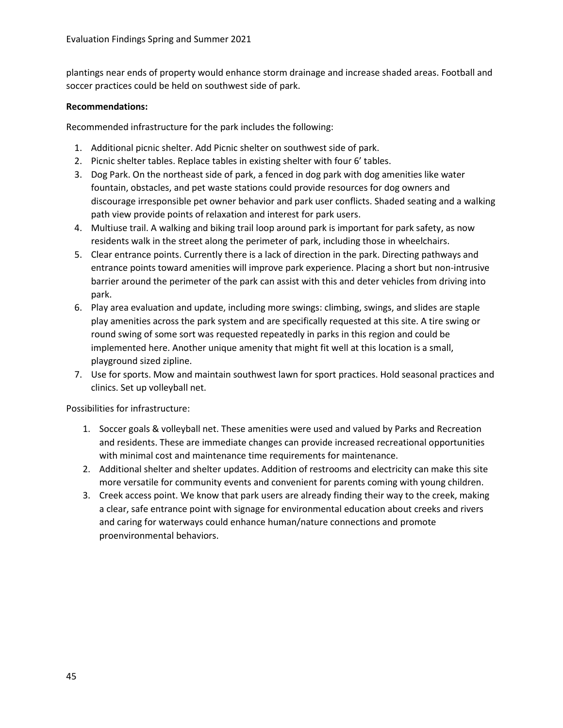plantings near ends of property would enhance storm drainage and increase shaded areas. Football and soccer practices could be held on southwest side of park.

### **Recommendations:**

Recommended infrastructure for the park includes the following:

- 1. Additional picnic shelter. Add Picnic shelter on southwest side of park.
- 2. Picnic shelter tables. Replace tables in existing shelter with four 6' tables.
- 3. Dog Park. On the northeast side of park, a fenced in dog park with dog amenities like water fountain, obstacles, and pet waste stations could provide resources for dog owners and discourage irresponsible pet owner behavior and park user conflicts. Shaded seating and a walking path view provide points of relaxation and interest for park users.
- 4. Multiuse trail. A walking and biking trail loop around park is important for park safety, as now residents walk in the street along the perimeter of park, including those in wheelchairs.
- 5. Clear entrance points. Currently there is a lack of direction in the park. Directing pathways and entrance points toward amenities will improve park experience. Placing a short but non-intrusive barrier around the perimeter of the park can assist with this and deter vehicles from driving into park.
- 6. Play area evaluation and update, including more swings: climbing, swings, and slides are staple play amenities across the park system and are specifically requested at this site. A tire swing or round swing of some sort was requested repeatedly in parks in this region and could be implemented here. Another unique amenity that might fit well at this location is a small, playground sized zipline.
- 7. Use for sports. Mow and maintain southwest lawn for sport practices. Hold seasonal practices and clinics. Set up volleyball net.

- 1. Soccer goals & volleyball net. These amenities were used and valued by Parks and Recreation and residents. These are immediate changes can provide increased recreational opportunities with minimal cost and maintenance time requirements for maintenance.
- 2. Additional shelter and shelter updates. Addition of restrooms and electricity can make this site more versatile for community events and convenient for parents coming with young children.
- 3. Creek access point. We know that park users are already finding their way to the creek, making a clear, safe entrance point with signage for environmental education about creeks and rivers and caring for waterways could enhance human/nature connections and promote proenvironmental behaviors.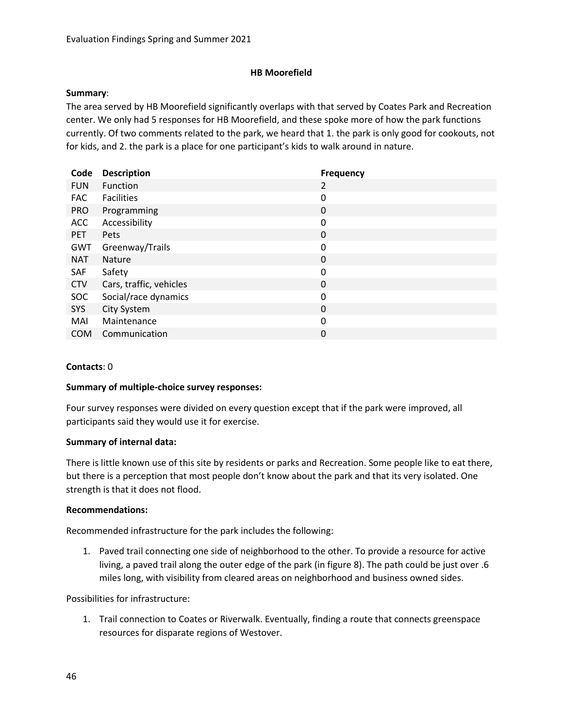### **HB Moorefield**

#### **Summary**:

The area served by HB Moorefield significantly overlaps with that served by Coates Park and Recreation center. We only had 5 responses for HB Moorefield, and these spoke more of how the park functions currently. Of two comments related to the park, we heard that 1. the park is only good for cookouts, not for kids, and 2. the park is a place for one participant's kids to walk around in nature.

| <b>Description</b>      | <b>Frequency</b> |
|-------------------------|------------------|
| Function                | 2                |
| <b>Facilities</b>       | 0                |
| Programming             | 0                |
| Accessibility           | 0                |
| Pets                    | $\mathbf 0$      |
| Greenway/Trails         | 0                |
| <b>Nature</b>           | 0                |
| Safety                  | 0                |
| Cars, traffic, vehicles | 0                |
| Social/race dynamics    | $\mathbf 0$      |
| City System             | 0                |
| Maintenance             | 0                |
| Communication           | 0                |
|                         |                  |

### **Contacts**: 0

#### **Summary of multiple-choice survey responses:**

Four survey responses were divided on every question except that if the park were improved, all participants said they would use it for exercise.

#### **Summary of internal data:**

There is little known use of this site by residents or parks and Recreation. Some people like to eat there, but there is a perception that most people don't know about the park and that its very isolated. One strength is that it does not flood.

#### **Recommendations:**

Recommended infrastructure for the park includes the following:

1. Paved trail connecting one side of neighborhood to the other. To provide a resource for active living, a paved trail along the outer edge of the park (in figure 8). The path could be just over .6 miles long, with visibility from cleared areas on neighborhood and business owned sides.

Possibilities for infrastructure:

1. Trail connection to Coates or Riverwalk. Eventually, finding a route that connects greenspace resources for disparate regions of Westover.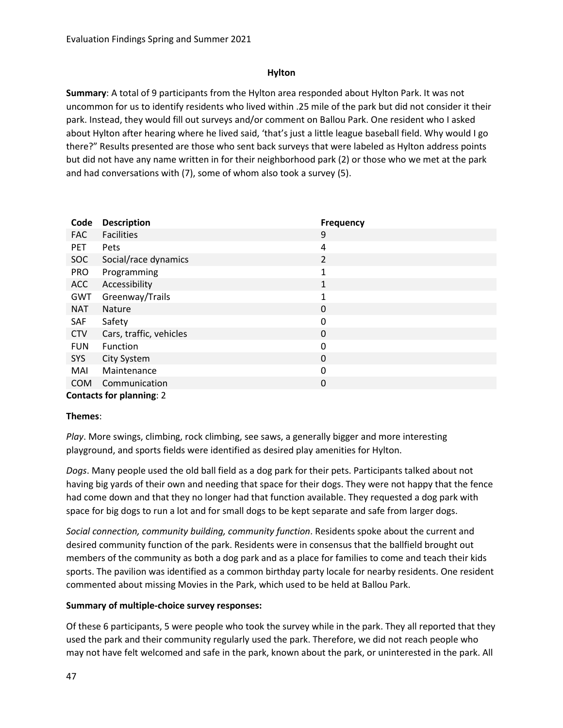## **Hylton**

**Summary**: A total of 9 participants from the Hylton area responded about Hylton Park. It was not uncommon for us to identify residents who lived within .25 mile of the park but did not consider it their park. Instead, they would fill out surveys and/or comment on Ballou Park. One resident who I asked about Hylton after hearing where he lived said, 'that's just a little league baseball field. Why would I go there?" Results presented are those who sent back surveys that were labeled as Hylton address points but did not have any name written in for their neighborhood park (2) or those who we met at the park and had conversations with (7), some of whom also took a survey (5).

| Code       | <b>Description</b>              | <b>Frequency</b> |
|------------|---------------------------------|------------------|
| <b>FAC</b> | <b>Facilities</b>               | 9                |
| <b>PET</b> | Pets                            | 4                |
| SOC        | Social/race dynamics            | $\overline{2}$   |
| <b>PRO</b> | Programming                     | 1                |
| ACC        | Accessibility                   | 1                |
| <b>GWT</b> | Greenway/Trails                 | 1                |
| <b>NAT</b> | <b>Nature</b>                   | $\mathbf 0$      |
| SAF        | Safety                          | 0                |
| <b>CTV</b> | Cars, traffic, vehicles         | $\mathbf 0$      |
| <b>FUN</b> | Function                        | 0                |
| SYS        | City System                     | 0                |
| MAI        | Maintenance                     | 0                |
| <b>COM</b> | Communication                   | 0                |
|            | <b>Contacts for planning: 2</b> |                  |

### **Themes**:

*Play*. More swings, climbing, rock climbing, see saws, a generally bigger and more interesting playground, and sports fields were identified as desired play amenities for Hylton.

*Dogs*. Many people used the old ball field as a dog park for their pets. Participants talked about not having big yards of their own and needing that space for their dogs. They were not happy that the fence had come down and that they no longer had that function available. They requested a dog park with space for big dogs to run a lot and for small dogs to be kept separate and safe from larger dogs.

*Social connection, community building, community function*. Residents spoke about the current and desired community function of the park. Residents were in consensus that the ballfield brought out members of the community as both a dog park and as a place for families to come and teach their kids sports. The pavilion was identified as a common birthday party locale for nearby residents. One resident commented about missing Movies in the Park, which used to be held at Ballou Park.

# **Summary of multiple-choice survey responses:**

Of these 6 participants, 5 were people who took the survey while in the park. They all reported that they used the park and their community regularly used the park. Therefore, we did not reach people who may not have felt welcomed and safe in the park, known about the park, or uninterested in the park. All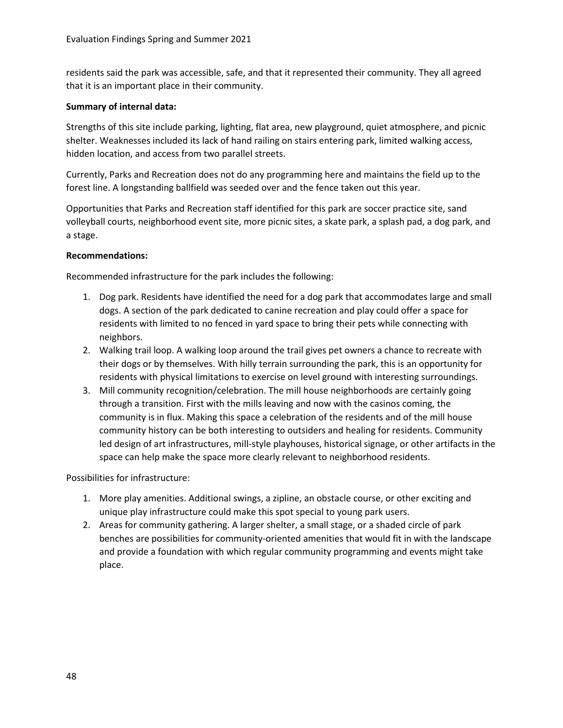residents said the park was accessible, safe, and that it represented their community. They all agreed that it is an important place in their community.

## **Summary of internal data:**

Strengths of this site include parking, lighting, flat area, new playground, quiet atmosphere, and picnic shelter. Weaknesses included its lack of hand railing on stairs entering park, limited walking access, hidden location, and access from two parallel streets.

Currently, Parks and Recreation does not do any programming here and maintains the field up to the forest line. A longstanding ballfield was seeded over and the fence taken out this year.

Opportunities that Parks and Recreation staff identified for this park are soccer practice site, sand volleyball courts, neighborhood event site, more picnic sites, a skate park, a splash pad, a dog park, and a stage.

## **Recommendations:**

Recommended infrastructure for the park includes the following:

- 1. Dog park. Residents have identified the need for a dog park that accommodates large and small dogs. A section of the park dedicated to canine recreation and play could offer a space for residents with limited to no fenced in yard space to bring their pets while connecting with neighbors.
- 2. Walking trail loop. A walking loop around the trail gives pet owners a chance to recreate with their dogs or by themselves. With hilly terrain surrounding the park, this is an opportunity for residents with physical limitations to exercise on level ground with interesting surroundings.
- 3. Mill community recognition/celebration. The mill house neighborhoods are certainly going through a transition. First with the mills leaving and now with the casinos coming, the community is in flux. Making this space a celebration of the residents and of the mill house community history can be both interesting to outsiders and healing for residents. Community led design of art infrastructures, mill-style playhouses, historical signage, or other artifacts in the space can help make the space more clearly relevant to neighborhood residents.

- 1. More play amenities. Additional swings, a zipline, an obstacle course, or other exciting and unique play infrastructure could make this spot special to young park users.
- 2. Areas for community gathering. A larger shelter, a small stage, or a shaded circle of park benches are possibilities for community-oriented amenities that would fit in with the landscape and provide a foundation with which regular community programming and events might take place.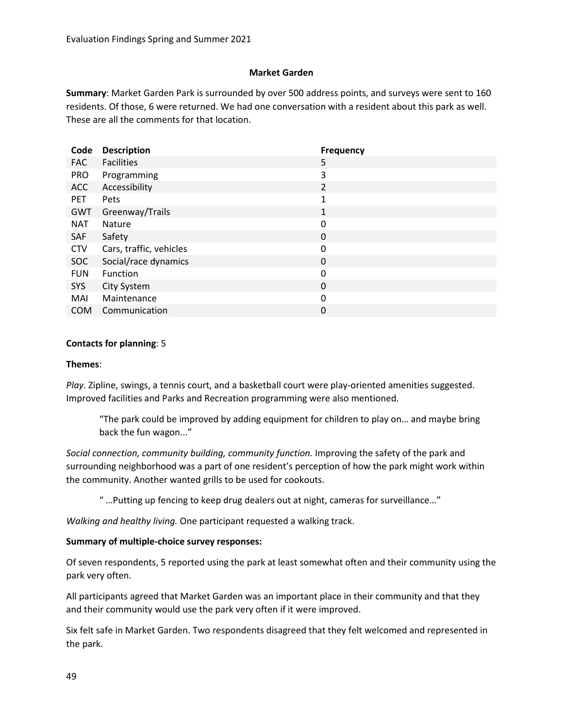## **Market Garden**

**Summary**: Market Garden Park is surrounded by over 500 address points, and surveys were sent to 160 residents. Of those, 6 were returned. We had one conversation with a resident about this park as well. These are all the comments for that location.

| Code       | <b>Description</b>      | Frequency      |
|------------|-------------------------|----------------|
| <b>FAC</b> | <b>Facilities</b>       | 5              |
| <b>PRO</b> | Programming             | 3              |
| <b>ACC</b> | Accessibility           | $\overline{2}$ |
| <b>PET</b> | Pets                    | 1              |
| GWT        | Greenway/Trails         | 1              |
| <b>NAT</b> | <b>Nature</b>           | 0              |
| SAF        | Safety                  | 0              |
| <b>CTV</b> | Cars, traffic, vehicles | 0              |
| <b>SOC</b> | Social/race dynamics    | 0              |
| <b>FUN</b> | Function                | 0              |
| SYS        | City System             | $\mathbf 0$    |
| MAI        | Maintenance             | 0              |
| <b>COM</b> | Communication           | 0              |

### **Contacts for planning**: 5

#### **Themes**:

*Play*. Zipline, swings, a tennis court, and a basketball court were play-oriented amenities suggested. Improved facilities and Parks and Recreation programming were also mentioned.

"The park could be improved by adding equipment for children to play on… and maybe bring back the fun wagon..."

*Social connection, community building, community function.* Improving the safety of the park and surrounding neighborhood was a part of one resident's perception of how the park might work within the community. Another wanted grills to be used for cookouts.

" …Putting up fencing to keep drug dealers out at night, cameras for surveillance…"

*Walking and healthy living.* One participant requested a walking track.

### **Summary of multiple-choice survey responses:**

Of seven respondents, 5 reported using the park at least somewhat often and their community using the park very often.

All participants agreed that Market Garden was an important place in their community and that they and their community would use the park very often if it were improved.

Six felt safe in Market Garden. Two respondents disagreed that they felt welcomed and represented in the park.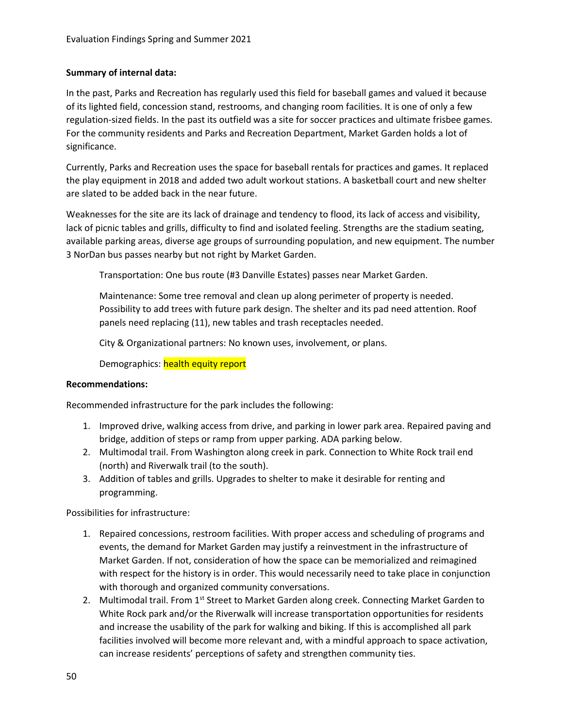## **Summary of internal data:**

In the past, Parks and Recreation has regularly used this field for baseball games and valued it because of its lighted field, concession stand, restrooms, and changing room facilities. It is one of only a few regulation-sized fields. In the past its outfield was a site for soccer practices and ultimate frisbee games. For the community residents and Parks and Recreation Department, Market Garden holds a lot of significance.

Currently, Parks and Recreation uses the space for baseball rentals for practices and games. It replaced the play equipment in 2018 and added two adult workout stations. A basketball court and new shelter are slated to be added back in the near future.

Weaknesses for the site are its lack of drainage and tendency to flood, its lack of access and visibility, lack of picnic tables and grills, difficulty to find and isolated feeling. Strengths are the stadium seating, available parking areas, diverse age groups of surrounding population, and new equipment. The number 3 NorDan bus passes nearby but not right by Market Garden.

Transportation: One bus route (#3 Danville Estates) passes near Market Garden.

Maintenance: Some tree removal and clean up along perimeter of property is needed. Possibility to add trees with future park design. The shelter and its pad need attention. Roof panels need replacing (11), new tables and trash receptacles needed.

City & Organizational partners: No known uses, involvement, or plans.

Demographics: health equity report

### **Recommendations:**

Recommended infrastructure for the park includes the following:

- 1. Improved drive, walking access from drive, and parking in lower park area. Repaired paving and bridge, addition of steps or ramp from upper parking. ADA parking below.
- 2. Multimodal trail. From Washington along creek in park. Connection to White Rock trail end (north) and Riverwalk trail (to the south).
- 3. Addition of tables and grills. Upgrades to shelter to make it desirable for renting and programming.

- 1. Repaired concessions, restroom facilities. With proper access and scheduling of programs and events, the demand for Market Garden may justify a reinvestment in the infrastructure of Market Garden. If not, consideration of how the space can be memorialized and reimagined with respect for the history is in order. This would necessarily need to take place in conjunction with thorough and organized community conversations.
- 2. Multimodal trail. From 1<sup>st</sup> Street to Market Garden along creek. Connecting Market Garden to White Rock park and/or the Riverwalk will increase transportation opportunities for residents and increase the usability of the park for walking and biking. If this is accomplished all park facilities involved will become more relevant and, with a mindful approach to space activation, can increase residents' perceptions of safety and strengthen community ties.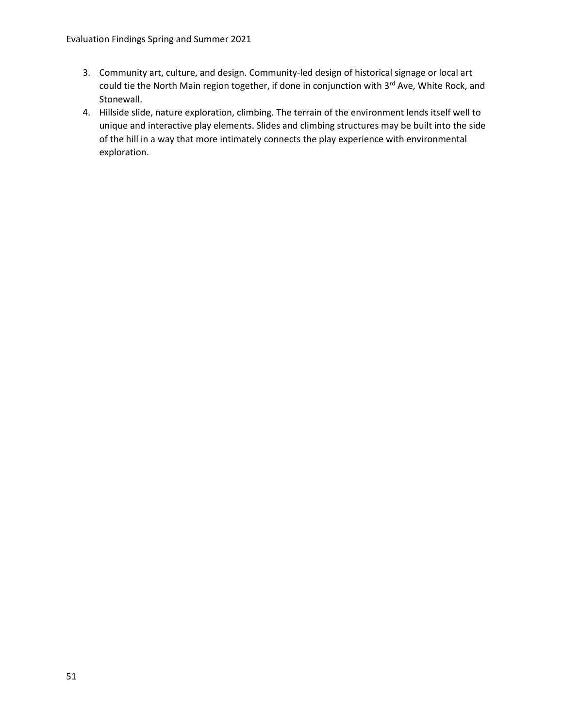- 3. Community art, culture, and design. Community-led design of historical signage or local art could tie the North Main region together, if done in conjunction with 3<sup>rd</sup> Ave, White Rock, and Stonewall.
- 4. Hillside slide, nature exploration, climbing. The terrain of the environment lends itself well to unique and interactive play elements. Slides and climbing structures may be built into the side of the hill in a way that more intimately connects the play experience with environmental exploration.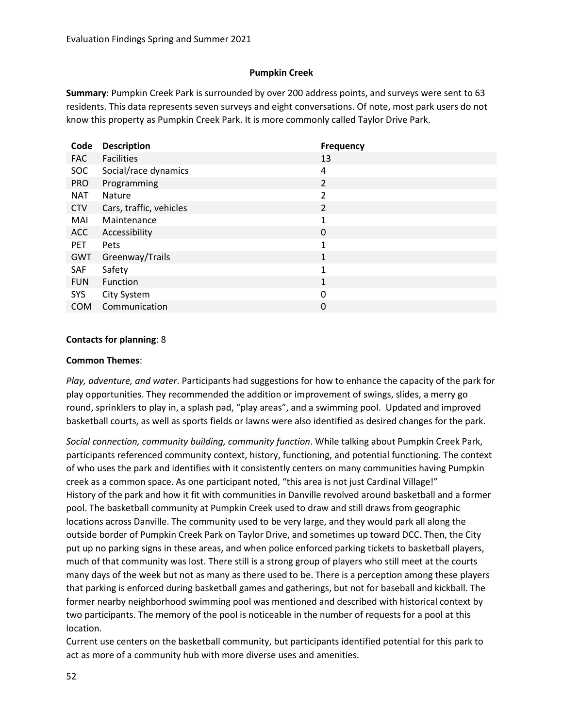## **Pumpkin Creek**

**Summary**: Pumpkin Creek Park is surrounded by over 200 address points, and surveys were sent to 63 residents. This data represents seven surveys and eight conversations. Of note, most park users do not know this property as Pumpkin Creek Park. It is more commonly called Taylor Drive Park.

| Code       | <b>Description</b>      | <b>Frequency</b> |
|------------|-------------------------|------------------|
| <b>FAC</b> | <b>Facilities</b>       | 13               |
| <b>SOC</b> | Social/race dynamics    | 4                |
| <b>PRO</b> | Programming             | $\overline{2}$   |
| <b>NAT</b> | <b>Nature</b>           | $\overline{2}$   |
| <b>CTV</b> | Cars, traffic, vehicles | 2                |
| MAI        | Maintenance             | 1                |
| <b>ACC</b> | Accessibility           | $\mathbf 0$      |
| <b>PET</b> | Pets                    | 1                |
| GWT        | Greenway/Trails         | $\mathbf{1}$     |
| SAF        | Safety                  | 1                |
| <b>FUN</b> | <b>Function</b>         | 1                |
| <b>SYS</b> | City System             | 0                |
| <b>COM</b> | Communication           | 0                |

### **Contacts for planning**: 8

### **Common Themes**:

*Play, adventure, and water*. Participants had suggestions for how to enhance the capacity of the park for play opportunities. They recommended the addition or improvement of swings, slides, a merry go round, sprinklers to play in, a splash pad, "play areas", and a swimming pool. Updated and improved basketball courts, as well as sports fields or lawns were also identified as desired changes for the park.

*Social connection, community building, community function*. While talking about Pumpkin Creek Park, participants referenced community context, history, functioning, and potential functioning. The context of who uses the park and identifies with it consistently centers on many communities having Pumpkin creek as a common space. As one participant noted, "this area is not just Cardinal Village!" History of the park and how it fit with communities in Danville revolved around basketball and a former pool. The basketball community at Pumpkin Creek used to draw and still draws from geographic locations across Danville. The community used to be very large, and they would park all along the outside border of Pumpkin Creek Park on Taylor Drive, and sometimes up toward DCC. Then, the City put up no parking signs in these areas, and when police enforced parking tickets to basketball players, much of that community was lost. There still is a strong group of players who still meet at the courts many days of the week but not as many as there used to be. There is a perception among these players that parking is enforced during basketball games and gatherings, but not for baseball and kickball. The former nearby neighborhood swimming pool was mentioned and described with historical context by two participants. The memory of the pool is noticeable in the number of requests for a pool at this location.

Current use centers on the basketball community, but participants identified potential for this park to act as more of a community hub with more diverse uses and amenities.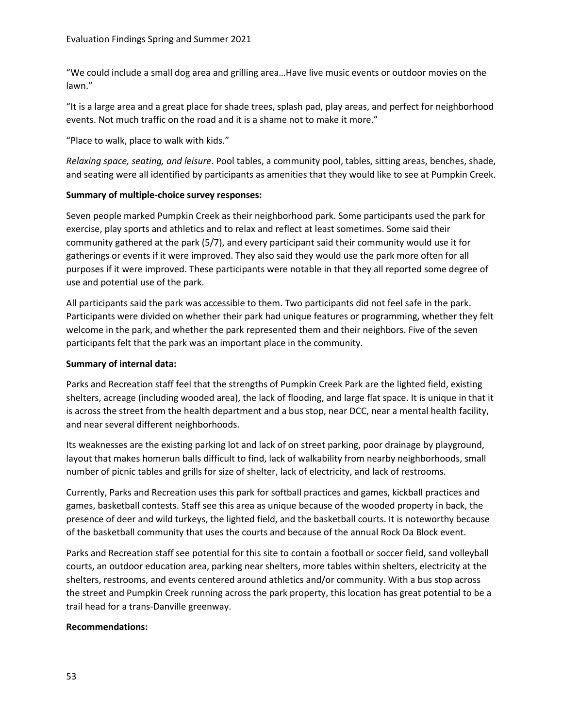"We could include a small dog area and grilling area…Have live music events or outdoor movies on the lawn."

"It is a large area and a great place for shade trees, splash pad, play areas, and perfect for neighborhood events. Not much traffic on the road and it is a shame not to make it more."

"Place to walk, place to walk with kids."

*Relaxing space, seating, and leisure*. Pool tables, a community pool, tables, sitting areas, benches, shade, and seating were all identified by participants as amenities that they would like to see at Pumpkin Creek.

## **Summary of multiple-choice survey responses:**

Seven people marked Pumpkin Creek as their neighborhood park. Some participants used the park for exercise, play sports and athletics and to relax and reflect at least sometimes. Some said their community gathered at the park (5/7), and every participant said their community would use it for gatherings or events if it were improved. They also said they would use the park more often for all purposes if it were improved. These participants were notable in that they all reported some degree of use and potential use of the park.

All participants said the park was accessible to them. Two participants did not feel safe in the park. Participants were divided on whether their park had unique features or programming, whether they felt welcome in the park, and whether the park represented them and their neighbors. Five of the seven participants felt that the park was an important place in the community.

## **Summary of internal data:**

Parks and Recreation staff feel that the strengths of Pumpkin Creek Park are the lighted field, existing shelters, acreage (including wooded area), the lack of flooding, and large flat space. It is unique in that it is across the street from the health department and a bus stop, near DCC, near a mental health facility, and near several different neighborhoods.

Its weaknesses are the existing parking lot and lack of on street parking, poor drainage by playground, layout that makes homerun balls difficult to find, lack of walkability from nearby neighborhoods, small number of picnic tables and grills for size of shelter, lack of electricity, and lack of restrooms.

Currently, Parks and Recreation uses this park for softball practices and games, kickball practices and games, basketball contests. Staff see this area as unique because of the wooded property in back, the presence of deer and wild turkeys, the lighted field, and the basketball courts. It is noteworthy because of the basketball community that uses the courts and because of the annual Rock Da Block event.

Parks and Recreation staff see potential for this site to contain a football or soccer field, sand volleyball courts, an outdoor education area, parking near shelters, more tables within shelters, electricity at the shelters, restrooms, and events centered around athletics and/or community. With a bus stop across the street and Pumpkin Creek running across the park property, this location has great potential to be a trail head for a trans-Danville greenway.

### **Recommendations:**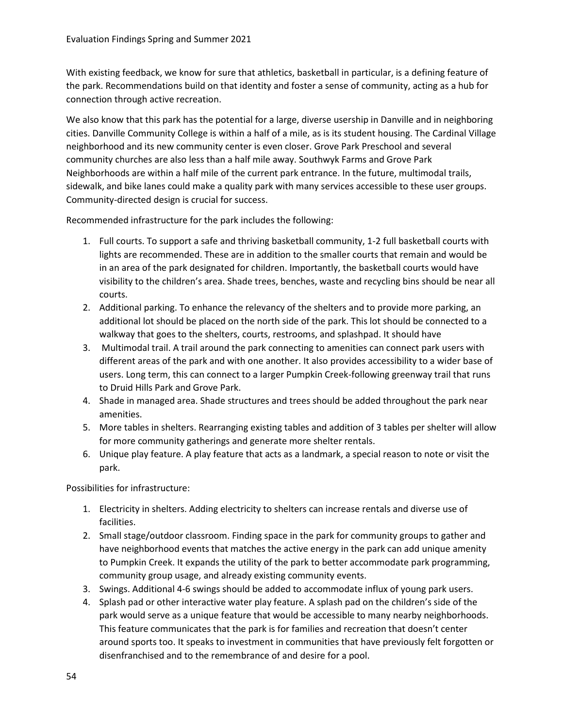With existing feedback, we know for sure that athletics, basketball in particular, is a defining feature of the park. Recommendations build on that identity and foster a sense of community, acting as a hub for connection through active recreation.

We also know that this park has the potential for a large, diverse usership in Danville and in neighboring cities. Danville Community College is within a half of a mile, as is its student housing. The Cardinal Village neighborhood and its new community center is even closer. Grove Park Preschool and several community churches are also less than a half mile away. Southwyk Farms and Grove Park Neighborhoods are within a half mile of the current park entrance. In the future, multimodal trails, sidewalk, and bike lanes could make a quality park with many services accessible to these user groups. Community-directed design is crucial for success.

Recommended infrastructure for the park includes the following:

- 1. Full courts. To support a safe and thriving basketball community, 1-2 full basketball courts with lights are recommended. These are in addition to the smaller courts that remain and would be in an area of the park designated for children. Importantly, the basketball courts would have visibility to the children's area. Shade trees, benches, waste and recycling bins should be near all courts.
- 2. Additional parking. To enhance the relevancy of the shelters and to provide more parking, an additional lot should be placed on the north side of the park. This lot should be connected to a walkway that goes to the shelters, courts, restrooms, and splashpad. It should have
- 3. Multimodal trail. A trail around the park connecting to amenities can connect park users with different areas of the park and with one another. It also provides accessibility to a wider base of users. Long term, this can connect to a larger Pumpkin Creek-following greenway trail that runs to Druid Hills Park and Grove Park.
- 4. Shade in managed area. Shade structures and trees should be added throughout the park near amenities.
- 5. More tables in shelters. Rearranging existing tables and addition of 3 tables per shelter will allow for more community gatherings and generate more shelter rentals.
- 6. Unique play feature. A play feature that acts as a landmark, a special reason to note or visit the park.

- 1. Electricity in shelters. Adding electricity to shelters can increase rentals and diverse use of facilities.
- 2. Small stage/outdoor classroom. Finding space in the park for community groups to gather and have neighborhood events that matches the active energy in the park can add unique amenity to Pumpkin Creek. It expands the utility of the park to better accommodate park programming, community group usage, and already existing community events.
- 3. Swings. Additional 4-6 swings should be added to accommodate influx of young park users.
- 4. Splash pad or other interactive water play feature. A splash pad on the children's side of the park would serve as a unique feature that would be accessible to many nearby neighborhoods. This feature communicates that the park is for families and recreation that doesn't center around sports too. It speaks to investment in communities that have previously felt forgotten or disenfranchised and to the remembrance of and desire for a pool.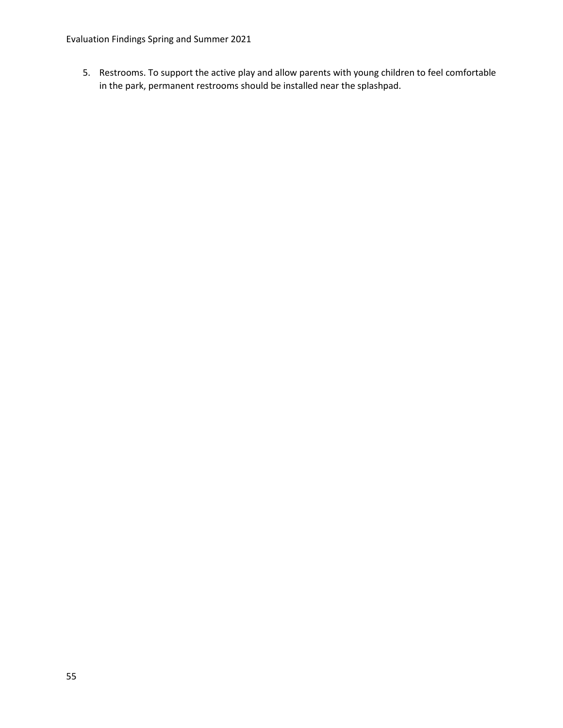Evaluation Findings Spring and Summer 2021

5. Restrooms. To support the active play and allow parents with young children to feel comfortable in the park, permanent restrooms should be installed near the splashpad.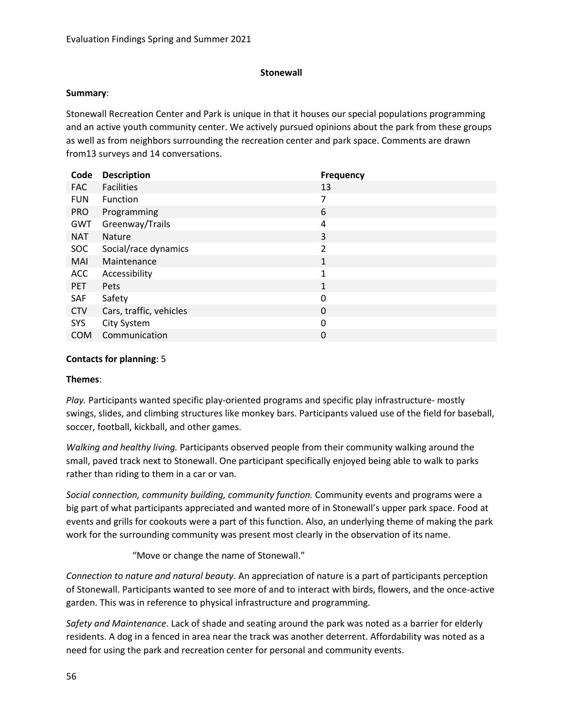### **Stonewall**

#### **Summary**:

Stonewall Recreation Center and Park is unique in that it houses our special populations programming and an active youth community center. We actively pursued opinions about the park from these groups as well as from neighbors surrounding the recreation center and park space. Comments are drawn from13 surveys and 14 conversations.

| Code       | <b>Description</b>      | <b>Frequency</b> |
|------------|-------------------------|------------------|
| <b>FAC</b> | <b>Facilities</b>       | 13               |
| <b>FUN</b> | Function                | 7                |
| <b>PRO</b> | Programming             | 6                |
| GWT        | Greenway/Trails         | 4                |
| <b>NAT</b> | <b>Nature</b>           | 3                |
| <b>SOC</b> | Social/race dynamics    | $\overline{2}$   |
| MAI        | Maintenance             | $\mathbf{1}$     |
| <b>ACC</b> | Accessibility           | 1                |
| <b>PET</b> | Pets                    | 1                |
| <b>SAF</b> | Safety                  | 0                |
| <b>CTV</b> | Cars, traffic, vehicles | $\mathbf 0$      |
| SYS        | City System             | 0                |
| <b>COM</b> | Communication           | 0                |

### **Contacts for planning**: 5

### **Themes**:

*Play.* Participants wanted specific play-oriented programs and specific play infrastructure- mostly swings, slides, and climbing structures like monkey bars. Participants valued use of the field for baseball, soccer, football, kickball, and other games.

*Walking and healthy living.* Participants observed people from their community walking around the small, paved track next to Stonewall. One participant specifically enjoyed being able to walk to parks rather than riding to them in a car or van.

*Social connection, community building, community function.* Community events and programs were a big part of what participants appreciated and wanted more of in Stonewall's upper park space. Food at events and grills for cookouts were a part of this function. Also, an underlying theme of making the park work for the surrounding community was present most clearly in the observation of its name.

"Move or change the name of Stonewall."

*Connection to nature and natural beauty*. An appreciation of nature is a part of participants perception of Stonewall. Participants wanted to see more of and to interact with birds, flowers, and the once-active garden. This was in reference to physical infrastructure and programming.

*Safety and Maintenance.* Lack of shade and seating around the park was noted as a barrier for elderly residents. A dog in a fenced in area near the track was another deterrent. Affordability was noted as a need for using the park and recreation center for personal and community events.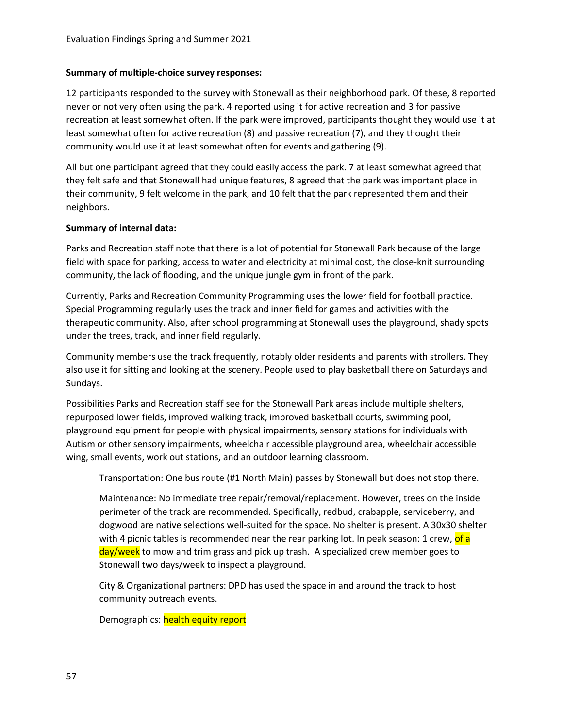### **Summary of multiple-choice survey responses:**

12 participants responded to the survey with Stonewall as their neighborhood park. Of these, 8 reported never or not very often using the park. 4 reported using it for active recreation and 3 for passive recreation at least somewhat often. If the park were improved, participants thought they would use it at least somewhat often for active recreation (8) and passive recreation (7), and they thought their community would use it at least somewhat often for events and gathering (9).

All but one participant agreed that they could easily access the park. 7 at least somewhat agreed that they felt safe and that Stonewall had unique features, 8 agreed that the park was important place in their community, 9 felt welcome in the park, and 10 felt that the park represented them and their neighbors.

### **Summary of internal data:**

Parks and Recreation staff note that there is a lot of potential for Stonewall Park because of the large field with space for parking, access to water and electricity at minimal cost, the close-knit surrounding community, the lack of flooding, and the unique jungle gym in front of the park.

Currently, Parks and Recreation Community Programming uses the lower field for football practice. Special Programming regularly uses the track and inner field for games and activities with the therapeutic community. Also, after school programming at Stonewall uses the playground, shady spots under the trees, track, and inner field regularly.

Community members use the track frequently, notably older residents and parents with strollers. They also use it for sitting and looking at the scenery. People used to play basketball there on Saturdays and Sundays.

Possibilities Parks and Recreation staff see for the Stonewall Park areas include multiple shelters, repurposed lower fields, improved walking track, improved basketball courts, swimming pool, playground equipment for people with physical impairments, sensory stations for individuals with Autism or other sensory impairments, wheelchair accessible playground area, wheelchair accessible wing, small events, work out stations, and an outdoor learning classroom.

Transportation: One bus route (#1 North Main) passes by Stonewall but does not stop there.

Maintenance: No immediate tree repair/removal/replacement. However, trees on the inside perimeter of the track are recommended. Specifically, redbud, crabapple, serviceberry, and dogwood are native selections well-suited for the space. No shelter is present. A 30x30 shelter with 4 picnic tables is recommended near the rear parking lot. In peak season: 1 crew, of a day/week to mow and trim grass and pick up trash. A specialized crew member goes to Stonewall two days/week to inspect a playground.

City & Organizational partners: DPD has used the space in and around the track to host community outreach events.

Demographics: health equity report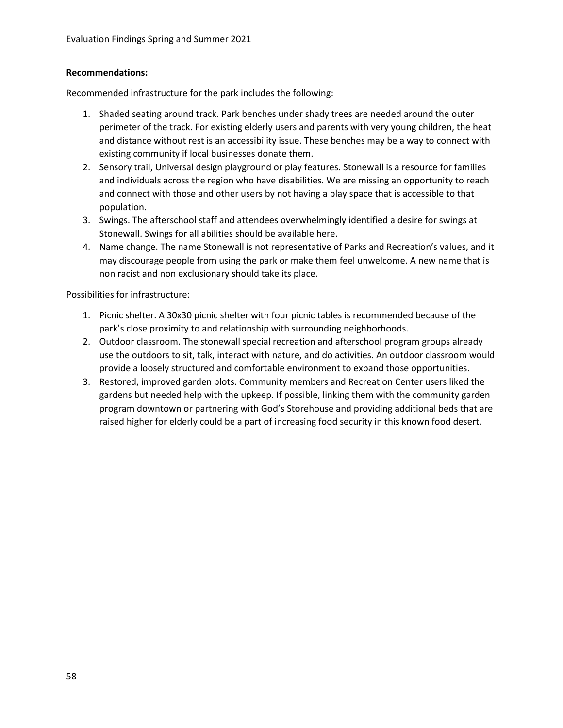## **Recommendations:**

Recommended infrastructure for the park includes the following:

- 1. Shaded seating around track. Park benches under shady trees are needed around the outer perimeter of the track. For existing elderly users and parents with very young children, the heat and distance without rest is an accessibility issue. These benches may be a way to connect with existing community if local businesses donate them.
- 2. Sensory trail, Universal design playground or play features. Stonewall is a resource for families and individuals across the region who have disabilities. We are missing an opportunity to reach and connect with those and other users by not having a play space that is accessible to that population.
- 3. Swings. The afterschool staff and attendees overwhelmingly identified a desire for swings at Stonewall. Swings for all abilities should be available here.
- 4. Name change. The name Stonewall is not representative of Parks and Recreation's values, and it may discourage people from using the park or make them feel unwelcome. A new name that is non racist and non exclusionary should take its place.

- 1. Picnic shelter. A 30x30 picnic shelter with four picnic tables is recommended because of the park's close proximity to and relationship with surrounding neighborhoods.
- 2. Outdoor classroom. The stonewall special recreation and afterschool program groups already use the outdoors to sit, talk, interact with nature, and do activities. An outdoor classroom would provide a loosely structured and comfortable environment to expand those opportunities.
- 3. Restored, improved garden plots. Community members and Recreation Center users liked the gardens but needed help with the upkeep. If possible, linking them with the community garden program downtown or partnering with God's Storehouse and providing additional beds that are raised higher for elderly could be a part of increasing food security in this known food desert.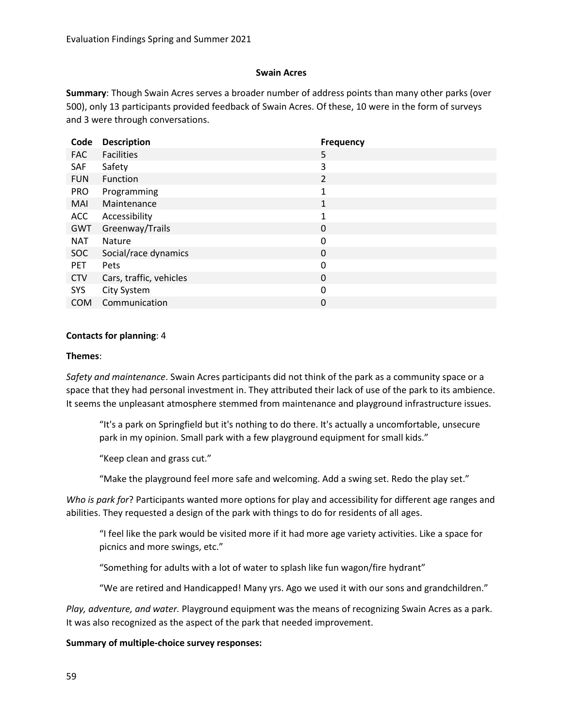### **Swain Acres**

**Summary**: Though Swain Acres serves a broader number of address points than many other parks (over 500), only 13 participants provided feedback of Swain Acres. Of these, 10 were in the form of surveys and 3 were through conversations.

| Code       | <b>Description</b>      | <b>Frequency</b> |
|------------|-------------------------|------------------|
| <b>FAC</b> | <b>Facilities</b>       | 5                |
| <b>SAF</b> | Safety                  | 3                |
| <b>FUN</b> | Function                | $\overline{2}$   |
| <b>PRO</b> | Programming             | 1                |
| MAI        | Maintenance             | 1                |
| <b>ACC</b> | Accessibility           | 1                |
| GWT        | Greenway/Trails         | 0                |
| <b>NAT</b> | <b>Nature</b>           | 0                |
| <b>SOC</b> | Social/race dynamics    | 0                |
| <b>PET</b> | Pets                    | 0                |
| <b>CTV</b> | Cars, traffic, vehicles | 0                |
| SYS        | City System             | 0                |
| <b>COM</b> | Communication           | 0                |

#### **Contacts for planning**: 4

#### **Themes**:

*Safety and maintenance*. Swain Acres participants did not think of the park as a community space or a space that they had personal investment in. They attributed their lack of use of the park to its ambience. It seems the unpleasant atmosphere stemmed from maintenance and playground infrastructure issues.

"It's a park on Springfield but it's nothing to do there. It's actually a uncomfortable, unsecure park in my opinion. Small park with a few playground equipment for small kids."

"Keep clean and grass cut."

"Make the playground feel more safe and welcoming. Add a swing set. Redo the play set."

*Who is park for*? Participants wanted more options for play and accessibility for different age ranges and abilities. They requested a design of the park with things to do for residents of all ages.

"I feel like the park would be visited more if it had more age variety activities. Like a space for picnics and more swings, etc."

"Something for adults with a lot of water to splash like fun wagon/fire hydrant"

"We are retired and Handicapped! Many yrs. Ago we used it with our sons and grandchildren."

*Play, adventure, and water.* Playground equipment was the means of recognizing Swain Acres as a park. It was also recognized as the aspect of the park that needed improvement.

### **Summary of multiple-choice survey responses:**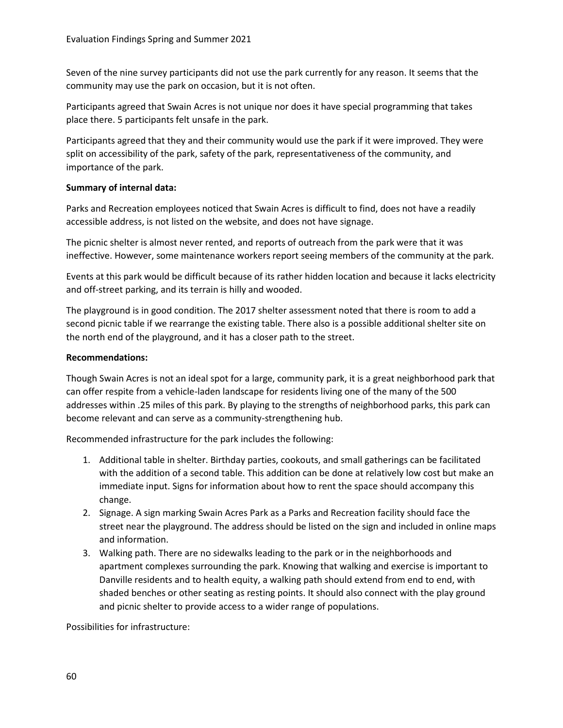Seven of the nine survey participants did not use the park currently for any reason. It seems that the community may use the park on occasion, but it is not often.

Participants agreed that Swain Acres is not unique nor does it have special programming that takes place there. 5 participants felt unsafe in the park.

Participants agreed that they and their community would use the park if it were improved. They were split on accessibility of the park, safety of the park, representativeness of the community, and importance of the park.

### **Summary of internal data:**

Parks and Recreation employees noticed that Swain Acres is difficult to find, does not have a readily accessible address, is not listed on the website, and does not have signage.

The picnic shelter is almost never rented, and reports of outreach from the park were that it was ineffective. However, some maintenance workers report seeing members of the community at the park.

Events at this park would be difficult because of its rather hidden location and because it lacks electricity and off-street parking, and its terrain is hilly and wooded.

The playground is in good condition. The 2017 shelter assessment noted that there is room to add a second picnic table if we rearrange the existing table. There also is a possible additional shelter site on the north end of the playground, and it has a closer path to the street.

### **Recommendations:**

Though Swain Acres is not an ideal spot for a large, community park, it is a great neighborhood park that can offer respite from a vehicle-laden landscape for residents living one of the many of the 500 addresses within .25 miles of this park. By playing to the strengths of neighborhood parks, this park can become relevant and can serve as a community-strengthening hub.

Recommended infrastructure for the park includes the following:

- 1. Additional table in shelter. Birthday parties, cookouts, and small gatherings can be facilitated with the addition of a second table. This addition can be done at relatively low cost but make an immediate input. Signs for information about how to rent the space should accompany this change.
- 2. Signage. A sign marking Swain Acres Park as a Parks and Recreation facility should face the street near the playground. The address should be listed on the sign and included in online maps and information.
- 3. Walking path. There are no sidewalks leading to the park or in the neighborhoods and apartment complexes surrounding the park. Knowing that walking and exercise is important to Danville residents and to health equity, a walking path should extend from end to end, with shaded benches or other seating as resting points. It should also connect with the play ground and picnic shelter to provide access to a wider range of populations.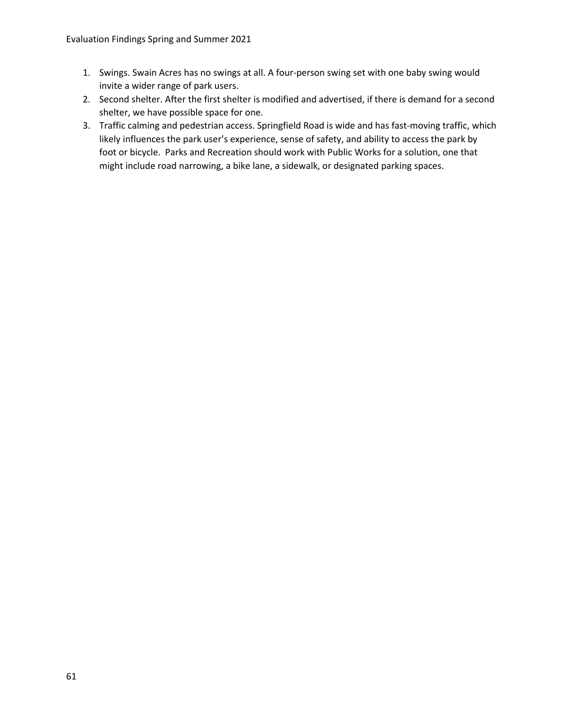- 1. Swings. Swain Acres has no swings at all. A four-person swing set with one baby swing would invite a wider range of park users.
- 2. Second shelter. After the first shelter is modified and advertised, if there is demand for a second shelter, we have possible space for one.
- 3. Traffic calming and pedestrian access. Springfield Road is wide and has fast-moving traffic, which likely influences the park user's experience, sense of safety, and ability to access the park by foot or bicycle. Parks and Recreation should work with Public Works for a solution, one that might include road narrowing, a bike lane, a sidewalk, or designated parking spaces.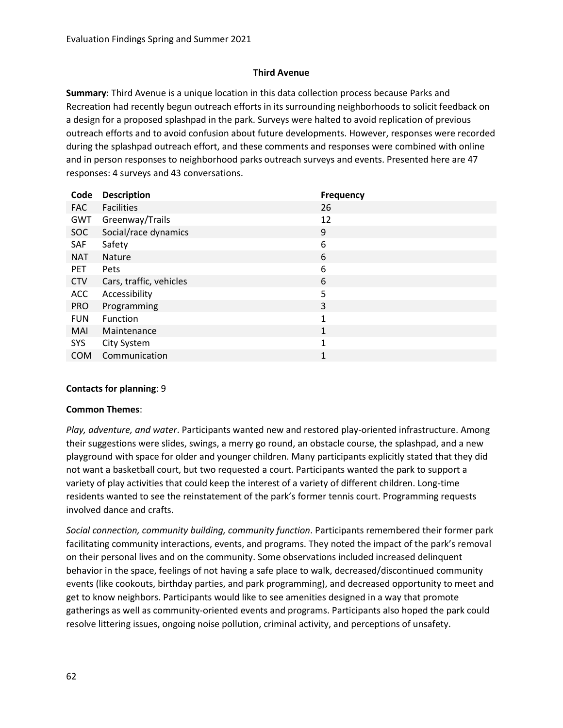## **Third Avenue**

**Summary**: Third Avenue is a unique location in this data collection process because Parks and Recreation had recently begun outreach efforts in its surrounding neighborhoods to solicit feedback on a design for a proposed splashpad in the park. Surveys were halted to avoid replication of previous outreach efforts and to avoid confusion about future developments. However, responses were recorded during the splashpad outreach effort, and these comments and responses were combined with online and in person responses to neighborhood parks outreach surveys and events. Presented here are 47 responses: 4 surveys and 43 conversations.

| Code       | <b>Description</b>      | <b>Frequency</b> |
|------------|-------------------------|------------------|
| <b>FAC</b> | <b>Facilities</b>       | 26               |
| GWT        | Greenway/Trails         | 12               |
| SOC        | Social/race dynamics    | 9                |
| <b>SAF</b> | Safety                  | 6                |
| <b>NAT</b> | <b>Nature</b>           | 6                |
| <b>PET</b> | Pets                    | 6                |
| <b>CTV</b> | Cars, traffic, vehicles | 6                |
| <b>ACC</b> | Accessibility           | 5                |
| <b>PRO</b> | Programming             | 3                |
| <b>FUN</b> | Function                | $\mathbf{1}$     |
| <b>MAI</b> | Maintenance             | 1                |
| SYS        | City System             | $\mathbf{1}$     |
| <b>COM</b> | Communication           | 1                |
|            |                         |                  |

### **Contacts for planning**: 9

### **Common Themes**:

*Play, adventure, and water*. Participants wanted new and restored play-oriented infrastructure. Among their suggestions were slides, swings, a merry go round, an obstacle course, the splashpad, and a new playground with space for older and younger children. Many participants explicitly stated that they did not want a basketball court, but two requested a court. Participants wanted the park to support a variety of play activities that could keep the interest of a variety of different children. Long-time residents wanted to see the reinstatement of the park's former tennis court. Programming requests involved dance and crafts.

*Social connection, community building, community function*. Participants remembered their former park facilitating community interactions, events, and programs. They noted the impact of the park's removal on their personal lives and on the community. Some observations included increased delinquent behavior in the space, feelings of not having a safe place to walk, decreased/discontinued community events (like cookouts, birthday parties, and park programming), and decreased opportunity to meet and get to know neighbors. Participants would like to see amenities designed in a way that promote gatherings as well as community-oriented events and programs. Participants also hoped the park could resolve littering issues, ongoing noise pollution, criminal activity, and perceptions of unsafety.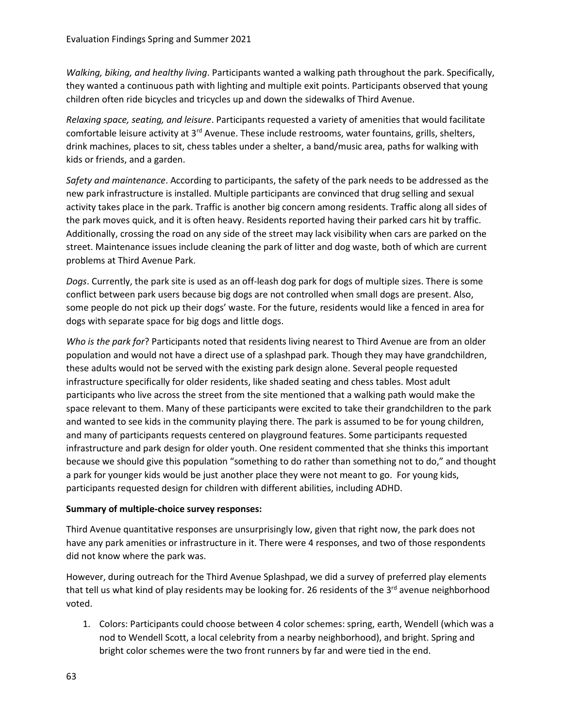*Walking, biking, and healthy living*. Participants wanted a walking path throughout the park. Specifically, they wanted a continuous path with lighting and multiple exit points. Participants observed that young children often ride bicycles and tricycles up and down the sidewalks of Third Avenue.

*Relaxing space, seating, and leisure*. Participants requested a variety of amenities that would facilitate comfortable leisure activity at  $3<sup>rd</sup>$  Avenue. These include restrooms, water fountains, grills, shelters, drink machines, places to sit, chess tables under a shelter, a band/music area, paths for walking with kids or friends, and a garden.

*Safety and maintenance*. According to participants, the safety of the park needs to be addressed as the new park infrastructure is installed. Multiple participants are convinced that drug selling and sexual activity takes place in the park. Traffic is another big concern among residents. Traffic along all sides of the park moves quick, and it is often heavy. Residents reported having their parked cars hit by traffic. Additionally, crossing the road on any side of the street may lack visibility when cars are parked on the street. Maintenance issues include cleaning the park of litter and dog waste, both of which are current problems at Third Avenue Park.

*Dogs*. Currently, the park site is used as an off-leash dog park for dogs of multiple sizes. There is some conflict between park users because big dogs are not controlled when small dogs are present. Also, some people do not pick up their dogs' waste. For the future, residents would like a fenced in area for dogs with separate space for big dogs and little dogs.

*Who is the park for*? Participants noted that residents living nearest to Third Avenue are from an older population and would not have a direct use of a splashpad park. Though they may have grandchildren, these adults would not be served with the existing park design alone. Several people requested infrastructure specifically for older residents, like shaded seating and chess tables. Most adult participants who live across the street from the site mentioned that a walking path would make the space relevant to them. Many of these participants were excited to take their grandchildren to the park and wanted to see kids in the community playing there. The park is assumed to be for young children, and many of participants requests centered on playground features. Some participants requested infrastructure and park design for older youth. One resident commented that she thinks this important because we should give this population "something to do rather than something not to do," and thought a park for younger kids would be just another place they were not meant to go. For young kids, participants requested design for children with different abilities, including ADHD.

### **Summary of multiple-choice survey responses:**

Third Avenue quantitative responses are unsurprisingly low, given that right now, the park does not have any park amenities or infrastructure in it. There were 4 responses, and two of those respondents did not know where the park was.

However, during outreach for the Third Avenue Splashpad, we did a survey of preferred play elements that tell us what kind of play residents may be looking for. 26 residents of the  $3<sup>rd</sup>$  avenue neighborhood voted.

1. Colors: Participants could choose between 4 color schemes: spring, earth, Wendell (which was a nod to Wendell Scott, a local celebrity from a nearby neighborhood), and bright. Spring and bright color schemes were the two front runners by far and were tied in the end.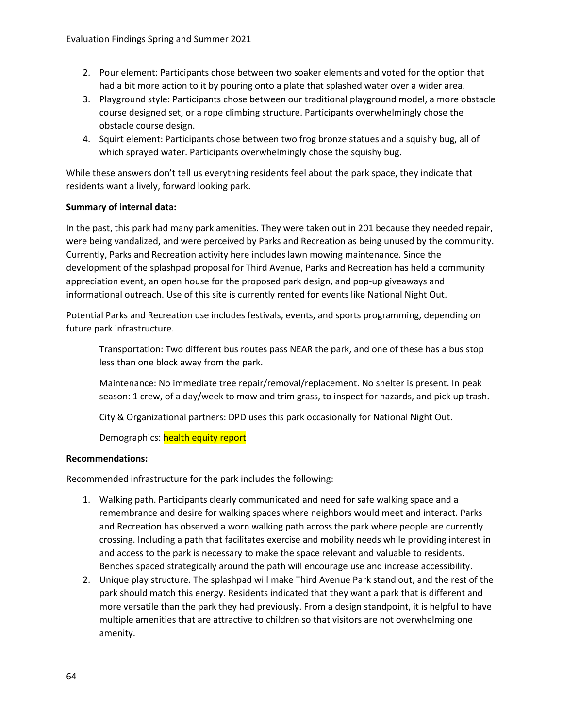- 2. Pour element: Participants chose between two soaker elements and voted for the option that had a bit more action to it by pouring onto a plate that splashed water over a wider area.
- 3. Playground style: Participants chose between our traditional playground model, a more obstacle course designed set, or a rope climbing structure. Participants overwhelmingly chose the obstacle course design.
- 4. Squirt element: Participants chose between two frog bronze statues and a squishy bug, all of which sprayed water. Participants overwhelmingly chose the squishy bug.

While these answers don't tell us everything residents feel about the park space, they indicate that residents want a lively, forward looking park.

## **Summary of internal data:**

In the past, this park had many park amenities. They were taken out in 201 because they needed repair, were being vandalized, and were perceived by Parks and Recreation as being unused by the community. Currently, Parks and Recreation activity here includes lawn mowing maintenance. Since the development of the splashpad proposal for Third Avenue, Parks and Recreation has held a community appreciation event, an open house for the proposed park design, and pop-up giveaways and informational outreach. Use of this site is currently rented for events like National Night Out.

Potential Parks and Recreation use includes festivals, events, and sports programming, depending on future park infrastructure.

Transportation: Two different bus routes pass NEAR the park, and one of these has a bus stop less than one block away from the park.

Maintenance: No immediate tree repair/removal/replacement. No shelter is present. In peak season: 1 crew, of a day/week to mow and trim grass, to inspect for hazards, and pick up trash.

City & Organizational partners: DPD uses this park occasionally for National Night Out.

Demographics: health equity report

### **Recommendations:**

Recommended infrastructure for the park includes the following:

- 1. Walking path. Participants clearly communicated and need for safe walking space and a remembrance and desire for walking spaces where neighbors would meet and interact. Parks and Recreation has observed a worn walking path across the park where people are currently crossing. Including a path that facilitates exercise and mobility needs while providing interest in and access to the park is necessary to make the space relevant and valuable to residents. Benches spaced strategically around the path will encourage use and increase accessibility.
- 2. Unique play structure. The splashpad will make Third Avenue Park stand out, and the rest of the park should match this energy. Residents indicated that they want a park that is different and more versatile than the park they had previously. From a design standpoint, it is helpful to have multiple amenities that are attractive to children so that visitors are not overwhelming one amenity.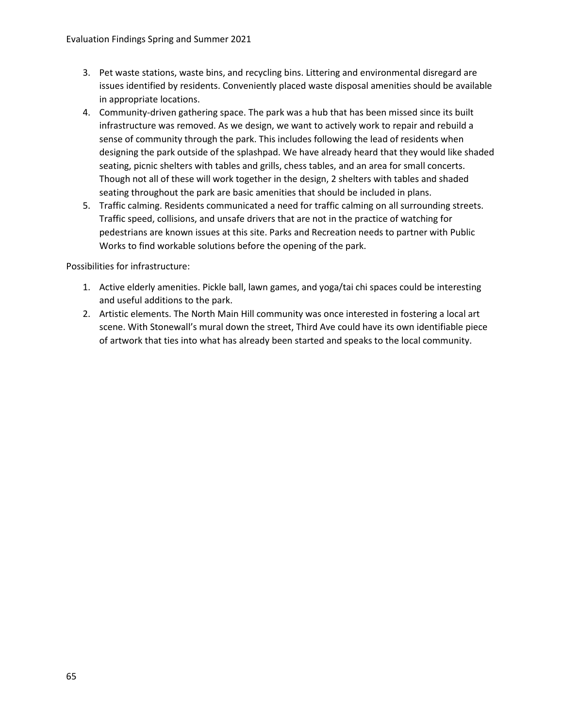- 3. Pet waste stations, waste bins, and recycling bins. Littering and environmental disregard are issues identified by residents. Conveniently placed waste disposal amenities should be available in appropriate locations.
- 4. Community-driven gathering space. The park was a hub that has been missed since its built infrastructure was removed. As we design, we want to actively work to repair and rebuild a sense of community through the park. This includes following the lead of residents when designing the park outside of the splashpad. We have already heard that they would like shaded seating, picnic shelters with tables and grills, chess tables, and an area for small concerts. Though not all of these will work together in the design, 2 shelters with tables and shaded seating throughout the park are basic amenities that should be included in plans.
- 5. Traffic calming. Residents communicated a need for traffic calming on all surrounding streets. Traffic speed, collisions, and unsafe drivers that are not in the practice of watching for pedestrians are known issues at this site. Parks and Recreation needs to partner with Public Works to find workable solutions before the opening of the park.

- 1. Active elderly amenities. Pickle ball, lawn games, and yoga/tai chi spaces could be interesting and useful additions to the park.
- 2. Artistic elements. The North Main Hill community was once interested in fostering a local art scene. With Stonewall's mural down the street, Third Ave could have its own identifiable piece of artwork that ties into what has already been started and speaks to the local community.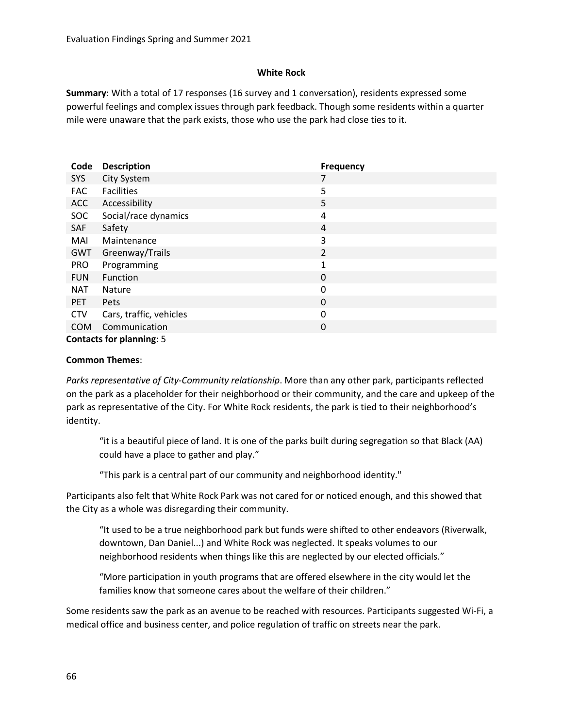### **White Rock**

**Summary**: With a total of 17 responses (16 survey and 1 conversation), residents expressed some powerful feelings and complex issues through park feedback. Though some residents within a quarter mile were unaware that the park exists, those who use the park had close ties to it.

| Code       | <b>Description</b>              | <b>Frequency</b> |
|------------|---------------------------------|------------------|
| <b>SYS</b> | City System                     | 7                |
| <b>FAC</b> | <b>Facilities</b>               | 5                |
| <b>ACC</b> | Accessibility                   | 5                |
| <b>SOC</b> | Social/race dynamics            | 4                |
| SAF        | Safety                          | 4                |
| MAI        | Maintenance                     | 3                |
| GWT        | Greenway/Trails                 | 2                |
| <b>PRO</b> | Programming                     | 1                |
| <b>FUN</b> | Function                        | 0                |
| NAT        | Nature                          | 0                |
| <b>PET</b> | <b>Pets</b>                     | 0                |
| <b>CTV</b> | Cars, traffic, vehicles         | 0                |
| <b>COM</b> | Communication                   | 0                |
|            | <b>Contacts for planning: 5</b> |                  |

#### **Common Themes**:

*Parks representative of City-Community relationship*. More than any other park, participants reflected on the park as a placeholder for their neighborhood or their community, and the care and upkeep of the park as representative of the City. For White Rock residents, the park is tied to their neighborhood's identity.

"it is a beautiful piece of land. It is one of the parks built during segregation so that Black (AA) could have a place to gather and play."

"This park is a central part of our community and neighborhood identity."

Participants also felt that White Rock Park was not cared for or noticed enough, and this showed that the City as a whole was disregarding their community.

"It used to be a true neighborhood park but funds were shifted to other endeavors (Riverwalk, downtown, Dan Daniel...) and White Rock was neglected. It speaks volumes to our neighborhood residents when things like this are neglected by our elected officials."

"More participation in youth programs that are offered elsewhere in the city would let the families know that someone cares about the welfare of their children."

Some residents saw the park as an avenue to be reached with resources. Participants suggested Wi-Fi, a medical office and business center, and police regulation of traffic on streets near the park.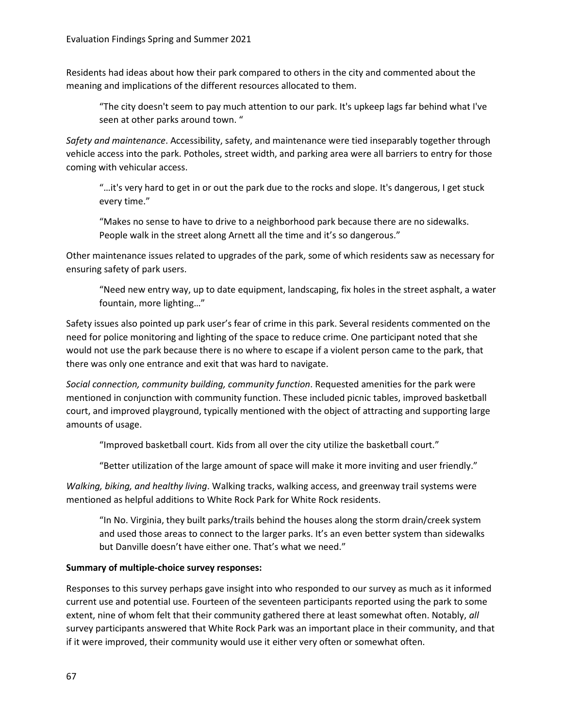Residents had ideas about how their park compared to others in the city and commented about the meaning and implications of the different resources allocated to them.

"The city doesn't seem to pay much attention to our park. It's upkeep lags far behind what I've seen at other parks around town. "

*Safety and maintenance*. Accessibility, safety, and maintenance were tied inseparably together through vehicle access into the park. Potholes, street width, and parking area were all barriers to entry for those coming with vehicular access.

"…it's very hard to get in or out the park due to the rocks and slope. It's dangerous, I get stuck every time."

"Makes no sense to have to drive to a neighborhood park because there are no sidewalks. People walk in the street along Arnett all the time and it's so dangerous."

Other maintenance issues related to upgrades of the park, some of which residents saw as necessary for ensuring safety of park users.

"Need new entry way, up to date equipment, landscaping, fix holes in the street asphalt, a water fountain, more lighting…"

Safety issues also pointed up park user's fear of crime in this park. Several residents commented on the need for police monitoring and lighting of the space to reduce crime. One participant noted that she would not use the park because there is no where to escape if a violent person came to the park, that there was only one entrance and exit that was hard to navigate.

*Social connection, community building, community function*. Requested amenities for the park were mentioned in conjunction with community function. These included picnic tables, improved basketball court, and improved playground, typically mentioned with the object of attracting and supporting large amounts of usage.

"Improved basketball court. Kids from all over the city utilize the basketball court."

"Better utilization of the large amount of space will make it more inviting and user friendly."

*Walking, biking, and healthy living*. Walking tracks, walking access, and greenway trail systems were mentioned as helpful additions to White Rock Park for White Rock residents.

"In No. Virginia, they built parks/trails behind the houses along the storm drain/creek system and used those areas to connect to the larger parks. It's an even better system than sidewalks but Danville doesn't have either one. That's what we need."

# **Summary of multiple-choice survey responses:**

Responses to this survey perhaps gave insight into who responded to our survey as much as it informed current use and potential use. Fourteen of the seventeen participants reported using the park to some extent, nine of whom felt that their community gathered there at least somewhat often. Notably, *all* survey participants answered that White Rock Park was an important place in their community, and that if it were improved, their community would use it either very often or somewhat often.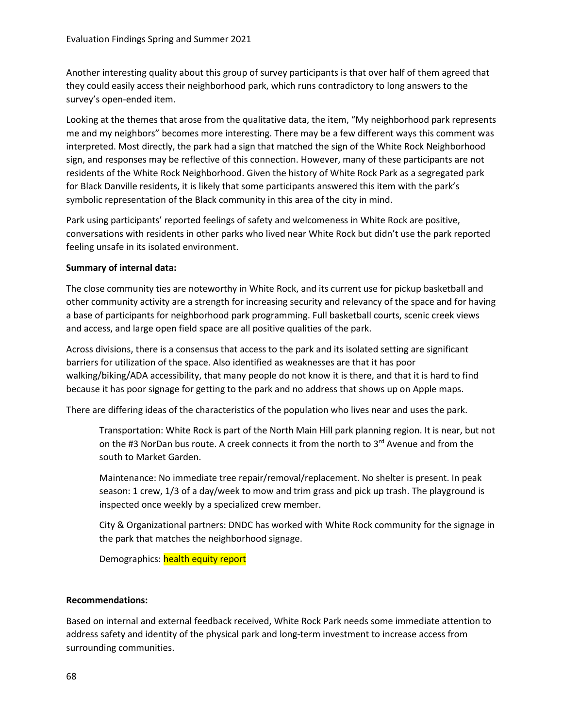Another interesting quality about this group of survey participants is that over half of them agreed that they could easily access their neighborhood park, which runs contradictory to long answers to the survey's open-ended item.

Looking at the themes that arose from the qualitative data, the item, "My neighborhood park represents me and my neighbors" becomes more interesting. There may be a few different ways this comment was interpreted. Most directly, the park had a sign that matched the sign of the White Rock Neighborhood sign, and responses may be reflective of this connection. However, many of these participants are not residents of the White Rock Neighborhood. Given the history of White Rock Park as a segregated park for Black Danville residents, it is likely that some participants answered this item with the park's symbolic representation of the Black community in this area of the city in mind.

Park using participants' reported feelings of safety and welcomeness in White Rock are positive, conversations with residents in other parks who lived near White Rock but didn't use the park reported feeling unsafe in its isolated environment.

### **Summary of internal data:**

The close community ties are noteworthy in White Rock, and its current use for pickup basketball and other community activity are a strength for increasing security and relevancy of the space and for having a base of participants for neighborhood park programming. Full basketball courts, scenic creek views and access, and large open field space are all positive qualities of the park.

Across divisions, there is a consensus that access to the park and its isolated setting are significant barriers for utilization of the space. Also identified as weaknesses are that it has poor walking/biking/ADA accessibility, that many people do not know it is there, and that it is hard to find because it has poor signage for getting to the park and no address that shows up on Apple maps.

There are differing ideas of the characteristics of the population who lives near and uses the park.

Transportation: White Rock is part of the North Main Hill park planning region. It is near, but not on the #3 NorDan bus route. A creek connects it from the north to  $3<sup>rd</sup>$  Avenue and from the south to Market Garden.

Maintenance: No immediate tree repair/removal/replacement. No shelter is present. In peak season: 1 crew, 1/3 of a day/week to mow and trim grass and pick up trash. The playground is inspected once weekly by a specialized crew member.

City & Organizational partners: DNDC has worked with White Rock community for the signage in the park that matches the neighborhood signage.

Demographics: health equity report

### **Recommendations:**

Based on internal and external feedback received, White Rock Park needs some immediate attention to address safety and identity of the physical park and long-term investment to increase access from surrounding communities.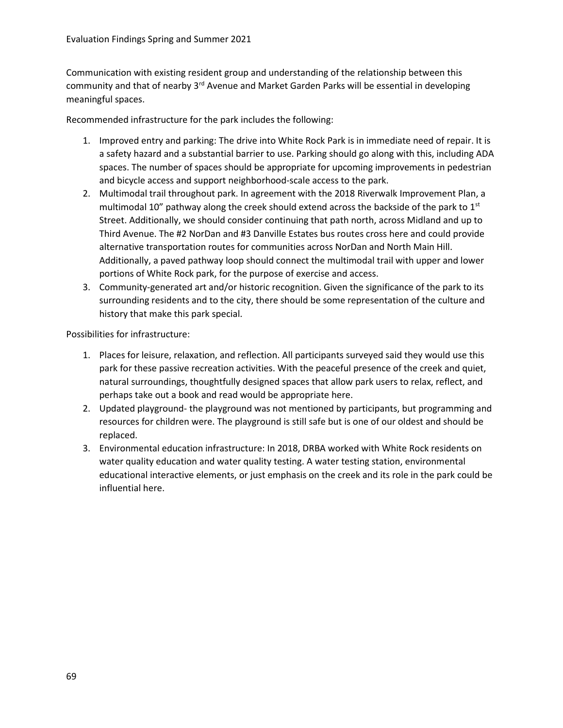Communication with existing resident group and understanding of the relationship between this community and that of nearby 3<sup>rd</sup> Avenue and Market Garden Parks will be essential in developing meaningful spaces.

Recommended infrastructure for the park includes the following:

- 1. Improved entry and parking: The drive into White Rock Park is in immediate need of repair. It is a safety hazard and a substantial barrier to use. Parking should go along with this, including ADA spaces. The number of spaces should be appropriate for upcoming improvements in pedestrian and bicycle access and support neighborhood-scale access to the park.
- 2. Multimodal trail throughout park. In agreement with the 2018 Riverwalk Improvement Plan, a multimodal 10" pathway along the creek should extend across the backside of the park to  $1<sup>st</sup>$ Street. Additionally, we should consider continuing that path north, across Midland and up to Third Avenue. The #2 NorDan and #3 Danville Estates bus routes cross here and could provide alternative transportation routes for communities across NorDan and North Main Hill. Additionally, a paved pathway loop should connect the multimodal trail with upper and lower portions of White Rock park, for the purpose of exercise and access.
- 3. Community-generated art and/or historic recognition. Given the significance of the park to its surrounding residents and to the city, there should be some representation of the culture and history that make this park special.

- 1. Places for leisure, relaxation, and reflection. All participants surveyed said they would use this park for these passive recreation activities. With the peaceful presence of the creek and quiet, natural surroundings, thoughtfully designed spaces that allow park users to relax, reflect, and perhaps take out a book and read would be appropriate here.
- 2. Updated playground- the playground was not mentioned by participants, but programming and resources for children were. The playground is still safe but is one of our oldest and should be replaced.
- 3. Environmental education infrastructure: In 2018, DRBA worked with White Rock residents on water quality education and water quality testing. A water testing station, environmental educational interactive elements, or just emphasis on the creek and its role in the park could be influential here.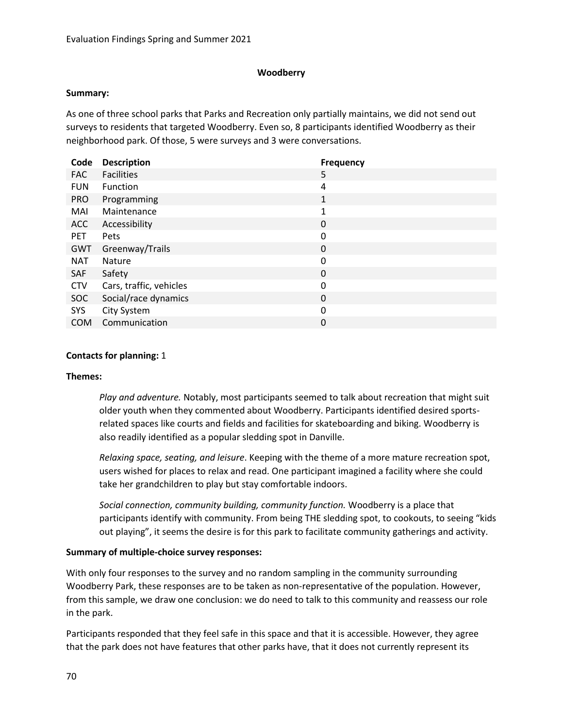## **Woodberry**

### **Summary:**

As one of three school parks that Parks and Recreation only partially maintains, we did not send out surveys to residents that targeted Woodberry. Even so, 8 participants identified Woodberry as their neighborhood park. Of those, 5 were surveys and 3 were conversations.

| Code       | <b>Description</b>      | <b>Frequency</b> |
|------------|-------------------------|------------------|
| <b>FAC</b> | <b>Facilities</b>       | 5                |
| <b>FUN</b> | Function                | 4                |
| <b>PRO</b> | Programming             | $\mathbf{1}$     |
| MAI        | Maintenance             | 1                |
| ACC        | Accessibility           | 0                |
| <b>PET</b> | Pets                    | 0                |
| GWT        | Greenway/Trails         | 0                |
| <b>NAT</b> | <b>Nature</b>           | 0                |
| SAF        | Safety                  | 0                |
| <b>CTV</b> | Cars, traffic, vehicles | 0                |
| <b>SOC</b> | Social/race dynamics    | 0                |
| SYS        | City System             | 0                |
| <b>COM</b> | Communication           | 0                |

### **Contacts for planning:** 1

### **Themes:**

*Play and adventure.* Notably, most participants seemed to talk about recreation that might suit older youth when they commented about Woodberry. Participants identified desired sportsrelated spaces like courts and fields and facilities for skateboarding and biking. Woodberry is also readily identified as a popular sledding spot in Danville.

*Relaxing space, seating, and leisure*. Keeping with the theme of a more mature recreation spot, users wished for places to relax and read. One participant imagined a facility where she could take her grandchildren to play but stay comfortable indoors.

*Social connection, community building, community function.* Woodberry is a place that participants identify with community. From being THE sledding spot, to cookouts, to seeing "kids out playing", it seems the desire is for this park to facilitate community gatherings and activity.

### **Summary of multiple-choice survey responses:**

With only four responses to the survey and no random sampling in the community surrounding Woodberry Park, these responses are to be taken as non-representative of the population. However, from this sample, we draw one conclusion: we do need to talk to this community and reassess our role in the park.

Participants responded that they feel safe in this space and that it is accessible. However, they agree that the park does not have features that other parks have, that it does not currently represent its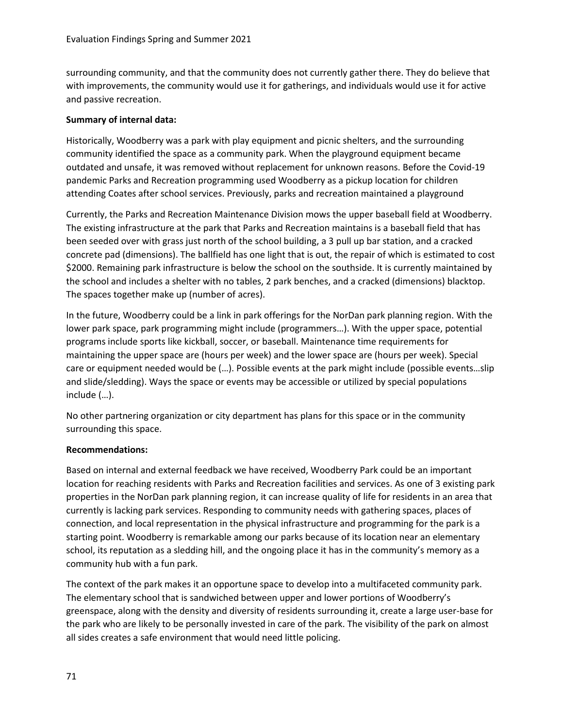surrounding community, and that the community does not currently gather there. They do believe that with improvements, the community would use it for gatherings, and individuals would use it for active and passive recreation.

## **Summary of internal data:**

Historically, Woodberry was a park with play equipment and picnic shelters, and the surrounding community identified the space as a community park. When the playground equipment became outdated and unsafe, it was removed without replacement for unknown reasons. Before the Covid-19 pandemic Parks and Recreation programming used Woodberry as a pickup location for children attending Coates after school services. Previously, parks and recreation maintained a playground

Currently, the Parks and Recreation Maintenance Division mows the upper baseball field at Woodberry. The existing infrastructure at the park that Parks and Recreation maintains is a baseball field that has been seeded over with grass just north of the school building, a 3 pull up bar station, and a cracked concrete pad (dimensions). The ballfield has one light that is out, the repair of which is estimated to cost \$2000. Remaining park infrastructure is below the school on the southside. It is currently maintained by the school and includes a shelter with no tables, 2 park benches, and a cracked (dimensions) blacktop. The spaces together make up (number of acres).

In the future, Woodberry could be a link in park offerings for the NorDan park planning region. With the lower park space, park programming might include (programmers…). With the upper space, potential programs include sports like kickball, soccer, or baseball. Maintenance time requirements for maintaining the upper space are (hours per week) and the lower space are (hours per week). Special care or equipment needed would be (…). Possible events at the park might include (possible events…slip and slide/sledding). Ways the space or events may be accessible or utilized by special populations include (…).

No other partnering organization or city department has plans for this space or in the community surrounding this space.

### **Recommendations:**

Based on internal and external feedback we have received, Woodberry Park could be an important location for reaching residents with Parks and Recreation facilities and services. As one of 3 existing park properties in the NorDan park planning region, it can increase quality of life for residents in an area that currently is lacking park services. Responding to community needs with gathering spaces, places of connection, and local representation in the physical infrastructure and programming for the park is a starting point. Woodberry is remarkable among our parks because of its location near an elementary school, its reputation as a sledding hill, and the ongoing place it has in the community's memory as a community hub with a fun park.

The context of the park makes it an opportune space to develop into a multifaceted community park. The elementary school that is sandwiched between upper and lower portions of Woodberry's greenspace, along with the density and diversity of residents surrounding it, create a large user-base for the park who are likely to be personally invested in care of the park. The visibility of the park on almost all sides creates a safe environment that would need little policing.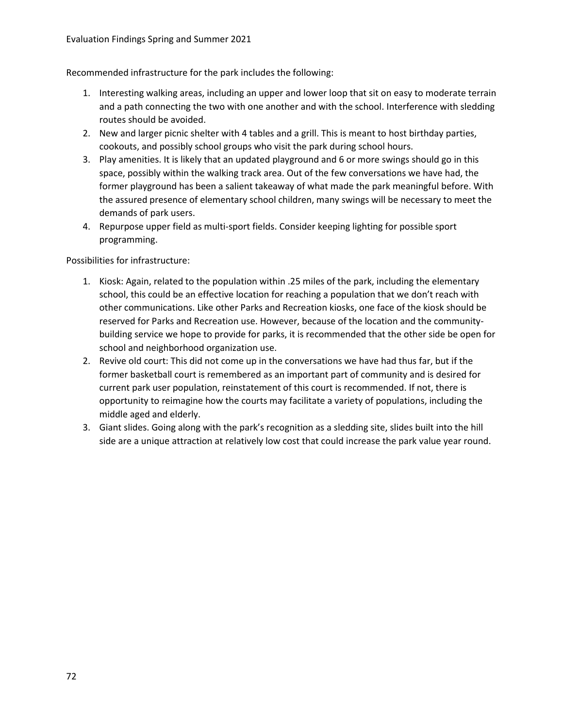Recommended infrastructure for the park includes the following:

- 1. Interesting walking areas, including an upper and lower loop that sit on easy to moderate terrain and a path connecting the two with one another and with the school. Interference with sledding routes should be avoided.
- 2. New and larger picnic shelter with 4 tables and a grill. This is meant to host birthday parties, cookouts, and possibly school groups who visit the park during school hours.
- 3. Play amenities. It is likely that an updated playground and 6 or more swings should go in this space, possibly within the walking track area. Out of the few conversations we have had, the former playground has been a salient takeaway of what made the park meaningful before. With the assured presence of elementary school children, many swings will be necessary to meet the demands of park users.
- 4. Repurpose upper field as multi-sport fields. Consider keeping lighting for possible sport programming.

- 1. Kiosk: Again, related to the population within .25 miles of the park, including the elementary school, this could be an effective location for reaching a population that we don't reach with other communications. Like other Parks and Recreation kiosks, one face of the kiosk should be reserved for Parks and Recreation use. However, because of the location and the communitybuilding service we hope to provide for parks, it is recommended that the other side be open for school and neighborhood organization use.
- 2. Revive old court: This did not come up in the conversations we have had thus far, but if the former basketball court is remembered as an important part of community and is desired for current park user population, reinstatement of this court is recommended. If not, there is opportunity to reimagine how the courts may facilitate a variety of populations, including the middle aged and elderly.
- 3. Giant slides. Going along with the park's recognition as a sledding site, slides built into the hill side are a unique attraction at relatively low cost that could increase the park value year round.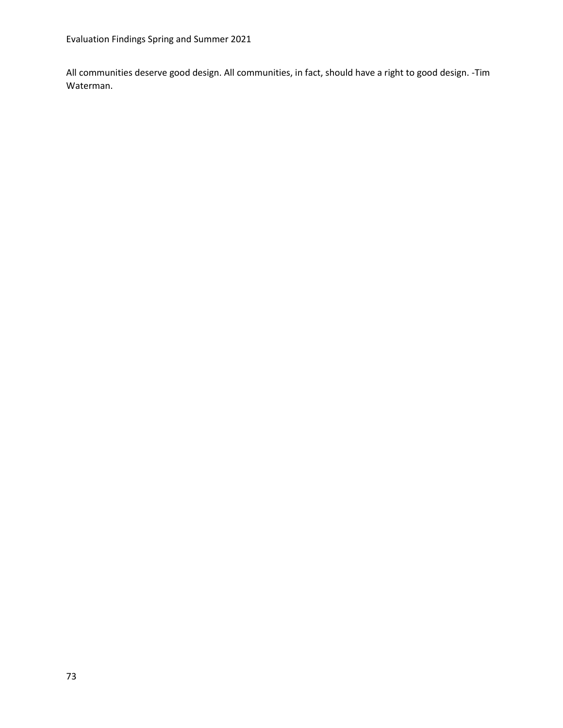All communities deserve good design. All communities, in fact, should have a right to good design. -Tim Waterman.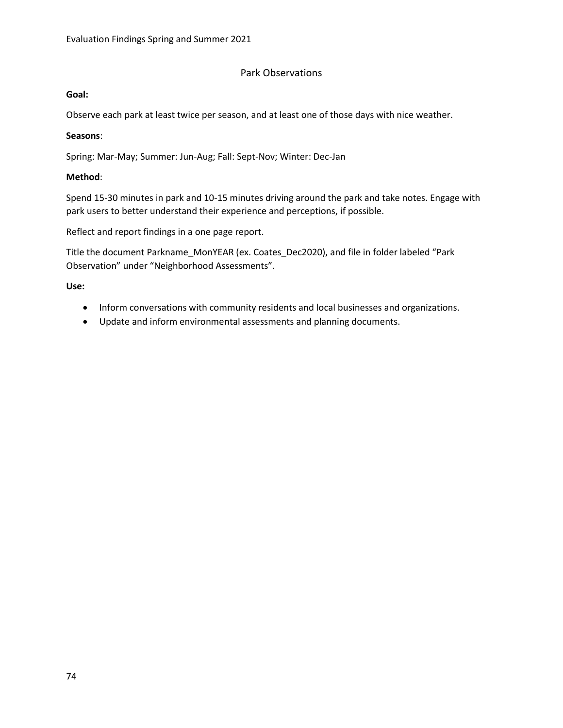# Park Observations

#### **Goal:**

Observe each park at least twice per season, and at least one of those days with nice weather.

### **Seasons**:

Spring: Mar-May; Summer: Jun-Aug; Fall: Sept-Nov; Winter: Dec-Jan

## **Method**:

Spend 15-30 minutes in park and 10-15 minutes driving around the park and take notes. Engage with park users to better understand their experience and perceptions, if possible.

Reflect and report findings in a one page report.

Title the document Parkname\_MonYEAR (ex. Coates\_Dec2020), and file in folder labeled "Park Observation" under "Neighborhood Assessments".

### **Use:**

- Inform conversations with community residents and local businesses and organizations.
- Update and inform environmental assessments and planning documents.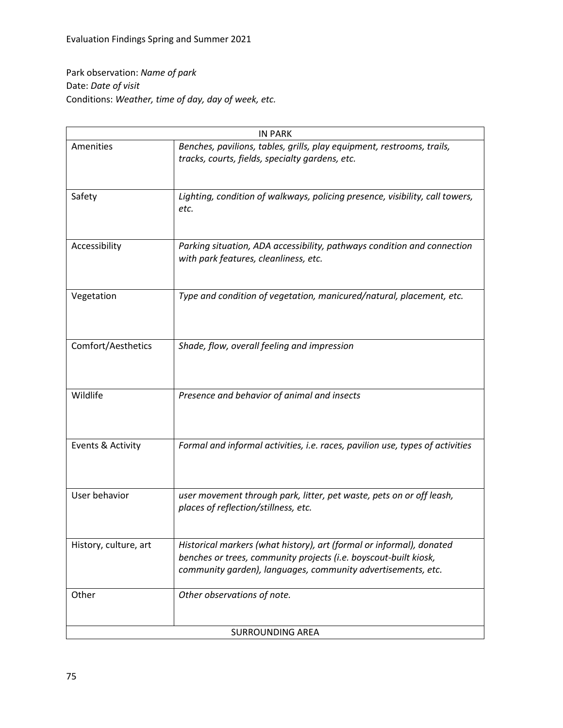Park observation: *Name of park* Date: *Date of visit* Conditions: *Weather, time of day, day of week, etc.*

| <b>IN PARK</b>          |                                                                                                                                                                                                          |  |  |  |
|-------------------------|----------------------------------------------------------------------------------------------------------------------------------------------------------------------------------------------------------|--|--|--|
| Amenities               | Benches, pavilions, tables, grills, play equipment, restrooms, trails,<br>tracks, courts, fields, specialty gardens, etc.                                                                                |  |  |  |
| Safety                  | Lighting, condition of walkways, policing presence, visibility, call towers,<br>etc.                                                                                                                     |  |  |  |
| Accessibility           | Parking situation, ADA accessibility, pathways condition and connection<br>with park features, cleanliness, etc.                                                                                         |  |  |  |
| Vegetation              | Type and condition of vegetation, manicured/natural, placement, etc.                                                                                                                                     |  |  |  |
| Comfort/Aesthetics      | Shade, flow, overall feeling and impression                                                                                                                                                              |  |  |  |
| Wildlife                | Presence and behavior of animal and insects                                                                                                                                                              |  |  |  |
| Events & Activity       | Formal and informal activities, i.e. races, pavilion use, types of activities                                                                                                                            |  |  |  |
| User behavior           | user movement through park, litter, pet waste, pets on or off leash,<br>places of reflection/stillness, etc.                                                                                             |  |  |  |
| History, culture, art   | Historical markers (what history), art (formal or informal), donated<br>benches or trees, community projects (i.e. boyscout-built kiosk,<br>community garden), languages, community advertisements, etc. |  |  |  |
| Other                   | Other observations of note.                                                                                                                                                                              |  |  |  |
| <b>SURROUNDING AREA</b> |                                                                                                                                                                                                          |  |  |  |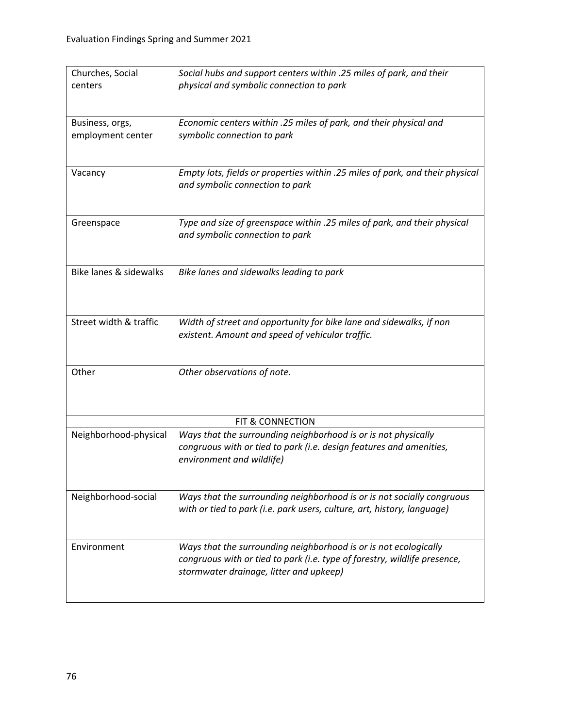| Churches, Social<br>centers | Social hubs and support centers within .25 miles of park, and their<br>physical and symbolic connection to park                       |  |  |  |  |
|-----------------------------|---------------------------------------------------------------------------------------------------------------------------------------|--|--|--|--|
|                             |                                                                                                                                       |  |  |  |  |
| Business, orgs,             | Economic centers within .25 miles of park, and their physical and                                                                     |  |  |  |  |
| employment center           | symbolic connection to park                                                                                                           |  |  |  |  |
|                             |                                                                                                                                       |  |  |  |  |
| Vacancy                     | Empty lots, fields or properties within .25 miles of park, and their physical<br>and symbolic connection to park                      |  |  |  |  |
|                             |                                                                                                                                       |  |  |  |  |
| Greenspace                  | Type and size of greenspace within .25 miles of park, and their physical                                                              |  |  |  |  |
|                             | and symbolic connection to park                                                                                                       |  |  |  |  |
| Bike lanes & sidewalks      | Bike lanes and sidewalks leading to park                                                                                              |  |  |  |  |
|                             |                                                                                                                                       |  |  |  |  |
| Street width & traffic      | Width of street and opportunity for bike lane and sidewalks, if non                                                                   |  |  |  |  |
|                             | existent. Amount and speed of vehicular traffic.                                                                                      |  |  |  |  |
| Other                       | Other observations of note.                                                                                                           |  |  |  |  |
|                             |                                                                                                                                       |  |  |  |  |
|                             | FIT & CONNECTION                                                                                                                      |  |  |  |  |
| Neighborhood-physical       | Ways that the surrounding neighborhood is or is not physically<br>congruous with or tied to park (i.e. design features and amenities, |  |  |  |  |
|                             | environment and wildlife)                                                                                                             |  |  |  |  |
| Neighborhood-social         | Ways that the surrounding neighborhood is or is not socially congruous                                                                |  |  |  |  |
|                             | with or tied to park (i.e. park users, culture, art, history, language)                                                               |  |  |  |  |
| Environment                 | Ways that the surrounding neighborhood is or is not ecologically                                                                      |  |  |  |  |
|                             | congruous with or tied to park (i.e. type of forestry, wildlife presence,<br>stormwater drainage, litter and upkeep)                  |  |  |  |  |
|                             |                                                                                                                                       |  |  |  |  |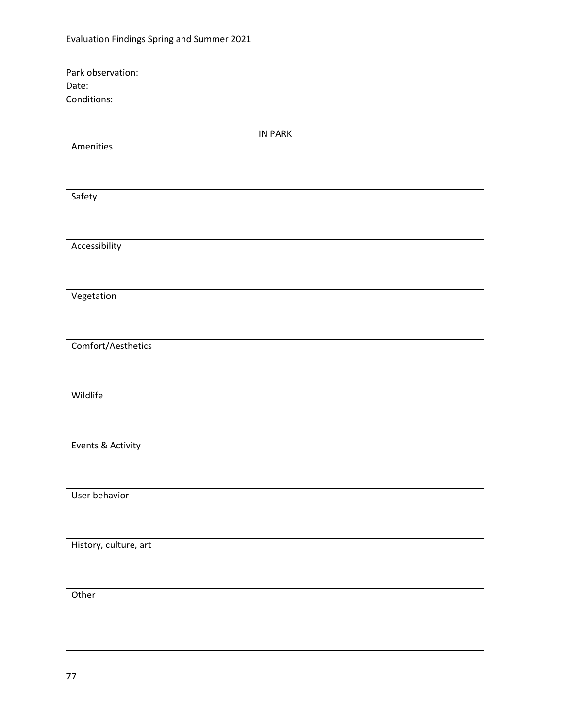Park observation: Date: Conditions:

| IN PARK               |  |  |  |  |
|-----------------------|--|--|--|--|
| Amenities             |  |  |  |  |
|                       |  |  |  |  |
|                       |  |  |  |  |
|                       |  |  |  |  |
| Safety                |  |  |  |  |
|                       |  |  |  |  |
|                       |  |  |  |  |
| Accessibility         |  |  |  |  |
|                       |  |  |  |  |
|                       |  |  |  |  |
|                       |  |  |  |  |
| Vegetation            |  |  |  |  |
|                       |  |  |  |  |
|                       |  |  |  |  |
| Comfort/Aesthetics    |  |  |  |  |
|                       |  |  |  |  |
|                       |  |  |  |  |
|                       |  |  |  |  |
| Wildlife              |  |  |  |  |
|                       |  |  |  |  |
|                       |  |  |  |  |
| Events & Activity     |  |  |  |  |
|                       |  |  |  |  |
|                       |  |  |  |  |
|                       |  |  |  |  |
| User behavior         |  |  |  |  |
|                       |  |  |  |  |
|                       |  |  |  |  |
| History, culture, art |  |  |  |  |
|                       |  |  |  |  |
|                       |  |  |  |  |
|                       |  |  |  |  |
| Other                 |  |  |  |  |
|                       |  |  |  |  |
|                       |  |  |  |  |
|                       |  |  |  |  |
|                       |  |  |  |  |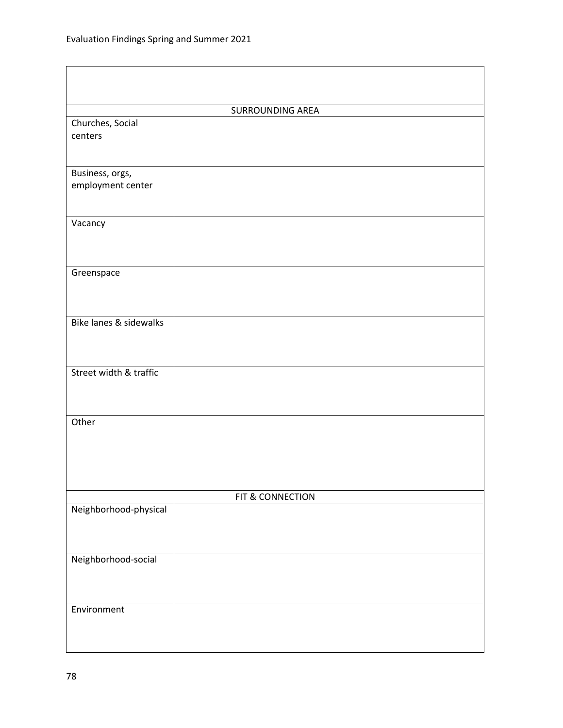| <b>SURROUNDING AREA</b>           |                  |  |  |  |  |
|-----------------------------------|------------------|--|--|--|--|
| Churches, Social                  |                  |  |  |  |  |
| centers                           |                  |  |  |  |  |
|                                   |                  |  |  |  |  |
|                                   |                  |  |  |  |  |
| Business, orgs,                   |                  |  |  |  |  |
| employment center                 |                  |  |  |  |  |
|                                   |                  |  |  |  |  |
|                                   |                  |  |  |  |  |
| Vacancy                           |                  |  |  |  |  |
|                                   |                  |  |  |  |  |
|                                   |                  |  |  |  |  |
| Greenspace                        |                  |  |  |  |  |
|                                   |                  |  |  |  |  |
|                                   |                  |  |  |  |  |
|                                   |                  |  |  |  |  |
| <b>Bike lanes &amp; sidewalks</b> |                  |  |  |  |  |
|                                   |                  |  |  |  |  |
|                                   |                  |  |  |  |  |
| Street width & traffic            |                  |  |  |  |  |
|                                   |                  |  |  |  |  |
|                                   |                  |  |  |  |  |
|                                   |                  |  |  |  |  |
| Other                             |                  |  |  |  |  |
|                                   |                  |  |  |  |  |
|                                   |                  |  |  |  |  |
|                                   |                  |  |  |  |  |
|                                   |                  |  |  |  |  |
|                                   | FIT & CONNECTION |  |  |  |  |
| Neighborhood-physical             |                  |  |  |  |  |
|                                   |                  |  |  |  |  |
|                                   |                  |  |  |  |  |
|                                   |                  |  |  |  |  |
| Neighborhood-social               |                  |  |  |  |  |
|                                   |                  |  |  |  |  |
|                                   |                  |  |  |  |  |
| Environment                       |                  |  |  |  |  |
|                                   |                  |  |  |  |  |
|                                   |                  |  |  |  |  |
|                                   |                  |  |  |  |  |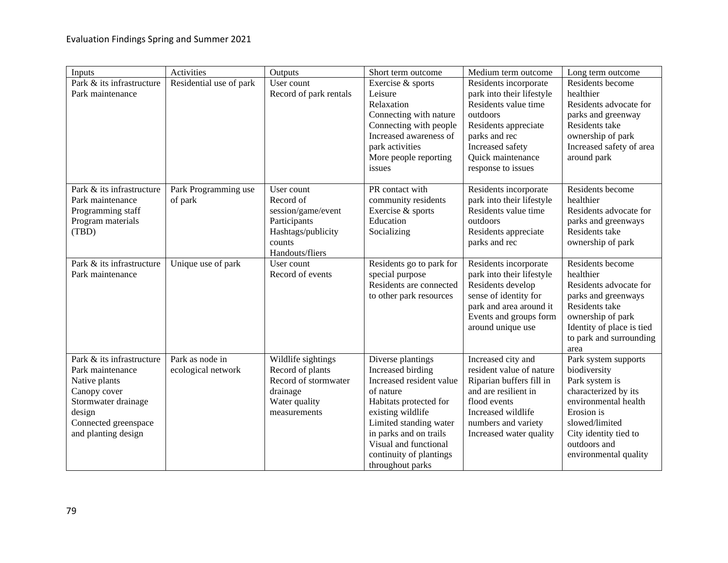| Inputs                                                                                                                                                         | Activities                            | Outputs                                                                                                          | Short term outcome                                                                                                                                                                                                                                         | Medium term outcome                                                                                                                                                                            | Long term outcome                                                                                                                                                                                        |
|----------------------------------------------------------------------------------------------------------------------------------------------------------------|---------------------------------------|------------------------------------------------------------------------------------------------------------------|------------------------------------------------------------------------------------------------------------------------------------------------------------------------------------------------------------------------------------------------------------|------------------------------------------------------------------------------------------------------------------------------------------------------------------------------------------------|----------------------------------------------------------------------------------------------------------------------------------------------------------------------------------------------------------|
| Park & its infrastructure<br>Park maintenance                                                                                                                  | Residential use of park               | User count<br>Record of park rentals                                                                             | Exercise & sports<br>Leisure<br>Relaxation<br>Connecting with nature<br>Connecting with people<br>Increased awareness of<br>park activities<br>More people reporting<br>issues                                                                             | Residents incorporate<br>park into their lifestyle<br>Residents value time<br>outdoors<br>Residents appreciate<br>parks and rec<br>Increased safety<br>Quick maintenance<br>response to issues | Residents become<br>healthier<br>Residents advocate for<br>parks and greenway<br>Residents take<br>ownership of park<br>Increased safety of area<br>around park                                          |
| Park & its infrastructure<br>Park maintenance<br>Programming staff<br>Program materials<br>(TBD)                                                               | Park Programming use<br>of park       | User count<br>Record of<br>session/game/event<br>Participants<br>Hashtags/publicity<br>counts<br>Handouts/fliers | PR contact with<br>community residents<br>Exercise & sports<br>Education<br>Socializing                                                                                                                                                                    | Residents incorporate<br>park into their lifestyle<br>Residents value time<br>outdoors<br>Residents appreciate<br>parks and rec                                                                | Residents become<br>healthier<br>Residents advocate for<br>parks and greenways<br>Residents take<br>ownership of park                                                                                    |
| Park & its infrastructure<br>Park maintenance                                                                                                                  | Unique use of park                    | User count<br>Record of events                                                                                   | Residents go to park for<br>special purpose<br>Residents are connected<br>to other park resources                                                                                                                                                          | Residents incorporate<br>park into their lifestyle<br>Residents develop<br>sense of identity for<br>park and area around it<br>Events and groups form<br>around unique use                     | Residents become<br>healthier<br>Residents advocate for<br>parks and greenways<br>Residents take<br>ownership of park<br>Identity of place is tied<br>to park and surrounding<br>area                    |
| Park & its infrastructure<br>Park maintenance<br>Native plants<br>Canopy cover<br>Stormwater drainage<br>design<br>Connected greenspace<br>and planting design | Park as node in<br>ecological network | Wildlife sightings<br>Record of plants<br>Record of stormwater<br>drainage<br>Water quality<br>measurements      | Diverse plantings<br>Increased birding<br>Increased resident value<br>of nature<br>Habitats protected for<br>existing wildlife<br>Limited standing water<br>in parks and on trails<br>Visual and functional<br>continuity of plantings<br>throughout parks | Increased city and<br>resident value of nature<br>Riparian buffers fill in<br>and are resilient in<br>flood events<br>Increased wildlife<br>numbers and variety<br>Increased water quality     | Park system supports<br>biodiversity<br>Park system is<br>characterized by its<br>environmental health<br>Erosion is<br>slowed/limited<br>City identity tied to<br>outdoors and<br>environmental quality |